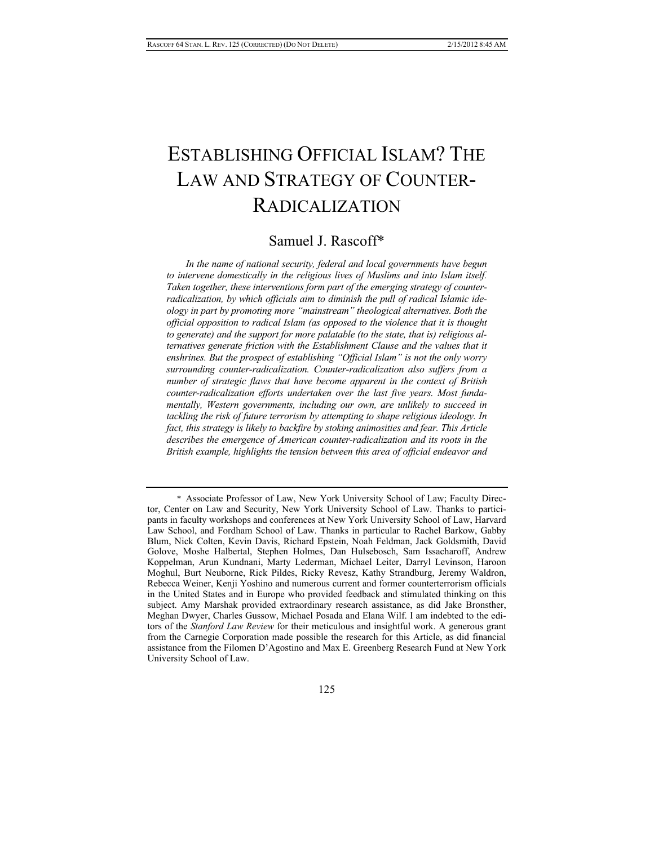# ESTABLISHING OFFICIAL ISLAM? THE LAW AND STRATEGY OF COUNTER-RADICALIZATION

## Samuel J. Rascoff\*

*In the name of national security, federal and local governments have begun to intervene domestically in the religious lives of Muslims and into Islam itself. Taken together, these interventions form part of the emerging strategy of counterradicalization, by which officials aim to diminish the pull of radical Islamic ideology in part by promoting more "mainstream" theological alternatives. Both the official opposition to radical Islam (as opposed to the violence that it is thought to generate) and the support for more palatable (to the state, that is) religious alternatives generate friction with the Establishment Clause and the values that it enshrines. But the prospect of establishing "Official Islam" is not the only worry surrounding counter-radicalization. Counter-radicalization also suffers from a number of strategic flaws that have become apparent in the context of British counter-radicalization efforts undertaken over the last five years. Most fundamentally, Western governments, including our own, are unlikely to succeed in tackling the risk of future terrorism by attempting to shape religious ideology. In fact, this strategy is likely to backfire by stoking animosities and fear. This Article describes the emergence of American counter-radicalization and its roots in the British example, highlights the tension between this area of official endeavor and* 

 <sup>\*</sup> Associate Professor of Law, New York University School of Law; Faculty Director, Center on Law and Security, New York University School of Law. Thanks to participants in faculty workshops and conferences at New York University School of Law, Harvard Law School, and Fordham School of Law. Thanks in particular to Rachel Barkow, Gabby Blum, Nick Colten, Kevin Davis, Richard Epstein, Noah Feldman, Jack Goldsmith, David Golove, Moshe Halbertal, Stephen Holmes, Dan Hulsebosch, Sam Issacharoff, Andrew Koppelman, Arun Kundnani, Marty Lederman, Michael Leiter, Darryl Levinson, Haroon Moghul, Burt Neuborne, Rick Pildes, Ricky Revesz, Kathy Strandburg, Jeremy Waldron, Rebecca Weiner, Kenji Yoshino and numerous current and former counterterrorism officials in the United States and in Europe who provided feedback and stimulated thinking on this subject. Amy Marshak provided extraordinary research assistance, as did Jake Bronsther, Meghan Dwyer, Charles Gussow, Michael Posada and Elana Wilf. I am indebted to the editors of the *Stanford Law Review* for their meticulous and insightful work. A generous grant from the Carnegie Corporation made possible the research for this Article, as did financial assistance from the Filomen D'Agostino and Max E. Greenberg Research Fund at New York University School of Law.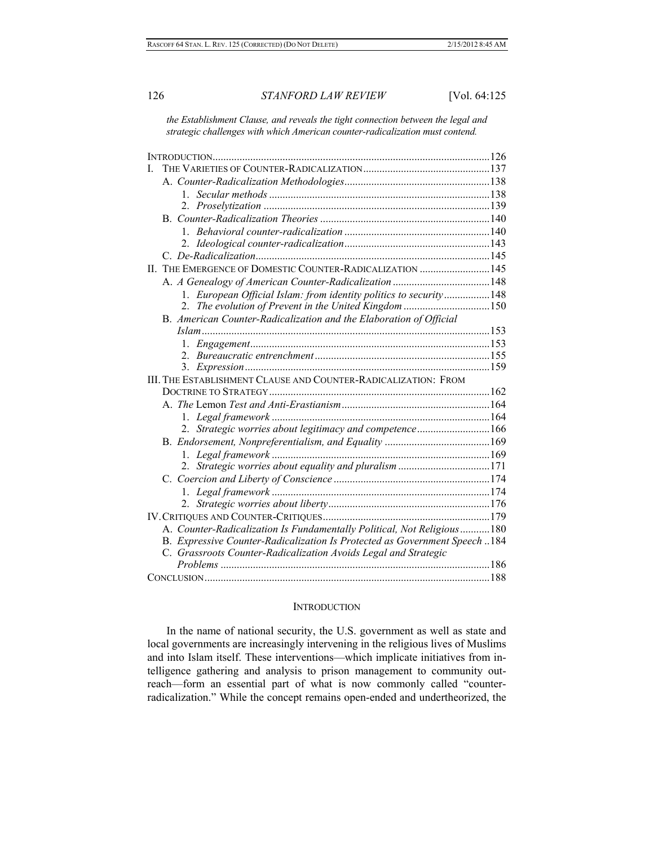*the Establishment Clause, and reveals the tight connection between the legal and strategic challenges with which American counter-radicalization must contend.* 

|  | II. THE EMERGENCE OF DOMESTIC COUNTER-RADICALIZATION  145                   |  |
|--|-----------------------------------------------------------------------------|--|
|  |                                                                             |  |
|  | 1. European Official Islam: from identity politics to security148           |  |
|  | 2. The evolution of Prevent in the United Kingdom 150                       |  |
|  | B. American Counter-Radicalization and the Elaboration of Official          |  |
|  |                                                                             |  |
|  |                                                                             |  |
|  |                                                                             |  |
|  |                                                                             |  |
|  | III. THE ESTABLISHMENT CLAUSE AND COUNTER-RADICALIZATION: FROM              |  |
|  |                                                                             |  |
|  |                                                                             |  |
|  |                                                                             |  |
|  | 2. Strategic worries about legitimacy and competence166                     |  |
|  |                                                                             |  |
|  |                                                                             |  |
|  | 2. Strategic worries about equality and pluralism 171                       |  |
|  |                                                                             |  |
|  |                                                                             |  |
|  |                                                                             |  |
|  |                                                                             |  |
|  | A. Counter-Radicalization Is Fundamentally Political, Not Religious180      |  |
|  | B. Expressive Counter-Radicalization Is Protected as Government Speech  184 |  |
|  | C. Grassroots Counter-Radicalization Avoids Legal and Strategic             |  |
|  |                                                                             |  |
|  |                                                                             |  |

#### **INTRODUCTION**

In the name of national security, the U.S. government as well as state and local governments are increasingly intervening in the religious lives of Muslims and into Islam itself. These interventions—which implicate initiatives from intelligence gathering and analysis to prison management to community outreach—form an essential part of what is now commonly called "counterradicalization." While the concept remains open-ended and undertheorized, the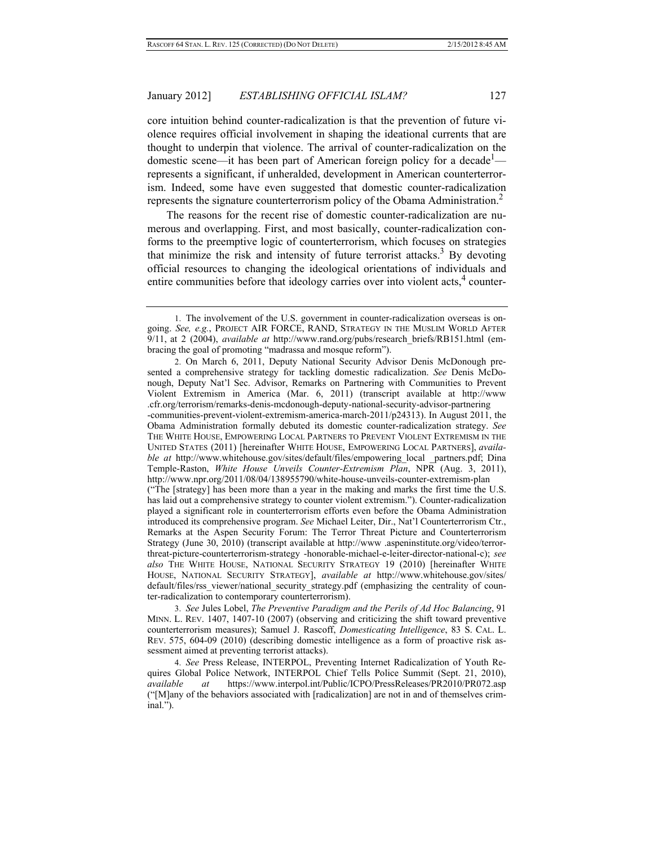core intuition behind counter-radicalization is that the prevention of future violence requires official involvement in shaping the ideational currents that are thought to underpin that violence. The arrival of counter-radicalization on the domestic scene—it has been part of American foreign policy for a decade<sup>1</sup> represents a significant, if unheralded, development in American counterterrorism. Indeed, some have even suggested that domestic counter-radicalization represents the signature counterterrorism policy of the Obama Administration.<sup>2</sup>

The reasons for the recent rise of domestic counter-radicalization are numerous and overlapping. First, and most basically, counter-radicalization conforms to the preemptive logic of counterterrorism, which focuses on strategies that minimize the risk and intensity of future terrorist attacks.<sup>3</sup> By devoting official resources to changing the ideological orientations of individuals and entire communities before that ideology carries over into violent acts, $<sup>4</sup>$  counter-</sup>

 2. On March 6, 2011, Deputy National Security Advisor Denis McDonough presented a comprehensive strategy for tackling domestic radicalization. *See* Denis McDonough, Deputy Nat'l Sec. Advisor, Remarks on Partnering with Communities to Prevent Violent Extremism in America (Mar. 6, 2011) (transcript available at http://www .cfr.org/terrorism/remarks-denis-mcdonough-deputy-national-security-advisor-partnering -communities-prevent-violent-extremism-america-march-2011/p24313). In August 2011, the Obama Administration formally debuted its domestic counter-radicalization strategy. *See* THE WHITE HOUSE, EMPOWERING LOCAL PARTNERS TO PREVENT VIOLENT EXTREMISM IN THE UNITED STATES (2011) [hereinafter WHITE HOUSE, EMPOWERING LOCAL PARTNERS], *available at* http://www.whitehouse.gov/sites/default/files/empowering\_local \_partners.pdf; Dina Temple-Raston, *White House Unveils Counter-Extremism Plan*, NPR (Aug. 3, 2011), http://www.npr.org/2011/08/04/138955790/white-house-unveils-counter-extremism-plan ("The [strategy] has been more than a year in the making and marks the first time the U.S. has laid out a comprehensive strategy to counter violent extremism."). Counter-radicalization played a significant role in counterterrorism efforts even before the Obama Administration introduced its comprehensive program. *See* Michael Leiter, Dir., Nat'l Counterterrorism Ctr., Remarks at the Aspen Security Forum: The Terror Threat Picture and Counterterrorism Strategy (June 30, 2010) (transcript available at http://www .aspeninstitute.org/video/terrorthreat-picture-counterterrorism-strategy -honorable-michael-e-leiter-director-national-c); *see also* THE WHITE HOUSE, NATIONAL SECURITY STRATEGY 19 (2010) [hereinafter WHITE HOUSE, NATIONAL SECURITY STRATEGY], *available at* http://www.whitehouse.gov/sites/ default/files/rss viewer/national security strategy.pdf (emphasizing the centrality of counter-radicalization to contemporary counterterrorism).

 3. *See* Jules Lobel, *The Preventive Paradigm and the Perils of Ad Hoc Balancing*, 91 MINN. L. REV. 1407, 1407-10 (2007) (observing and criticizing the shift toward preventive counterterrorism measures); Samuel J. Rascoff, *Domesticating Intelligence*, 83 S. CAL. L. REV. 575, 604-09 (2010) (describing domestic intelligence as a form of proactive risk assessment aimed at preventing terrorist attacks).

 4. *See* Press Release, INTERPOL, Preventing Internet Radicalization of Youth Requires Global Police Network, INTERPOL Chief Tells Police Summit (Sept. 21, 2010), *available at* https://www.interpol.int/Public/ICPO/PressReleases/PR2010/PR072.asp ("[M]any of the behaviors associated with [radicalization] are not in and of themselves criminal.").

 <sup>1.</sup> The involvement of the U.S. government in counter-radicalization overseas is ongoing. *See, e.g.*, PROJECT AIR FORCE, RAND, STRATEGY IN THE MUSLIM WORLD AFTER 9/11, at 2 (2004), *available at* http://www.rand.org/pubs/research\_briefs/RB151.html (embracing the goal of promoting "madrassa and mosque reform").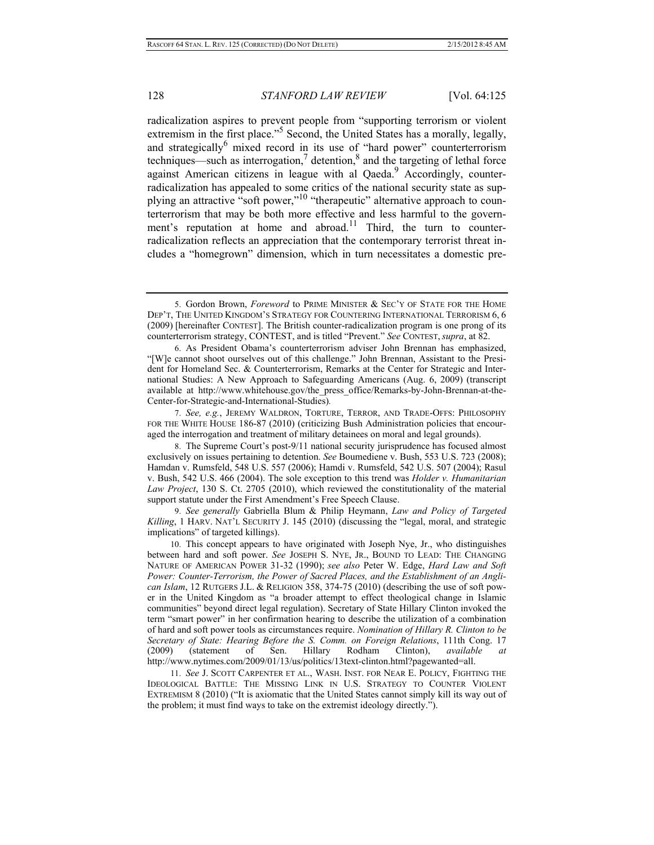radicalization aspires to prevent people from "supporting terrorism or violent extremism in the first place."<sup>5</sup> Second, the United States has a morally, legally, and strategically<sup>6</sup> mixed record in its use of "hard power" counterterrorism techniques—such as interrogation,<sup>7</sup> detention,<sup>8</sup> and the targeting of lethal force against American citizens in league with al Qaeda.<sup>9</sup> Accordingly, counterradicalization has appealed to some critics of the national security state as supplying an attractive "soft power,"<sup>10</sup> "therapeutic" alternative approach to counterterrorism that may be both more effective and less harmful to the government's reputation at home and abroad.<sup>11</sup> Third, the turn to counterradicalization reflects an appreciation that the contemporary terrorist threat includes a "homegrown" dimension, which in turn necessitates a domestic pre-

 7. *See, e.g.*, JEREMY WALDRON, TORTURE, TERROR, AND TRADE-OFFS: PHILOSOPHY FOR THE WHITE HOUSE 186-87 (2010) (criticizing Bush Administration policies that encouraged the interrogation and treatment of military detainees on moral and legal grounds).

 8. The Supreme Court's post-9/11 national security jurisprudence has focused almost exclusively on issues pertaining to detention. *See* Boumediene v. Bush, 553 U.S. 723 (2008); Hamdan v. Rumsfeld, 548 U.S. 557 (2006); Hamdi v. Rumsfeld, 542 U.S. 507 (2004); Rasul v. Bush, 542 U.S. 466 (2004). The sole exception to this trend was *Holder v. Humanitarian Law Project*, 130 S. Ct. 2705 (2010), which reviewed the constitutionality of the material support statute under the First Amendment's Free Speech Clause.

 9. *See generally* Gabriella Blum & Philip Heymann, *Law and Policy of Targeted Killing*, 1 HARV. NAT'L SECURITY J. 145 (2010) (discussing the "legal, moral, and strategic implications" of targeted killings).

 10. This concept appears to have originated with Joseph Nye, Jr., who distinguishes between hard and soft power. *See* JOSEPH S. NYE, JR., BOUND TO LEAD: THE CHANGING NATURE OF AMERICAN POWER 31-32 (1990); *see also* Peter W. Edge, *Hard Law and Soft Power: Counter-Terrorism, the Power of Sacred Places, and the Establishment of an Anglican Islam*, 12 RUTGERS J.L. & RELIGION 358, 374-75 (2010) (describing the use of soft power in the United Kingdom as "a broader attempt to effect theological change in Islamic communities" beyond direct legal regulation). Secretary of State Hillary Clinton invoked the term "smart power" in her confirmation hearing to describe the utilization of a combination of hard and soft power tools as circumstances require. *Nomination of Hillary R. Clinton to be Secretary of State: Hearing Before the S. Comm. on Foreign Relations*, 111th Cong. 17 (2009) (statement of Sen. Hillary Rodham Clinton), *available at* http://www.nytimes.com/2009/01/13/us/politics/13text-clinton.html?pagewanted=all.

 11. *See* J. SCOTT CARPENTER ET AL., WASH. INST. FOR NEAR E. POLICY, FIGHTING THE IDEOLOGICAL BATTLE: THE MISSING LINK IN U.S. STRATEGY TO COUNTER VIOLENT EXTREMISM 8 (2010) ("It is axiomatic that the United States cannot simply kill its way out of the problem; it must find ways to take on the extremist ideology directly.").

 <sup>5.</sup> Gordon Brown, *Foreword* to PRIME MINISTER & SEC'Y OF STATE FOR THE HOME DEP'T, THE UNITED KINGDOM'S STRATEGY FOR COUNTERING INTERNATIONAL TERRORISM 6, 6 (2009) [hereinafter CONTEST]. The British counter-radicalization program is one prong of its counterterrorism strategy, CONTEST, and is titled "Prevent." *See* CONTEST, *supra*, at 82.

 <sup>6.</sup> As President Obama's counterterrorism adviser John Brennan has emphasized, "[W]e cannot shoot ourselves out of this challenge." John Brennan, Assistant to the President for Homeland Sec. & Counterterrorism, Remarks at the Center for Strategic and International Studies: A New Approach to Safeguarding Americans (Aug. 6, 2009) (transcript available at http://www.whitehouse.gov/the\_press\_office/Remarks-by-John-Brennan-at-the-Center-for-Strategic-and-International-Studies)*.*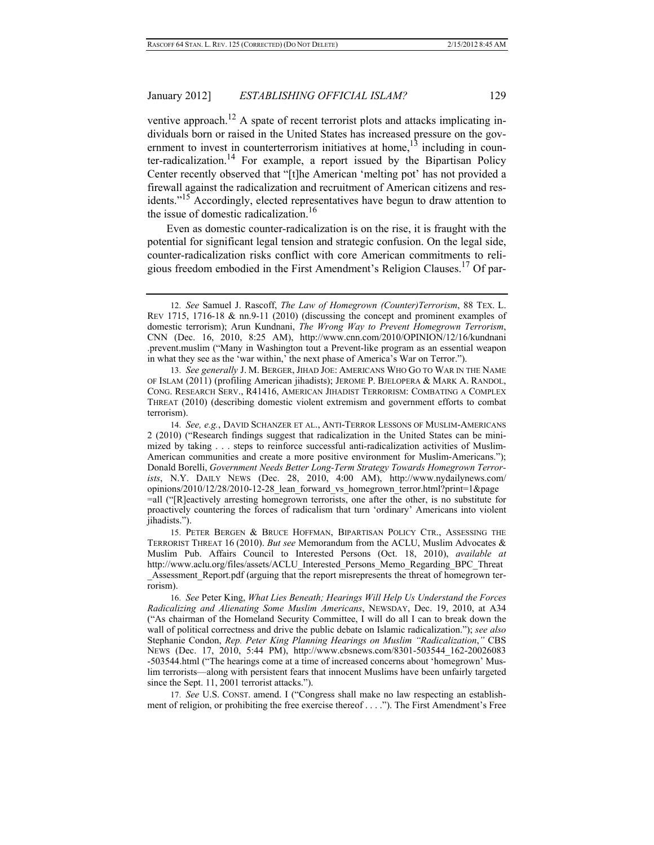## January 2012] *ESTABLISHING OFFICIAL ISLAM?* 129

ventive approach.<sup>12</sup> A spate of recent terrorist plots and attacks implicating individuals born or raised in the United States has increased pressure on the government to invest in counterterrorism initiatives at home,  $13$  including in counter-radicalization.<sup>14</sup> For example, a report issued by the Bipartisan Policy Center recently observed that "[t]he American 'melting pot' has not provided a firewall against the radicalization and recruitment of American citizens and residents."15 Accordingly, elected representatives have begun to draw attention to the issue of domestic radicalization.16

Even as domestic counter-radicalization is on the rise, it is fraught with the potential for significant legal tension and strategic confusion. On the legal side, counter-radicalization risks conflict with core American commitments to religious freedom embodied in the First Amendment's Religion Clauses.17 Of par-

 13. *See generally* J. M. BERGER, JIHAD JOE: AMERICANS WHO GO TO WAR IN THE NAME OF ISLAM (2011) (profiling American jihadists); JEROME P. BJELOPERA & MARK A. RANDOL, CONG. RESEARCH SERV., R41416, AMERICAN JIHADIST TERRORISM: COMBATING A COMPLEX THREAT (2010) (describing domestic violent extremism and government efforts to combat terrorism).

 14. *See, e.g.*, DAVID SCHANZER ET AL., ANTI-TERROR LESSONS OF MUSLIM-AMERICANS 2 (2010) ("Research findings suggest that radicalization in the United States can be minimized by taking . . . steps to reinforce successful anti-radicalization activities of Muslim-American communities and create a more positive environment for Muslim-Americans."); Donald Borelli, *Government Needs Better Long-Term Strategy Towards Homegrown Terrorists*, N.Y. DAILY NEWS (Dec. 28, 2010, 4:00 AM), http://www.nydailynews.com/ opinions/2010/12/28/2010-12-28\_lean\_forward\_vs\_homegrown\_terror.html?print=1&page =all ("[R]eactively arresting homegrown terrorists, one after the other, is no substitute for proactively countering the forces of radicalism that turn 'ordinary' Americans into violent jihadists.").

 15. PETER BERGEN & BRUCE HOFFMAN, BIPARTISAN POLICY CTR., ASSESSING THE TERRORIST THREAT 16 (2010). *But see* Memorandum from the ACLU, Muslim Advocates & Muslim Pub. Affairs Council to Interested Persons (Oct. 18, 2010), *available at* http://www.aclu.org/files/assets/ACLU\_Interested\_Persons\_Memo\_Regarding\_BPC\_Threat \_Assessment\_Report.pdf (arguing that the report misrepresents the threat of homegrown terrorism).

 16. *See* Peter King, *What Lies Beneath; Hearings Will Help Us Understand the Forces Radicalizing and Alienating Some Muslim Americans*, NEWSDAY, Dec. 19, 2010, at A34 ("As chairman of the Homeland Security Committee, I will do all I can to break down the wall of political correctness and drive the public debate on Islamic radicalization."); *see also*  Stephanie Condon, *Rep. Peter King Planning Hearings on Muslim "Radicalization*,*"* CBS NEWS (Dec. 17, 2010, 5:44 PM), http://www.cbsnews.com/8301-503544\_162-20026083 -503544.html ("The hearings come at a time of increased concerns about 'homegrown' Muslim terrorists—along with persistent fears that innocent Muslims have been unfairly targeted since the Sept. 11, 2001 terrorist attacks.").

 17. *See* U.S. CONST. amend. I ("Congress shall make no law respecting an establishment of religion, or prohibiting the free exercise thereof . . . ."). The First Amendment's Free

 <sup>12.</sup> *See* Samuel J. Rascoff, *The Law of Homegrown (Counter)Terrorism*, 88 TEX. L. REV 1715, 1716-18 & nn.9-11 (2010) (discussing the concept and prominent examples of domestic terrorism); Arun Kundnani, *The Wrong Way to Prevent Homegrown Terrorism*, CNN (Dec. 16, 2010, 8:25 AM), http://www.cnn.com/2010/OPINION/12/16/kundnani .prevent.muslim ("Many in Washington tout a Prevent-like program as an essential weapon in what they see as the 'war within,' the next phase of America's War on Terror.").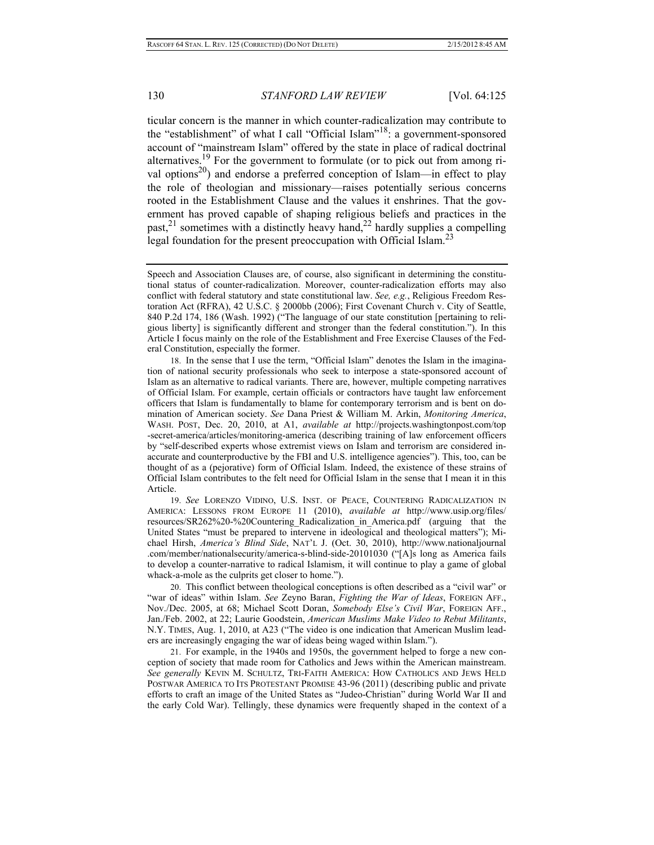ticular concern is the manner in which counter-radicalization may contribute to the "establishment" of what I call "Official Islam"18: a government-sponsored account of "mainstream Islam" offered by the state in place of radical doctrinal alternatives.19 For the government to formulate (or to pick out from among rival options<sup>20</sup>) and endorse a preferred conception of Islam—in effect to play the role of theologian and missionary—raises potentially serious concerns rooted in the Establishment Clause and the values it enshrines. That the government has proved capable of shaping religious beliefs and practices in the  $p$ ast,<sup>21</sup> sometimes with a distinctly heavy hand,<sup>22</sup> hardly supplies a compelling legal foundation for the present preoccupation with Official Islam.<sup>23</sup>

 18. In the sense that I use the term, "Official Islam" denotes the Islam in the imagination of national security professionals who seek to interpose a state-sponsored account of Islam as an alternative to radical variants. There are, however, multiple competing narratives of Official Islam. For example, certain officials or contractors have taught law enforcement officers that Islam is fundamentally to blame for contemporary terrorism and is bent on domination of American society. *See* Dana Priest & William M. Arkin, *Monitoring America*, WASH. POST, Dec. 20, 2010, at A1, *available at* http://projects.washingtonpost.com/top -secret-america/articles/monitoring-america (describing training of law enforcement officers by "self-described experts whose extremist views on Islam and terrorism are considered inaccurate and counterproductive by the FBI and U.S. intelligence agencies"). This, too, can be thought of as a (pejorative) form of Official Islam. Indeed, the existence of these strains of Official Islam contributes to the felt need for Official Islam in the sense that I mean it in this Article.

 19. *See* LORENZO VIDINO, U.S. INST. OF PEACE, COUNTERING RADICALIZATION IN AMERICA: LESSONS FROM EUROPE 11 (2010), *available at* http://www.usip.org/files/ resources/SR262%20-%20Countering\_Radicalization\_in\_America.pdf (arguing that the United States "must be prepared to intervene in ideological and theological matters"); Michael Hirsh, *America's Blind Side*, NAT'L J. (Oct. 30, 2010), http://www.nationaljournal .com/member/nationalsecurity/america-s-blind-side-20101030 ("[A]s long as America fails to develop a counter-narrative to radical Islamism, it will continue to play a game of global whack-a-mole as the culprits get closer to home.").

 20. This conflict between theological conceptions is often described as a "civil war" or "war of ideas" within Islam. *See* Zeyno Baran, *Fighting the War of Ideas*, FOREIGN AFF., Nov./Dec. 2005, at 68; Michael Scott Doran, *Somebody Else's Civil War*, FOREIGN AFF., Jan./Feb. 2002, at 22; Laurie Goodstein, *American Muslims Make Video to Rebut Militants*, N.Y. TIMES, Aug. 1, 2010, at A23 ("The video is one indication that American Muslim leaders are increasingly engaging the war of ideas being waged within Islam.").

 21. For example, in the 1940s and 1950s, the government helped to forge a new conception of society that made room for Catholics and Jews within the American mainstream. *See generally* KEVIN M. SCHULTZ, TRI-FAITH AMERICA: HOW CATHOLICS AND JEWS HELD POSTWAR AMERICA TO ITS PROTESTANT PROMISE 43-96 (2011) (describing public and private efforts to craft an image of the United States as "Judeo-Christian" during World War II and the early Cold War). Tellingly, these dynamics were frequently shaped in the context of a

Speech and Association Clauses are, of course, also significant in determining the constitutional status of counter-radicalization. Moreover, counter-radicalization efforts may also conflict with federal statutory and state constitutional law. *See, e.g.*, Religious Freedom Restoration Act (RFRA), 42 U.S.C. § 2000bb (2006); First Covenant Church v. City of Seattle, 840 P.2d 174, 186 (Wash. 1992) ("The language of our state constitution [pertaining to religious liberty] is significantly different and stronger than the federal constitution."). In this Article I focus mainly on the role of the Establishment and Free Exercise Clauses of the Federal Constitution, especially the former.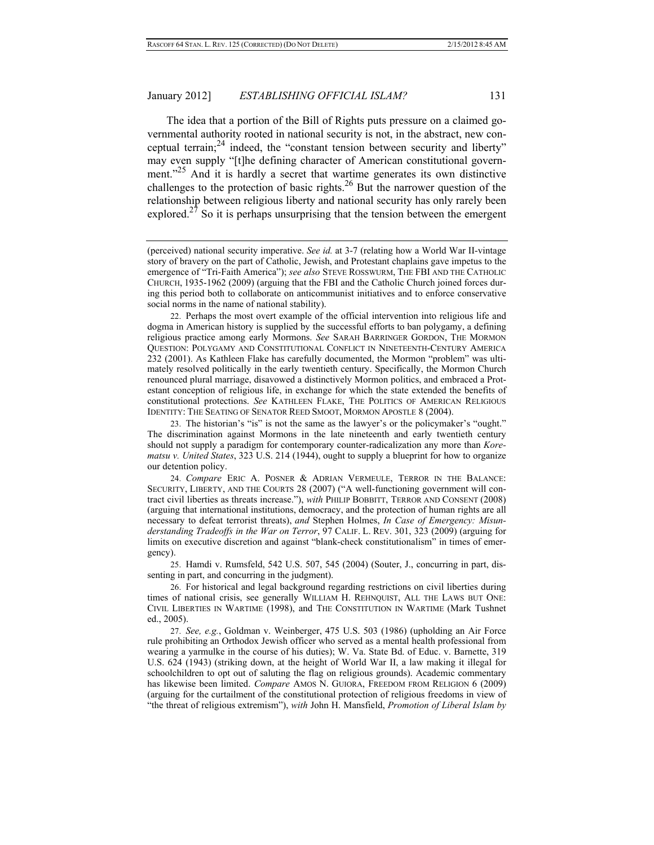The idea that a portion of the Bill of Rights puts pressure on a claimed governmental authority rooted in national security is not, in the abstract, new conceptual terrain;  $24$  indeed, the "constant tension between security and liberty" may even supply "[t]he defining character of American constitutional government."<sup>25</sup> And it is hardly a secret that wartime generates its own distinctive challenges to the protection of basic rights.<sup>26</sup> But the narrower question of the relationship between religious liberty and national security has only rarely been explored.<sup>27</sup> So it is perhaps unsurprising that the tension between the emergent

(perceived) national security imperative. *See id.* at 3-7 (relating how a World War II-vintage story of bravery on the part of Catholic, Jewish, and Protestant chaplains gave impetus to the emergence of "Tri-Faith America"); *see also* STEVE ROSSWURM, THE FBI AND THE CATHOLIC CHURCH, 1935-1962 (2009) (arguing that the FBI and the Catholic Church joined forces during this period both to collaborate on anticommunist initiatives and to enforce conservative social norms in the name of national stability).

 22. Perhaps the most overt example of the official intervention into religious life and dogma in American history is supplied by the successful efforts to ban polygamy, a defining religious practice among early Mormons. *See* SARAH BARRINGER GORDON, THE MORMON QUESTION: POLYGAMY AND CONSTITUTIONAL CONFLICT IN NINETEENTH-CENTURY AMERICA 232 (2001). As Kathleen Flake has carefully documented, the Mormon "problem" was ultimately resolved politically in the early twentieth century. Specifically, the Mormon Church renounced plural marriage, disavowed a distinctively Mormon politics, and embraced a Protestant conception of religious life, in exchange for which the state extended the benefits of constitutional protections. *See* KATHLEEN FLAKE, THE POLITICS OF AMERICAN RELIGIOUS IDENTITY: THE SEATING OF SENATOR REED SMOOT, MORMON APOSTLE 8 (2004).

 23. The historian's "is" is not the same as the lawyer's or the policymaker's "ought." The discrimination against Mormons in the late nineteenth and early twentieth century should not supply a paradigm for contemporary counter-radicalization any more than *Korematsu v. United States*, 323 U.S. 214 (1944), ought to supply a blueprint for how to organize our detention policy.

 24. *Compare* ERIC A. POSNER & ADRIAN VERMEULE, TERROR IN THE BALANCE: SECURITY, LIBERTY, AND THE COURTS 28 (2007) ("A well-functioning government will contract civil liberties as threats increase."), *with* PHILIP BOBBITT, TERROR AND CONSENT (2008) (arguing that international institutions, democracy, and the protection of human rights are all necessary to defeat terrorist threats), *and* Stephen Holmes, *In Case of Emergency: Misunderstanding Tradeoffs in the War on Terror*, 97 CALIF. L. REV. 301, 323 (2009) (arguing for limits on executive discretion and against "blank-check constitutionalism" in times of emergency).

 25. Hamdi v. Rumsfeld, 542 U.S. 507, 545 (2004) (Souter, J., concurring in part, dissenting in part, and concurring in the judgment).

 26. For historical and legal background regarding restrictions on civil liberties during times of national crisis, see generally WILLIAM H. REHNQUIST, ALL THE LAWS BUT ONE: CIVIL LIBERTIES IN WARTIME (1998), and THE CONSTITUTION IN WARTIME (Mark Tushnet ed., 2005).

 27. *See, e.g.*, Goldman v. Weinberger, 475 U.S. 503 (1986) (upholding an Air Force rule prohibiting an Orthodox Jewish officer who served as a mental health professional from wearing a yarmulke in the course of his duties); W. Va. State Bd. of Educ. v. Barnette, 319 U.S. 624 (1943) (striking down, at the height of World War II, a law making it illegal for schoolchildren to opt out of saluting the flag on religious grounds). Academic commentary has likewise been limited. *Compare* AMOS N. GUIORA, FREEDOM FROM RELIGION 6 (2009) (arguing for the curtailment of the constitutional protection of religious freedoms in view of "the threat of religious extremism"), *with* John H. Mansfield, *Promotion of Liberal Islam by*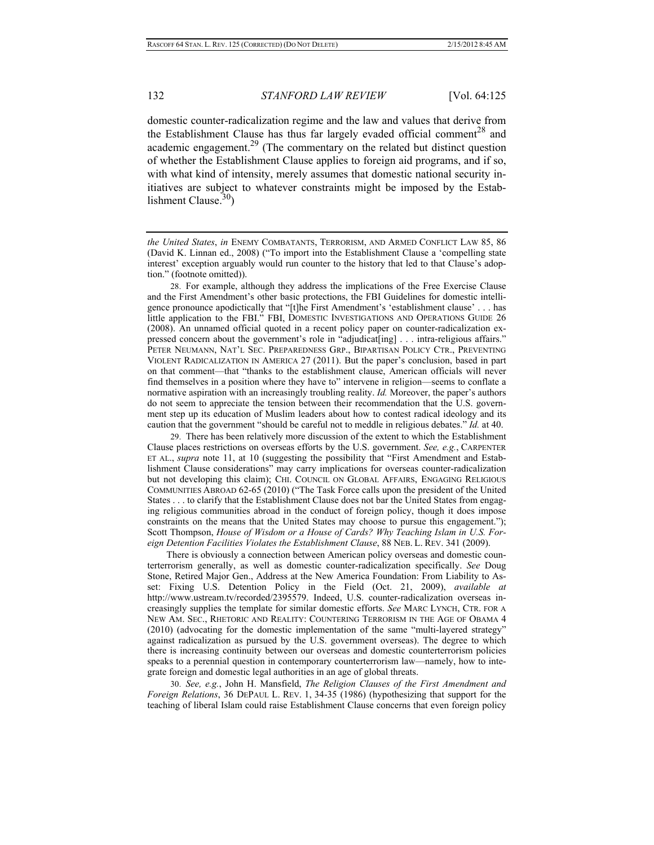domestic counter-radicalization regime and the law and values that derive from the Establishment Clause has thus far largely evaded official comment<sup>28</sup> and academic engagement.<sup>29</sup> (The commentary on the related but distinct question of whether the Establishment Clause applies to foreign aid programs, and if so, with what kind of intensity, merely assumes that domestic national security initiatives are subject to whatever constraints might be imposed by the Establishment Clause. $30$ 

 28. For example, although they address the implications of the Free Exercise Clause and the First Amendment's other basic protections, the FBI Guidelines for domestic intelligence pronounce apodictically that "[t]he First Amendment's 'establishment clause' . . . has little application to the FBI." FBI, DOMESTIC INVESTIGATIONS AND OPERATIONS GUIDE 26 (2008). An unnamed official quoted in a recent policy paper on counter-radicalization expressed concern about the government's role in "adjudicat[ing] . . . intra-religious affairs." PETER NEUMANN, NAT'L SEC. PREPAREDNESS GRP., BIPARTISAN POLICY CTR., PREVENTING VIOLENT RADICALIZATION IN AMERICA 27 (2011). But the paper's conclusion, based in part on that comment—that "thanks to the establishment clause, American officials will never find themselves in a position where they have to" intervene in religion—seems to conflate a normative aspiration with an increasingly troubling reality. *Id.* Moreover, the paper's authors do not seem to appreciate the tension between their recommendation that the U.S. government step up its education of Muslim leaders about how to contest radical ideology and its caution that the government "should be careful not to meddle in religious debates." *Id.* at 40.

 29. There has been relatively more discussion of the extent to which the Establishment Clause places restrictions on overseas efforts by the U.S. government. *See, e.g.*, CARPENTER ET AL., *supra* note 11, at 10 (suggesting the possibility that "First Amendment and Establishment Clause considerations" may carry implications for overseas counter-radicalization but not developing this claim); CHI. COUNCIL ON GLOBAL AFFAIRS, ENGAGING RELIGIOUS COMMUNITIES ABROAD 62-65 (2010) ("The Task Force calls upon the president of the United States . . . to clarify that the Establishment Clause does not bar the United States from engaging religious communities abroad in the conduct of foreign policy, though it does impose constraints on the means that the United States may choose to pursue this engagement."); Scott Thompson, *House of Wisdom or a House of Cards? Why Teaching Islam in U.S. Foreign Detention Facilities Violates the Establishment Clause*, 88 NEB. L. REV. 341 (2009).

There is obviously a connection between American policy overseas and domestic counterterrorism generally, as well as domestic counter-radicalization specifically. *See* Doug Stone, Retired Major Gen., Address at the New America Foundation: From Liability to Asset: Fixing U.S. Detention Policy in the Field (Oct. 21, 2009), *available at*  http://www.ustream.tv/recorded/2395579. Indeed, U.S. counter-radicalization overseas increasingly supplies the template for similar domestic efforts. *See* MARC LYNCH, CTR. FOR A NEW AM. SEC., RHETORIC AND REALITY: COUNTERING TERRORISM IN THE AGE OF OBAMA 4 (2010) (advocating for the domestic implementation of the same "multi-layered strategy" against radicalization as pursued by the U.S. government overseas). The degree to which there is increasing continuity between our overseas and domestic counterterrorism policies speaks to a perennial question in contemporary counterterrorism law—namely, how to integrate foreign and domestic legal authorities in an age of global threats.

 30. *See, e.g.*, John H. Mansfield, *The Religion Clauses of the First Amendment and Foreign Relations*, 36 DEPAUL L. REV. 1, 34-35 (1986) (hypothesizing that support for the teaching of liberal Islam could raise Establishment Clause concerns that even foreign policy

*the United States*, *in* ENEMY COMBATANTS, TERRORISM, AND ARMED CONFLICT LAW 85, 86 (David K. Linnan ed., 2008) ("To import into the Establishment Clause a 'compelling state interest' exception arguably would run counter to the history that led to that Clause's adoption." (footnote omitted)).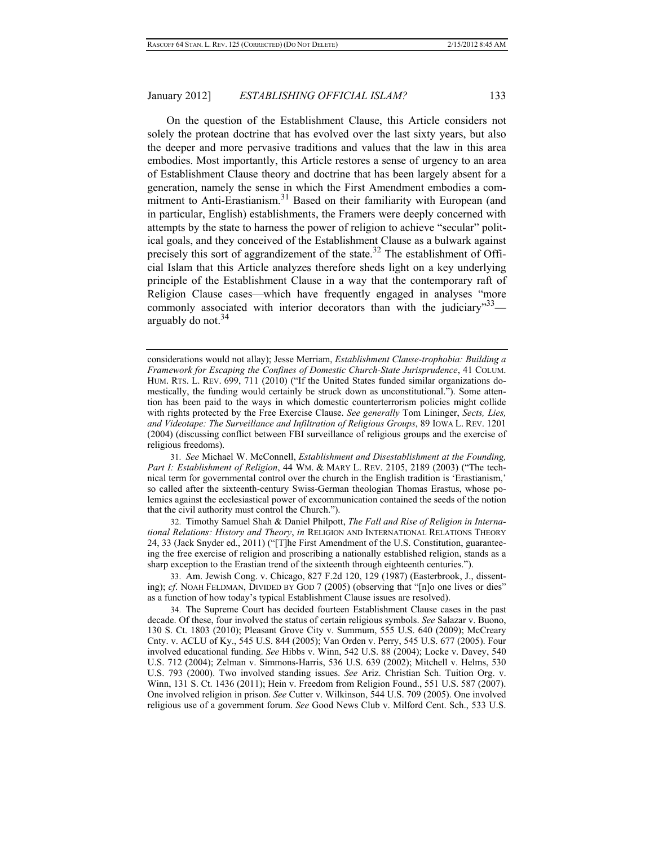On the question of the Establishment Clause, this Article considers not solely the protean doctrine that has evolved over the last sixty years, but also the deeper and more pervasive traditions and values that the law in this area embodies. Most importantly, this Article restores a sense of urgency to an area of Establishment Clause theory and doctrine that has been largely absent for a generation, namely the sense in which the First Amendment embodies a commitment to Anti-Erastianism.<sup>31</sup> Based on their familiarity with European (and in particular, English) establishments, the Framers were deeply concerned with attempts by the state to harness the power of religion to achieve "secular" political goals, and they conceived of the Establishment Clause as a bulwark against precisely this sort of aggrandizement of the state.<sup>32</sup> The establishment of Official Islam that this Article analyzes therefore sheds light on a key underlying principle of the Establishment Clause in a way that the contemporary raft of Religion Clause cases—which have frequently engaged in analyses "more commonly associated with interior decorators than with the judiciary"  $33$  arguably do not.<sup>34</sup>

 31. *See* Michael W. McConnell, *Establishment and Disestablishment at the Founding, Part I: Establishment of Religion*, 44 WM. & MARY L. REV. 2105, 2189 (2003) ("The technical term for governmental control over the church in the English tradition is 'Erastianism,' so called after the sixteenth-century Swiss-German theologian Thomas Erastus, whose polemics against the ecclesiastical power of excommunication contained the seeds of the notion that the civil authority must control the Church.").

 32. Timothy Samuel Shah & Daniel Philpott, *The Fall and Rise of Religion in International Relations: History and Theory*, *in* RELIGION AND INTERNATIONAL RELATIONS THEORY 24, 33 (Jack Snyder ed., 2011) ("[T]he First Amendment of the U.S. Constitution, guaranteeing the free exercise of religion and proscribing a nationally established religion, stands as a sharp exception to the Erastian trend of the sixteenth through eighteenth centuries.").

 33. Am. Jewish Cong. v. Chicago, 827 F.2d 120, 129 (1987) (Easterbrook, J., dissenting); *cf*. NOAH FELDMAN, DIVIDED BY GOD 7 (2005) (observing that "[n]o one lives or dies" as a function of how today's typical Establishment Clause issues are resolved).

 34. The Supreme Court has decided fourteen Establishment Clause cases in the past decade. Of these, four involved the status of certain religious symbols. *See* Salazar v. Buono, 130 S. Ct. 1803 (2010); Pleasant Grove City v. Summum, 555 U.S. 640 (2009); McCreary Cnty. v. ACLU of Ky., 545 U.S. 844 (2005); Van Orden v. Perry, 545 U.S. 677 (2005). Four involved educational funding. *See* Hibbs v. Winn, 542 U.S. 88 (2004); Locke v. Davey, 540 U.S. 712 (2004); Zelman v. Simmons-Harris, 536 U.S. 639 (2002); Mitchell v. Helms, 530 U.S. 793 (2000). Two involved standing issues. *See* Ariz. Christian Sch. Tuition Org. v. Winn, 131 S. Ct. 1436 (2011); Hein v. Freedom from Religion Found., 551 U.S. 587 (2007). One involved religion in prison. *See* Cutter v. Wilkinson, 544 U.S. 709 (2005). One involved religious use of a government forum. *See* Good News Club v. Milford Cent. Sch., 533 U.S.

considerations would not allay); Jesse Merriam, *Establishment Clause-trophobia: Building a Framework for Escaping the Confines of Domestic Church-State Jurisprudence*, 41 COLUM. HUM. RTS. L. REV. 699, 711 (2010) ("If the United States funded similar organizations domestically, the funding would certainly be struck down as unconstitutional."). Some attention has been paid to the ways in which domestic counterterrorism policies might collide with rights protected by the Free Exercise Clause. *See generally* Tom Lininger, *Sects, Lies, and Videotape: The Surveillance and Infiltration of Religious Groups*, 89 IOWA L. REV. 1201 (2004) (discussing conflict between FBI surveillance of religious groups and the exercise of religious freedoms).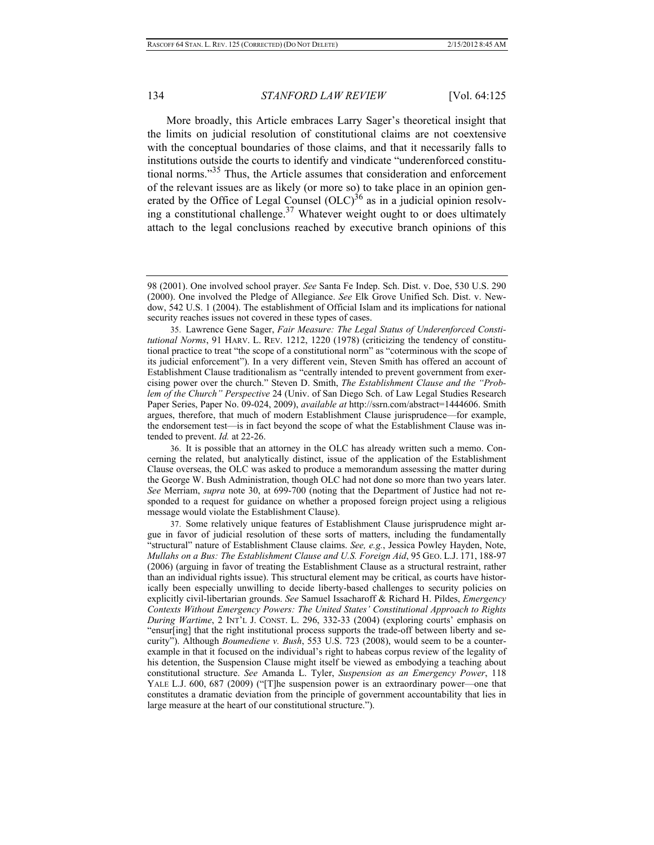More broadly, this Article embraces Larry Sager's theoretical insight that the limits on judicial resolution of constitutional claims are not coextensive with the conceptual boundaries of those claims, and that it necessarily falls to institutions outside the courts to identify and vindicate "underenforced constitutional norms."35 Thus, the Article assumes that consideration and enforcement of the relevant issues are as likely (or more so) to take place in an opinion generated by the Office of Legal Counsel  $(OLC)^{36}$  as in a judicial opinion resolving a constitutional challenge. $37$  Whatever weight ought to or does ultimately attach to the legal conclusions reached by executive branch opinions of this

 36. It is possible that an attorney in the OLC has already written such a memo. Concerning the related, but analytically distinct, issue of the application of the Establishment Clause overseas, the OLC was asked to produce a memorandum assessing the matter during the George W. Bush Administration, though OLC had not done so more than two years later. *See* Merriam, *supra* note 30, at 699-700 (noting that the Department of Justice had not responded to a request for guidance on whether a proposed foreign project using a religious message would violate the Establishment Clause).

 37. Some relatively unique features of Establishment Clause jurisprudence might argue in favor of judicial resolution of these sorts of matters, including the fundamentally "structural" nature of Establishment Clause claims. *See, e.g.*, Jessica Powley Hayden, Note, *Mullahs on a Bus: The Establishment Clause and U.S. Foreign Aid*, 95 GEO. L.J. 171, 188-97 (2006) (arguing in favor of treating the Establishment Clause as a structural restraint, rather than an individual rights issue). This structural element may be critical, as courts have historically been especially unwilling to decide liberty-based challenges to security policies on explicitly civil-libertarian grounds. *See* Samuel Issacharoff & Richard H. Pildes, *Emergency Contexts Without Emergency Powers: The United States' Constitutional Approach to Rights During Wartime*, 2 INT'L J. CONST. L. 296, 332-33 (2004) (exploring courts' emphasis on "ensur[ing] that the right institutional process supports the trade-off between liberty and security"). Although *Boumediene v. Bush*, 553 U.S. 723 (2008), would seem to be a counterexample in that it focused on the individual's right to habeas corpus review of the legality of his detention, the Suspension Clause might itself be viewed as embodying a teaching about constitutional structure. *See* Amanda L. Tyler, *Suspension as an Emergency Power*, 118 YALE L.J. 600, 687 (2009) ("[T]he suspension power is an extraordinary power—one that constitutes a dramatic deviation from the principle of government accountability that lies in large measure at the heart of our constitutional structure.").

<sup>98 (2001).</sup> One involved school prayer. *See* Santa Fe Indep. Sch. Dist. v. Doe, 530 U.S. 290 (2000). One involved the Pledge of Allegiance. *See* Elk Grove Unified Sch. Dist. v. Newdow, 542 U.S. 1 (2004). The establishment of Official Islam and its implications for national security reaches issues not covered in these types of cases.

 <sup>35.</sup> Lawrence Gene Sager, *Fair Measure: The Legal Status of Underenforced Constitutional Norms*, 91 HARV. L. REV. 1212, 1220 (1978) (criticizing the tendency of constitutional practice to treat "the scope of a constitutional norm" as "coterminous with the scope of its judicial enforcement"). In a very different vein, Steven Smith has offered an account of Establishment Clause traditionalism as "centrally intended to prevent government from exercising power over the church." Steven D. Smith, *The Establishment Clause and the "Problem of the Church" Perspective* 24 (Univ. of San Diego Sch. of Law Legal Studies Research Paper Series, Paper No. 09-024, 2009), *available at* http://ssrn.com/abstract=1444606. Smith argues, therefore, that much of modern Establishment Clause jurisprudence—for example, the endorsement test—is in fact beyond the scope of what the Establishment Clause was intended to prevent. *Id.* at 22-26.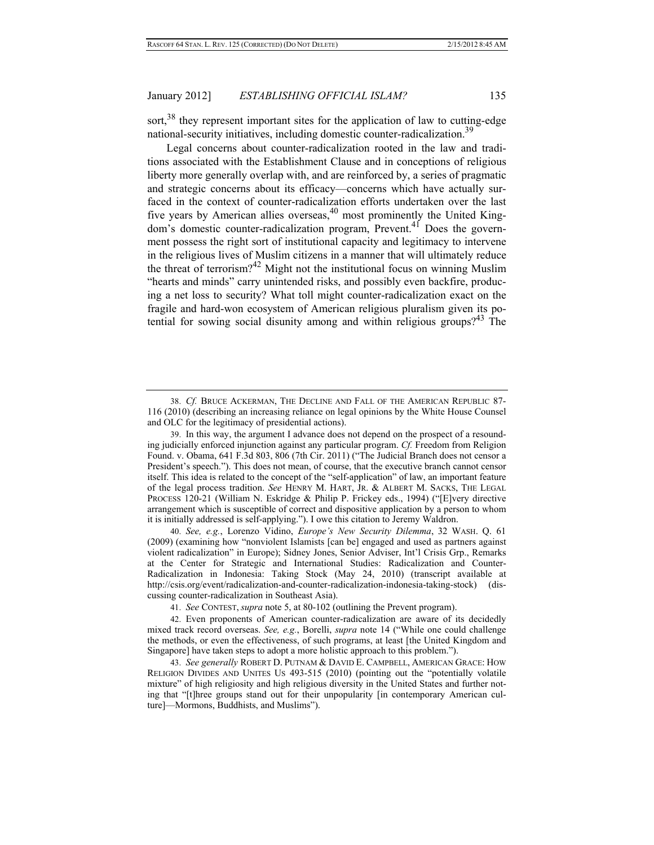sort,<sup>38</sup> they represent important sites for the application of law to cutting-edge national-security initiatives, including domestic counter-radicalization.<sup>39</sup>

Legal concerns about counter-radicalization rooted in the law and traditions associated with the Establishment Clause and in conceptions of religious liberty more generally overlap with, and are reinforced by, a series of pragmatic and strategic concerns about its efficacy—concerns which have actually surfaced in the context of counter-radicalization efforts undertaken over the last five years by American allies overseas,  $40$  most prominently the United Kingdom's domestic counter-radicalization program, Prevent.41 Does the government possess the right sort of institutional capacity and legitimacy to intervene in the religious lives of Muslim citizens in a manner that will ultimately reduce the threat of terrorism?<sup>42</sup> Might not the institutional focus on winning Muslim "hearts and minds" carry unintended risks, and possibly even backfire, producing a net loss to security? What toll might counter-radicalization exact on the fragile and hard-won ecosystem of American religious pluralism given its potential for sowing social disunity among and within religious groups?<sup>43</sup> The

 40. *See, e.g.*, Lorenzo Vidino, *Europe's New Security Dilemma*, 32 WASH. Q. 61 (2009) (examining how "nonviolent Islamists [can be] engaged and used as partners against violent radicalization" in Europe); Sidney Jones, Senior Adviser, Int'l Crisis Grp., Remarks at the Center for Strategic and International Studies: Radicalization and Counter-Radicalization in Indonesia: Taking Stock (May 24, 2010) (transcript available at http://csis.org/event/radicalization-and-counter-radicalization-indonesia-taking-stock) (discussing counter-radicalization in Southeast Asia).

41. *See* CONTEST, *supra* note 5, at 80-102 (outlining the Prevent program).

 42. Even proponents of American counter-radicalization are aware of its decidedly mixed track record overseas. *See, e.g.*, Borelli, *supra* note 14 ("While one could challenge the methods, or even the effectiveness, of such programs, at least [the United Kingdom and Singapore] have taken steps to adopt a more holistic approach to this problem.").

 43. *See generally* ROBERT D. PUTNAM & DAVID E. CAMPBELL, AMERICAN GRACE: HOW RELIGION DIVIDES AND UNITES US 493-515 (2010) (pointing out the "potentially volatile mixture" of high religiosity and high religious diversity in the United States and further noting that "[t]hree groups stand out for their unpopularity [in contemporary American culture]—Mormons, Buddhists, and Muslims").

 <sup>38.</sup> *Cf.* BRUCE ACKERMAN, THE DECLINE AND FALL OF THE AMERICAN REPUBLIC 87- 116 (2010) (describing an increasing reliance on legal opinions by the White House Counsel and OLC for the legitimacy of presidential actions).

 <sup>39.</sup> In this way, the argument I advance does not depend on the prospect of a resounding judicially enforced injunction against any particular program. *Cf.* Freedom from Religion Found. v. Obama, 641 F.3d 803, 806 (7th Cir. 2011) ("The Judicial Branch does not censor a President's speech."). This does not mean, of course, that the executive branch cannot censor itself. This idea is related to the concept of the "self-application" of law, an important feature of the legal process tradition. *See* HENRY M. HART, JR. & ALBERT M. SACKS, THE LEGAL PROCESS 120-21 (William N. Eskridge & Philip P. Frickey eds., 1994) ("[E]very directive arrangement which is susceptible of correct and dispositive application by a person to whom it is initially addressed is self-applying."). I owe this citation to Jeremy Waldron.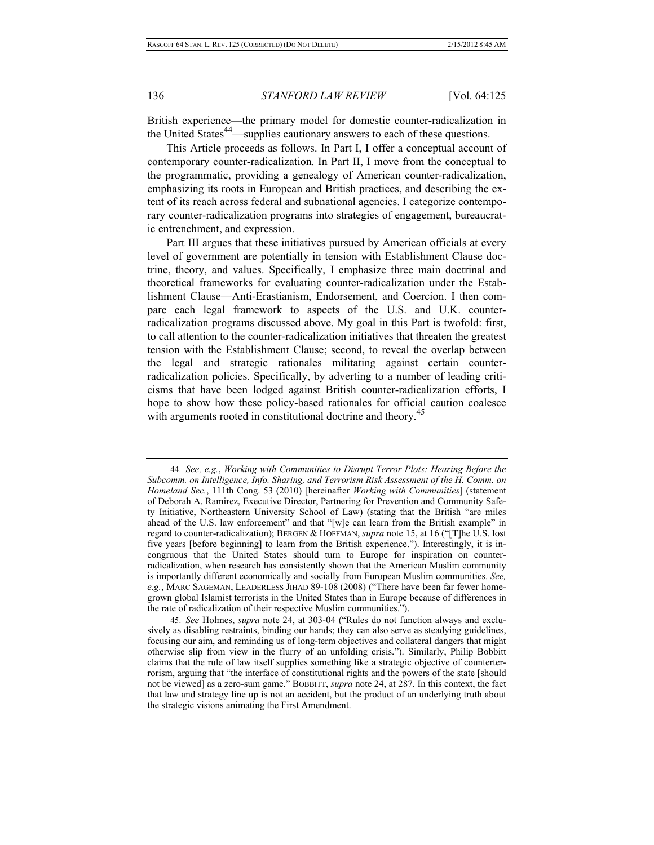British experience—the primary model for domestic counter-radicalization in the United States<sup>44</sup>—supplies cautionary answers to each of these questions.

This Article proceeds as follows. In Part I, I offer a conceptual account of contemporary counter-radicalization. In Part II, I move from the conceptual to the programmatic, providing a genealogy of American counter-radicalization, emphasizing its roots in European and British practices, and describing the extent of its reach across federal and subnational agencies. I categorize contemporary counter-radicalization programs into strategies of engagement, bureaucratic entrenchment, and expression.

Part III argues that these initiatives pursued by American officials at every level of government are potentially in tension with Establishment Clause doctrine, theory, and values. Specifically, I emphasize three main doctrinal and theoretical frameworks for evaluating counter-radicalization under the Establishment Clause—Anti-Erastianism, Endorsement, and Coercion. I then compare each legal framework to aspects of the U.S. and U.K. counterradicalization programs discussed above. My goal in this Part is twofold: first, to call attention to the counter-radicalization initiatives that threaten the greatest tension with the Establishment Clause; second, to reveal the overlap between the legal and strategic rationales militating against certain counterradicalization policies. Specifically, by adverting to a number of leading criticisms that have been lodged against British counter-radicalization efforts, I hope to show how these policy-based rationales for official caution coalesce with arguments rooted in constitutional doctrine and theory.<sup>45</sup>

 <sup>44.</sup> *See, e.g.*, *Working with Communities to Disrupt Terror Plots: Hearing Before the Subcomm. on Intelligence, Info. Sharing, and Terrorism Risk Assessment of the H. Comm. on Homeland Sec.*, 111th Cong. 53 (2010) [hereinafter *Working with Communities*] (statement of Deborah A. Ramirez, Executive Director, Partnering for Prevention and Community Safety Initiative, Northeastern University School of Law) (stating that the British "are miles ahead of the U.S. law enforcement" and that "[w]e can learn from the British example" in regard to counter-radicalization); BERGEN & HOFFMAN, *supra* note 15, at 16 ("[T]he U.S. lost five years [before beginning] to learn from the British experience."). Interestingly, it is incongruous that the United States should turn to Europe for inspiration on counterradicalization, when research has consistently shown that the American Muslim community is importantly different economically and socially from European Muslim communities. *See, e.g.*, MARC SAGEMAN, LEADERLESS JIHAD 89-108 (2008) ("There have been far fewer homegrown global Islamist terrorists in the United States than in Europe because of differences in the rate of radicalization of their respective Muslim communities.").

 <sup>45.</sup> *See* Holmes, *supra* note 24, at 303-04 ("Rules do not function always and exclusively as disabling restraints, binding our hands; they can also serve as steadying guidelines, focusing our aim, and reminding us of long-term objectives and collateral dangers that might otherwise slip from view in the flurry of an unfolding crisis."). Similarly, Philip Bobbitt claims that the rule of law itself supplies something like a strategic objective of counterterrorism, arguing that "the interface of constitutional rights and the powers of the state [should not be viewed] as a zero-sum game." BOBBITT, *supra* note 24, at 287. In this context, the fact that law and strategy line up is not an accident, but the product of an underlying truth about the strategic visions animating the First Amendment.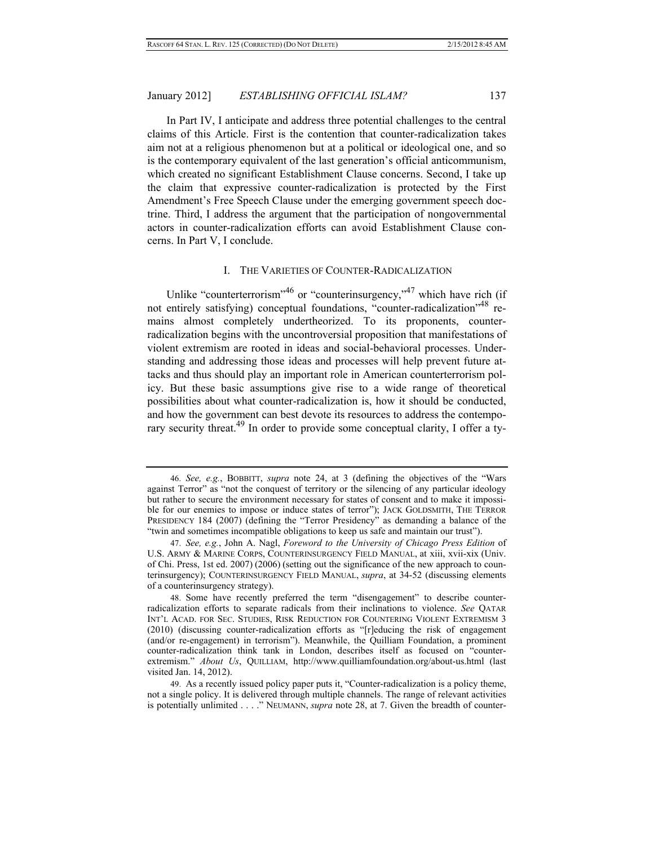In Part IV, I anticipate and address three potential challenges to the central claims of this Article. First is the contention that counter-radicalization takes aim not at a religious phenomenon but at a political or ideological one, and so is the contemporary equivalent of the last generation's official anticommunism, which created no significant Establishment Clause concerns. Second, I take up the claim that expressive counter-radicalization is protected by the First Amendment's Free Speech Clause under the emerging government speech doctrine. Third, I address the argument that the participation of nongovernmental actors in counter-radicalization efforts can avoid Establishment Clause concerns. In Part V, I conclude.

#### I. THE VARIETIES OF COUNTER-RADICALIZATION

Unlike "counterterrorism"<sup>46</sup> or "counterinsurgency,"<sup>47</sup> which have rich (if not entirely satisfying) conceptual foundations, "counter-radicalization" remains almost completely undertheorized. To its proponents, counterradicalization begins with the uncontroversial proposition that manifestations of violent extremism are rooted in ideas and social-behavioral processes. Understanding and addressing those ideas and processes will help prevent future attacks and thus should play an important role in American counterterrorism policy. But these basic assumptions give rise to a wide range of theoretical possibilities about what counter-radicalization is, how it should be conducted, and how the government can best devote its resources to address the contemporary security threat.<sup>49</sup> In order to provide some conceptual clarity, I offer a ty-

 <sup>46.</sup> *See, e.g.*, BOBBITT, *supra* note 24, at 3 (defining the objectives of the "Wars against Terror" as "not the conquest of territory or the silencing of any particular ideology but rather to secure the environment necessary for states of consent and to make it impossible for our enemies to impose or induce states of terror"); JACK GOLDSMITH, THE TERROR PRESIDENCY 184 (2007) (defining the "Terror Presidency" as demanding a balance of the "twin and sometimes incompatible obligations to keep us safe and maintain our trust").

 <sup>47.</sup> *See, e.g.*, John A. Nagl, *Foreword to the University of Chicago Press Edition* of U.S. ARMY & MARINE CORPS, COUNTERINSURGENCY FIELD MANUAL, at xiii, xvii-xix (Univ. of Chi. Press, 1st ed. 2007) (2006) (setting out the significance of the new approach to counterinsurgency); COUNTERINSURGENCY FIELD MANUAL, *supra*, at 34-52 (discussing elements of a counterinsurgency strategy).

 <sup>48.</sup> Some have recently preferred the term "disengagement" to describe counterradicalization efforts to separate radicals from their inclinations to violence. *See* QATAR INT'L ACAD. FOR SEC. STUDIES, RISK REDUCTION FOR COUNTERING VIOLENT EXTREMISM 3 (2010) (discussing counter-radicalization efforts as "[r]educing the risk of engagement (and/or re-engagement) in terrorism"). Meanwhile, the Quilliam Foundation, a prominent counter-radicalization think tank in London, describes itself as focused on "counterextremism." *About Us*, QUILLIAM, http://www.quilliamfoundation.org/about-us.html (last visited Jan. 14, 2012).

 <sup>49.</sup> As a recently issued policy paper puts it, "Counter-radicalization is a policy theme, not a single policy. It is delivered through multiple channels. The range of relevant activities is potentially unlimited . . . ." NEUMANN, *supra* note 28, at 7. Given the breadth of counter-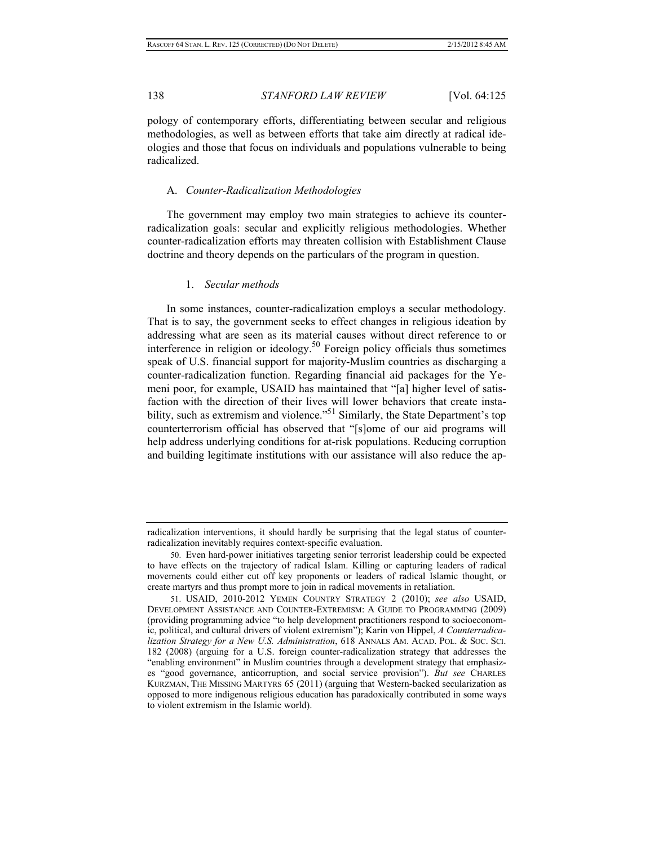pology of contemporary efforts, differentiating between secular and religious methodologies, as well as between efforts that take aim directly at radical ideologies and those that focus on individuals and populations vulnerable to being radicalized.

#### A. *Counter-Radicalization Methodologies*

The government may employ two main strategies to achieve its counterradicalization goals: secular and explicitly religious methodologies. Whether counter-radicalization efforts may threaten collision with Establishment Clause doctrine and theory depends on the particulars of the program in question.

#### 1. *Secular methods*

In some instances, counter-radicalization employs a secular methodology. That is to say, the government seeks to effect changes in religious ideation by addressing what are seen as its material causes without direct reference to or interference in religion or ideology.<sup>50</sup> Foreign policy officials thus sometimes speak of U.S. financial support for majority-Muslim countries as discharging a counter-radicalization function. Regarding financial aid packages for the Yemeni poor, for example, USAID has maintained that "[a] higher level of satisfaction with the direction of their lives will lower behaviors that create instability, such as extremism and violence."<sup>51</sup> Similarly, the State Department's top counterterrorism official has observed that "[s]ome of our aid programs will help address underlying conditions for at-risk populations. Reducing corruption and building legitimate institutions with our assistance will also reduce the ap-

radicalization interventions, it should hardly be surprising that the legal status of counterradicalization inevitably requires context-specific evaluation.

 <sup>50.</sup> Even hard-power initiatives targeting senior terrorist leadership could be expected to have effects on the trajectory of radical Islam. Killing or capturing leaders of radical movements could either cut off key proponents or leaders of radical Islamic thought, or create martyrs and thus prompt more to join in radical movements in retaliation.

 <sup>51.</sup> USAID, 2010-2012 YEMEN COUNTRY STRATEGY 2 (2010); *see also* USAID, DEVELOPMENT ASSISTANCE AND COUNTER-EXTREMISM: A GUIDE TO PROGRAMMING (2009) (providing programming advice "to help development practitioners respond to socioeconomic, political, and cultural drivers of violent extremism"); Karin von Hippel, *A Counterradicalization Strategy for a New U.S. Administration*, 618 ANNALS AM. ACAD. POL. & SOC. SCI. 182 (2008) (arguing for a U.S. foreign counter-radicalization strategy that addresses the "enabling environment" in Muslim countries through a development strategy that emphasizes "good governance, anticorruption, and social service provision"). *But see* CHARLES KURZMAN, THE MISSING MARTYRS 65 (2011) (arguing that Western-backed secularization as opposed to more indigenous religious education has paradoxically contributed in some ways to violent extremism in the Islamic world).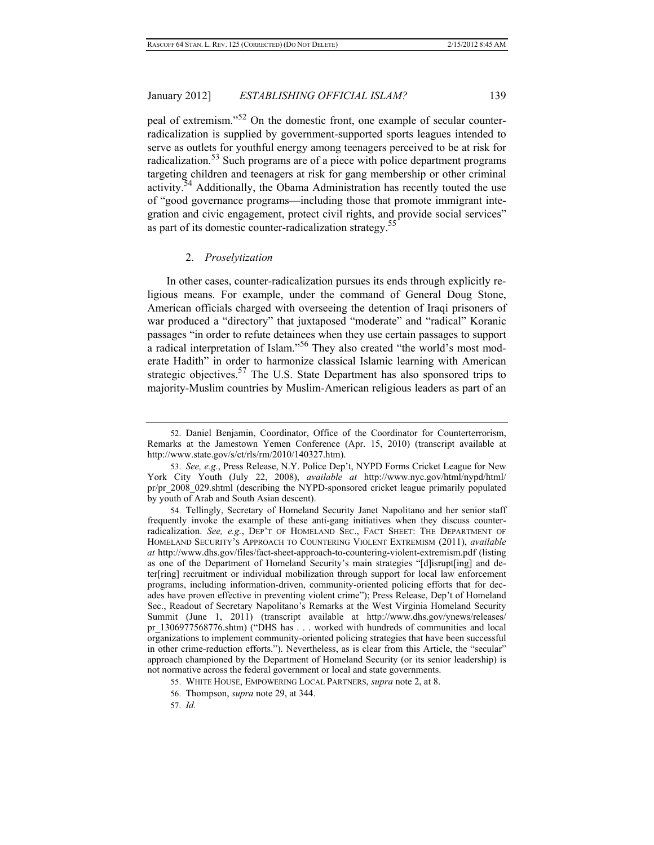peal of extremism."52 On the domestic front, one example of secular counterradicalization is supplied by government-supported sports leagues intended to serve as outlets for youthful energy among teenagers perceived to be at risk for radicalization.<sup>53</sup> Such programs are of a piece with police department programs targeting children and teenagers at risk for gang membership or other criminal activity.<sup>54</sup> Additionally, the Obama Administration has recently touted the use of "good governance programs—including those that promote immigrant integration and civic engagement, protect civil rights, and provide social services" as part of its domestic counter-radicalization strategy.<sup>55</sup>

#### 2. *Proselytization*

In other cases, counter-radicalization pursues its ends through explicitly religious means. For example, under the command of General Doug Stone, American officials charged with overseeing the detention of Iraqi prisoners of war produced a "directory" that juxtaposed "moderate" and "radical" Koranic passages "in order to refute detainees when they use certain passages to support a radical interpretation of Islam."56 They also created "the world's most moderate Hadith" in order to harmonize classical Islamic learning with American strategic objectives.<sup>57</sup> The U.S. State Department has also sponsored trips to majority-Muslim countries by Muslim-American religious leaders as part of an

 <sup>52.</sup> Daniel Benjamin, Coordinator, Office of the Coordinator for Counterterrorism, Remarks at the Jamestown Yemen Conference (Apr. 15, 2010) (transcript available at http://www.state.gov/s/ct/rls/rm/2010/140327.htm).

 <sup>53.</sup> *See, e.g.*, Press Release, N.Y. Police Dep't, NYPD Forms Cricket League for New York City Youth (July 22, 2008), *available at* http://www.nyc.gov/html/nypd/html/ pr/pr 2008 029.shtml (describing the NYPD-sponsored cricket league primarily populated by youth of Arab and South Asian descent).

 <sup>54.</sup> Tellingly, Secretary of Homeland Security Janet Napolitano and her senior staff frequently invoke the example of these anti-gang initiatives when they discuss counterradicalization. *See, e.g.*, DEP'T OF HOMELAND SEC., FACT SHEET: THE DEPARTMENT OF HOMELAND SECURITY'S APPROACH TO COUNTERING VIOLENT EXTREMISM (2011), *available at* http://www.dhs.gov/files/fact-sheet-approach-to-countering-violent-extremism.pdf (listing as one of the Department of Homeland Security's main strategies "[d]isrupt[ing] and deter[ring] recruitment or individual mobilization through support for local law enforcement programs, including information-driven, community-oriented policing efforts that for decades have proven effective in preventing violent crime"); Press Release, Dep't of Homeland Sec., Readout of Secretary Napolitano's Remarks at the West Virginia Homeland Security Summit (June 1, 2011) (transcript available at http://www.dhs.gov/ynews/releases/ pr 1306977568776.shtm) ("DHS has . . . worked with hundreds of communities and local organizations to implement community-oriented policing strategies that have been successful in other crime-reduction efforts."). Nevertheless, as is clear from this Article, the "secular" approach championed by the Department of Homeland Security (or its senior leadership) is not normative across the federal government or local and state governments.

 <sup>55.</sup> WHITE HOUSE, EMPOWERING LOCAL PARTNERS, *supra* note 2, at 8.

 <sup>56.</sup> Thompson, *supra* note 29, at 344.

 <sup>57.</sup> *Id.*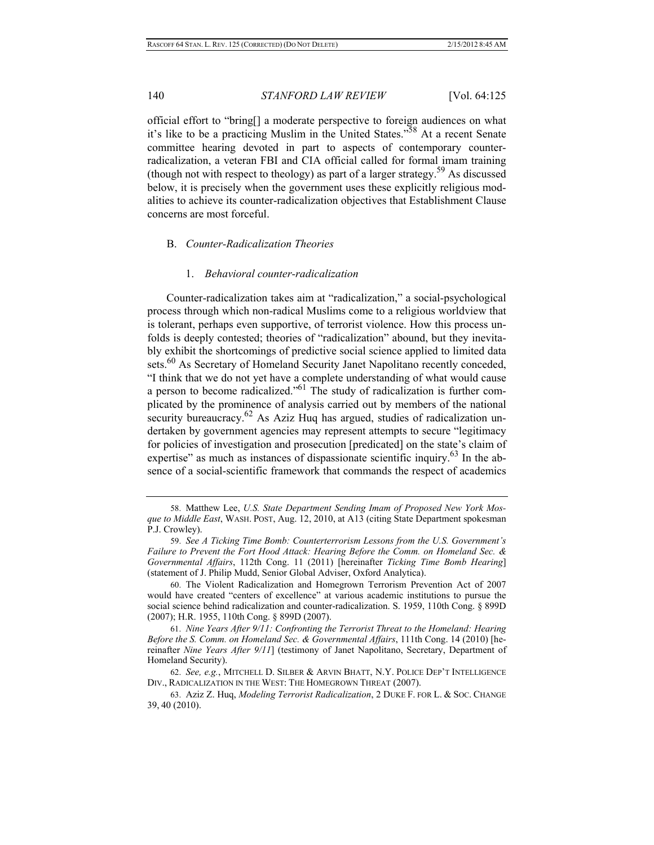official effort to "bring[] a moderate perspective to foreign audiences on what it's like to be a practicing Muslim in the United States."58 At a recent Senate committee hearing devoted in part to aspects of contemporary counterradicalization, a veteran FBI and CIA official called for formal imam training (though not with respect to theology) as part of a larger strategy.<sup>59</sup> As discussed below, it is precisely when the government uses these explicitly religious modalities to achieve its counter-radicalization objectives that Establishment Clause concerns are most forceful.

## B. *Counter-Radicalization Theories*

#### 1. *Behavioral counter-radicalization*

Counter-radicalization takes aim at "radicalization," a social-psychological process through which non-radical Muslims come to a religious worldview that is tolerant, perhaps even supportive, of terrorist violence. How this process unfolds is deeply contested; theories of "radicalization" abound, but they inevitably exhibit the shortcomings of predictive social science applied to limited data sets.<sup>60</sup> As Secretary of Homeland Security Janet Napolitano recently conceded, "I think that we do not yet have a complete understanding of what would cause a person to become radicalized."61 The study of radicalization is further complicated by the prominence of analysis carried out by members of the national security bureaucracy.<sup>62</sup> As Aziz Huq has argued, studies of radicalization undertaken by government agencies may represent attempts to secure "legitimacy for policies of investigation and prosecution [predicated] on the state's claim of expertise" as much as instances of dispassionate scientific inquiry. $63$  In the absence of a social-scientific framework that commands the respect of academics

 61. *Nine Years After 9/11: Confronting the Terrorist Threat to the Homeland: Hearing Before the S. Comm. on Homeland Sec. & Governmental Affairs*, 111th Cong. 14 (2010) [hereinafter *Nine Years After 9/11*] (testimony of Janet Napolitano, Secretary, Department of Homeland Security).

 <sup>58.</sup> Matthew Lee, *U.S. State Department Sending Imam of Proposed New York Mosque to Middle East*, WASH. POST, Aug. 12, 2010, at A13 (citing State Department spokesman P.J. Crowley).

 <sup>59.</sup> *See A Ticking Time Bomb: Counterterrorism Lessons from the U.S. Government's Failure to Prevent the Fort Hood Attack: Hearing Before the Comm. on Homeland Sec. & Governmental Affairs*, 112th Cong. 11 (2011) [hereinafter *Ticking Time Bomb Hearing*] (statement of J. Philip Mudd, Senior Global Adviser, Oxford Analytica).

 <sup>60.</sup> The Violent Radicalization and Homegrown Terrorism Prevention Act of 2007 would have created "centers of excellence" at various academic institutions to pursue the social science behind radicalization and counter-radicalization. S. 1959, 110th Cong. § 899D (2007); H.R. 1955, 110th Cong. § 899D (2007).

 <sup>62.</sup> *See, e.g.*, MITCHELL D. SILBER & ARVIN BHATT, N.Y. POLICE DEP'T INTELLIGENCE DIV., RADICALIZATION IN THE WEST: THE HOMEGROWN THREAT (2007).

 <sup>63.</sup> Aziz Z. Huq, *Modeling Terrorist Radicalization*, 2 DUKE F. FOR L. & SOC. CHANGE 39, 40 (2010).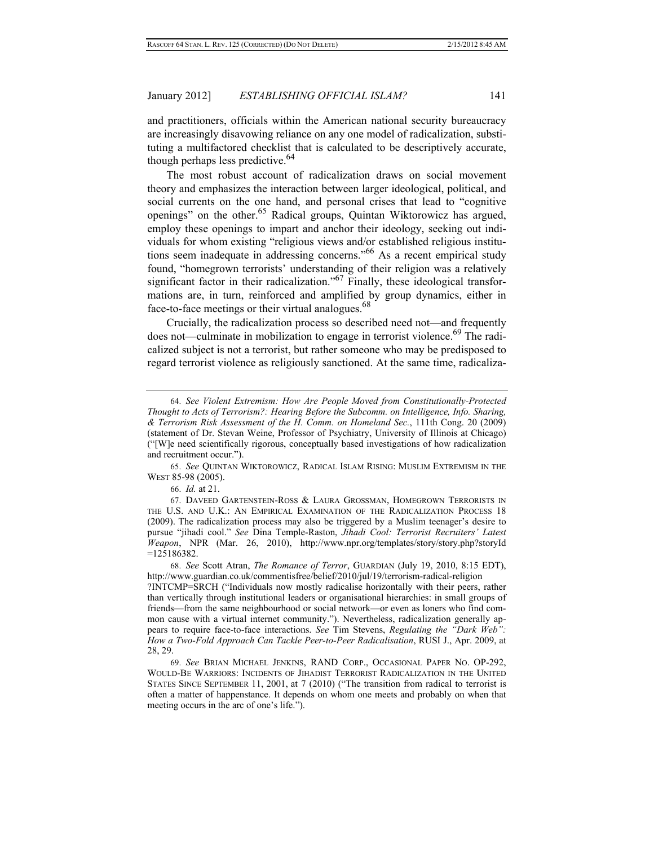and practitioners, officials within the American national security bureaucracy are increasingly disavowing reliance on any one model of radicalization, substituting a multifactored checklist that is calculated to be descriptively accurate, though perhaps less predictive.  $64$ 

The most robust account of radicalization draws on social movement theory and emphasizes the interaction between larger ideological, political, and social currents on the one hand, and personal crises that lead to "cognitive openings" on the other.<sup>65</sup> Radical groups, Quintan Wiktorowicz has argued, employ these openings to impart and anchor their ideology, seeking out individuals for whom existing "religious views and/or established religious institutions seem inadequate in addressing concerns."66 As a recent empirical study found, "homegrown terrorists' understanding of their religion was a relatively significant factor in their radicalization."<sup>67</sup> Finally, these ideological transformations are, in turn, reinforced and amplified by group dynamics, either in face-to-face meetings or their virtual analogues.<sup>68</sup>

Crucially, the radicalization process so described need not—and frequently does not—culminate in mobilization to engage in terrorist violence.<sup>69</sup> The radicalized subject is not a terrorist, but rather someone who may be predisposed to regard terrorist violence as religiously sanctioned. At the same time, radicaliza-

 65. *See* QUINTAN WIKTOROWICZ, RADICAL ISLAM RISING: MUSLIM EXTREMISM IN THE WEST 85-98 (2005).

66. *Id.* at 21.

 67. DAVEED GARTENSTEIN-ROSS & LAURA GROSSMAN, HOMEGROWN TERRORISTS IN THE U.S. AND U.K.: AN EMPIRICAL EXAMINATION OF THE RADICALIZATION PROCESS 18 (2009). The radicalization process may also be triggered by a Muslim teenager's desire to pursue "jihadi cool." *See* Dina Temple-Raston, *Jihadi Cool: Terrorist Recruiters' Latest Weapon*, NPR (Mar. 26, 2010), http://www.npr.org/templates/story/story.php?storyId =125186382.

 68. *See* Scott Atran, *The Romance of Terror*, GUARDIAN (July 19, 2010, 8:15 EDT), http://www.guardian.co.uk/commentisfree/belief/2010/jul/19/terrorism-radical-religion ?INTCMP=SRCH ("Individuals now mostly radicalise horizontally with their peers, rather than vertically through institutional leaders or organisational hierarchies: in small groups of friends—from the same neighbourhood or social network—or even as loners who find common cause with a virtual internet community."). Nevertheless, radicalization generally appears to require face-to-face interactions. *See* Tim Stevens, *Regulating the "Dark Web": How a Two-Fold Approach Can Tackle Peer-to-Peer Radicalisation*, RUSI J., Apr. 2009, at 28, 29.

 69. *See* BRIAN MICHAEL JENKINS, RAND CORP., OCCASIONAL PAPER NO. OP-292, WOULD-BE WARRIORS: INCIDENTS OF JIHADIST TERRORIST RADICALIZATION IN THE UNITED STATES SINCE SEPTEMBER 11, 2001, at 7 (2010) ("The transition from radical to terrorist is often a matter of happenstance. It depends on whom one meets and probably on when that meeting occurs in the arc of one's life.").

 <sup>64.</sup> *See Violent Extremism: How Are People Moved from Constitutionally-Protected Thought to Acts of Terrorism?: Hearing Before the Subcomm. on Intelligence, Info. Sharing, & Terrorism Risk Assessment of the H. Comm. on Homeland Sec.*, 111th Cong. 20 (2009) (statement of Dr. Stevan Weine, Professor of Psychiatry, University of Illinois at Chicago) ("[W]e need scientifically rigorous, conceptually based investigations of how radicalization and recruitment occur.").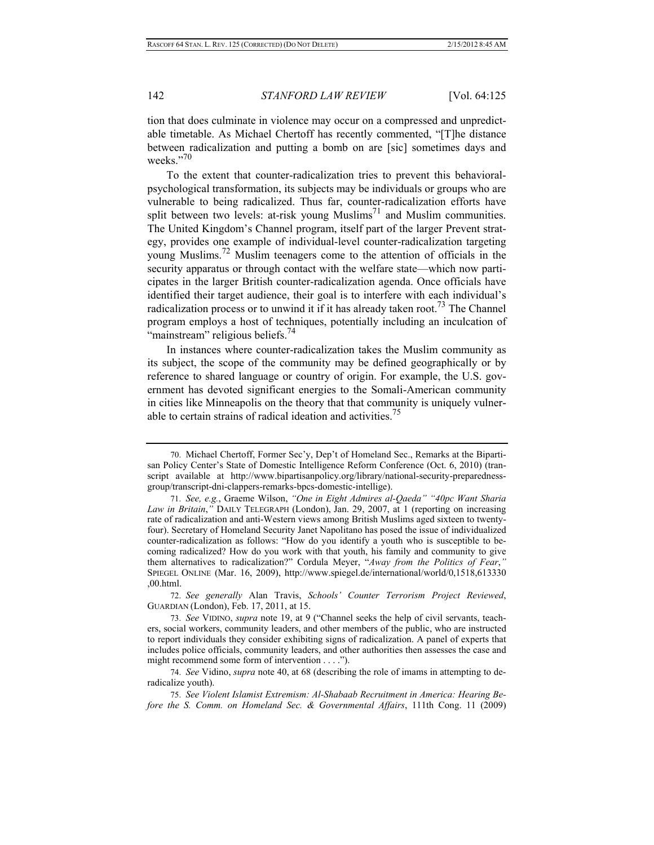tion that does culminate in violence may occur on a compressed and unpredictable timetable. As Michael Chertoff has recently commented, "[T]he distance between radicalization and putting a bomb on are [sic] sometimes days and weeks."70

To the extent that counter-radicalization tries to prevent this behavioralpsychological transformation, its subjects may be individuals or groups who are vulnerable to being radicalized. Thus far, counter-radicalization efforts have split between two levels: at-risk young Muslims<sup>71</sup> and Muslim communities. The United Kingdom's Channel program, itself part of the larger Prevent strategy, provides one example of individual-level counter-radicalization targeting young Muslims.72 Muslim teenagers come to the attention of officials in the security apparatus or through contact with the welfare state—which now participates in the larger British counter-radicalization agenda. Once officials have identified their target audience, their goal is to interfere with each individual's radicalization process or to unwind it if it has already taken root.<sup>73</sup> The Channel program employs a host of techniques, potentially including an inculcation of "mainstream" religious beliefs.<sup>74</sup>

In instances where counter-radicalization takes the Muslim community as its subject, the scope of the community may be defined geographically or by reference to shared language or country of origin. For example, the U.S. government has devoted significant energies to the Somali-American community in cities like Minneapolis on the theory that that community is uniquely vulnerable to certain strains of radical ideation and activities.<sup>75</sup>

 72. *See generally* Alan Travis, *Schools' Counter Terrorism Project Reviewed*, GUARDIAN (London), Feb. 17, 2011, at 15.

 73. *See* VIDINO, *supra* note 19, at 9 ("Channel seeks the help of civil servants, teachers, social workers, community leaders, and other members of the public, who are instructed to report individuals they consider exhibiting signs of radicalization. A panel of experts that includes police officials, community leaders, and other authorities then assesses the case and might recommend some form of intervention . . . .").

 74. *See* Vidino, *supra* note 40, at 68 (describing the role of imams in attempting to deradicalize youth).

 <sup>70.</sup> Michael Chertoff, Former Sec'y, Dep't of Homeland Sec., Remarks at the Bipartisan Policy Center's State of Domestic Intelligence Reform Conference (Oct. 6, 2010) (transcript available at http://www.bipartisanpolicy.org/library/national-security-preparednessgroup/transcript-dni-clappers-remarks-bpcs-domestic-intellige).

 <sup>71.</sup> *See, e.g.*, Graeme Wilson, *"One in Eight Admires al-Qaeda" "40pc Want Sharia Law in Britain*,*"* DAILY TELEGRAPH (London), Jan. 29, 2007, at 1 (reporting on increasing rate of radicalization and anti-Western views among British Muslims aged sixteen to twentyfour). Secretary of Homeland Security Janet Napolitano has posed the issue of individualized counter-radicalization as follows: "How do you identify a youth who is susceptible to becoming radicalized? How do you work with that youth, his family and community to give them alternatives to radicalization?" Cordula Meyer, "*Away from the Politics of Fear*,*"* SPIEGEL ONLINE (Mar. 16, 2009), http://www.spiegel.de/international/world/0,1518,613330 ,00.html.

 <sup>75.</sup> *See Violent Islamist Extremism: Al-Shabaab Recruitment in America: Hearing Before the S. Comm. on Homeland Sec. & Governmental Affairs*, 111th Cong. 11 (2009)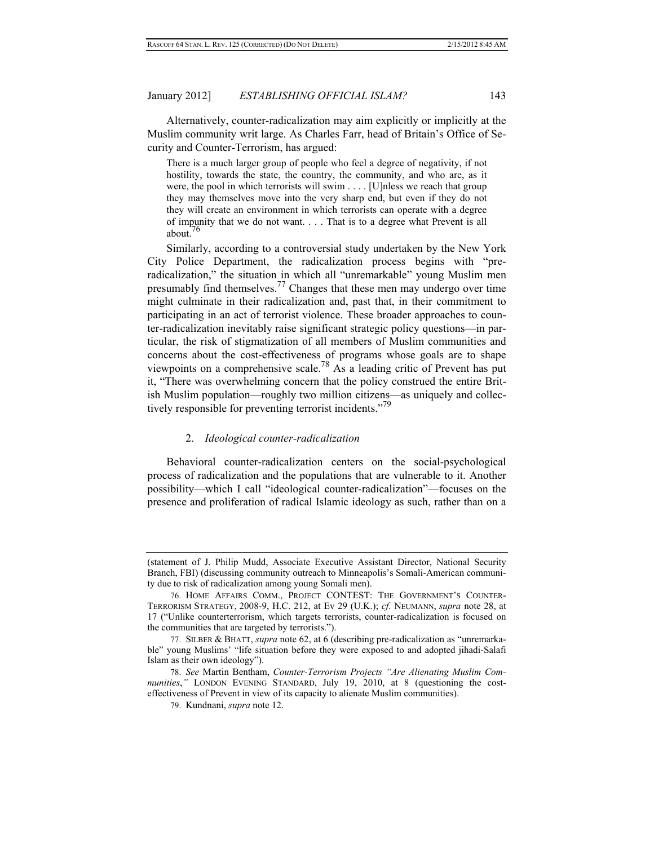Alternatively, counter-radicalization may aim explicitly or implicitly at the Muslim community writ large. As Charles Farr, head of Britain's Office of Security and Counter-Terrorism, has argued:

There is a much larger group of people who feel a degree of negativity, if not hostility, towards the state, the country, the community, and who are, as it were, the pool in which terrorists will swim . . . . [U]nless we reach that group they may themselves move into the very sharp end, but even if they do not they will create an environment in which terrorists can operate with a degree of impunity that we do not want. . . . That is to a degree what Prevent is all about<sup>76</sup>

Similarly, according to a controversial study undertaken by the New York City Police Department, the radicalization process begins with "preradicalization," the situation in which all "unremarkable" young Muslim men presumably find themselves.77 Changes that these men may undergo over time might culminate in their radicalization and, past that, in their commitment to participating in an act of terrorist violence. These broader approaches to counter-radicalization inevitably raise significant strategic policy questions—in particular, the risk of stigmatization of all members of Muslim communities and concerns about the cost-effectiveness of programs whose goals are to shape viewpoints on a comprehensive scale.<sup>78</sup> As a leading critic of Prevent has put it, "There was overwhelming concern that the policy construed the entire British Muslim population—roughly two million citizens—as uniquely and collectively responsible for preventing terrorist incidents."<sup>79</sup>

#### 2. *Ideological counter-radicalization*

Behavioral counter-radicalization centers on the social-psychological process of radicalization and the populations that are vulnerable to it. Another possibility—which I call "ideological counter-radicalization"—focuses on the presence and proliferation of radical Islamic ideology as such, rather than on a

<sup>(</sup>statement of J. Philip Mudd, Associate Executive Assistant Director, National Security Branch, FBI) (discussing community outreach to Minneapolis's Somali-American community due to risk of radicalization among young Somali men).

 <sup>76.</sup> HOME AFFAIRS COMM., PROJECT CONTEST: THE GOVERNMENT'S COUNTER-TERRORISM STRATEGY, 2008-9, H.C. 212, at Ev 29 (U.K.); *cf.* NEUMANN, *supra* note 28, at 17 ("Unlike counterterrorism, which targets terrorists, counter-radicalization is focused on the communities that are targeted by terrorists.").

 <sup>77.</sup> SILBER & BHATT, *supra* note 62, at 6 (describing pre-radicalization as "unremarkable" young Muslims' "life situation before they were exposed to and adopted jihadi-Salafi Islam as their own ideology").

 <sup>78.</sup> *See* Martin Bentham, *Counter-Terrorism Projects "Are Alienating Muslim Communities*,*"* LONDON EVENING STANDARD, July 19, 2010, at 8 (questioning the costeffectiveness of Prevent in view of its capacity to alienate Muslim communities).

 <sup>79.</sup> Kundnani, *supra* note 12.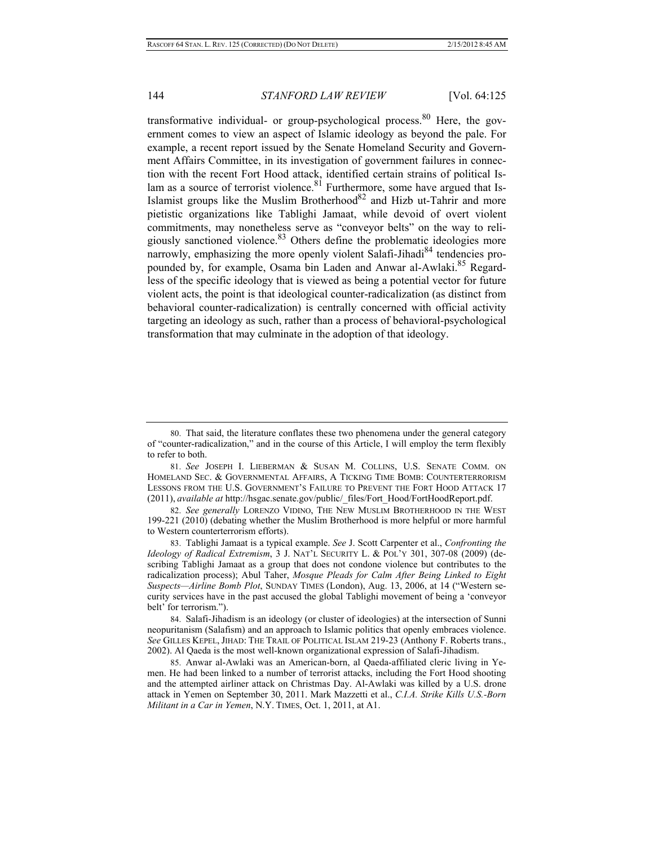transformative individual- or group-psychological process. <sup>80</sup> Here, the government comes to view an aspect of Islamic ideology as beyond the pale. For example, a recent report issued by the Senate Homeland Security and Government Affairs Committee, in its investigation of government failures in connection with the recent Fort Hood attack, identified certain strains of political Islam as a source of terrorist violence.<sup>81</sup> Furthermore, some have argued that Is-Islamist groups like the Muslim Brotherhood<sup>82</sup> and Hizb ut-Tahrir and more pietistic organizations like Tablighi Jamaat, while devoid of overt violent commitments, may nonetheless serve as "conveyor belts" on the way to religiously sanctioned violence.83 Others define the problematic ideologies more narrowly, emphasizing the more openly violent Salafi-Jihadi<sup>84</sup> tendencies propounded by, for example, Osama bin Laden and Anwar al-Awlaki.<sup>85</sup> Regardless of the specific ideology that is viewed as being a potential vector for future violent acts, the point is that ideological counter-radicalization (as distinct from behavioral counter-radicalization) is centrally concerned with official activity targeting an ideology as such, rather than a process of behavioral-psychological transformation that may culminate in the adoption of that ideology.

 <sup>80.</sup> That said, the literature conflates these two phenomena under the general category of "counter-radicalization," and in the course of this Article, I will employ the term flexibly to refer to both.

 <sup>81.</sup> *See* JOSEPH I. LIEBERMAN & SUSAN M. COLLINS, U.S. SENATE COMM. ON HOMELAND SEC. & GOVERNMENTAL AFFAIRS, A TICKING TIME BOMB: COUNTERTERRORISM LESSONS FROM THE U.S. GOVERNMENT'S FAILURE TO PREVENT THE FORT HOOD ATTACK 17 (2011), *available at* http://hsgac.senate.gov/public/\_files/Fort\_Hood/FortHoodReport.pdf.

 <sup>82.</sup> *See generally* LORENZO VIDINO, THE NEW MUSLIM BROTHERHOOD IN THE WEST 199-221 (2010) (debating whether the Muslim Brotherhood is more helpful or more harmful to Western counterterrorism efforts).

 <sup>83.</sup> Tablighi Jamaat is a typical example. *See* J. Scott Carpenter et al., *Confronting the Ideology of Radical Extremism*, 3 J. NAT'L SECURITY L. & POL'Y 301, 307-08 (2009) (describing Tablighi Jamaat as a group that does not condone violence but contributes to the radicalization process); Abul Taher, *Mosque Pleads for Calm After Being Linked to Eight Suspects—Airline Bomb Plot*, SUNDAY TIMES (London), Aug. 13, 2006, at 14 ("Western security services have in the past accused the global Tablighi movement of being a 'conveyor belt' for terrorism.").

 <sup>84.</sup> Salafi-Jihadism is an ideology (or cluster of ideologies) at the intersection of Sunni neopuritanism (Salafism) and an approach to Islamic politics that openly embraces violence. *See* GILLES KEPEL, JIHAD: THE TRAIL OF POLITICAL ISLAM 219-23 (Anthony F. Roberts trans., 2002). Al Qaeda is the most well-known organizational expression of Salafi-Jihadism.

<sup>85.</sup> Anwar al-Awlaki was an American-born, al Qaeda-affiliated cleric living in Yemen. He had been linked to a number of terrorist attacks, including the Fort Hood shooting and the attempted airliner attack on Christmas Day. Al-Awlaki was killed by a U.S. drone attack in Yemen on September 30, 2011. Mark Mazzetti et al., *C.I.A. Strike Kills U.S.-Born Militant in a Car in Yemen*, N.Y. TIMES, Oct. 1, 2011, at A1.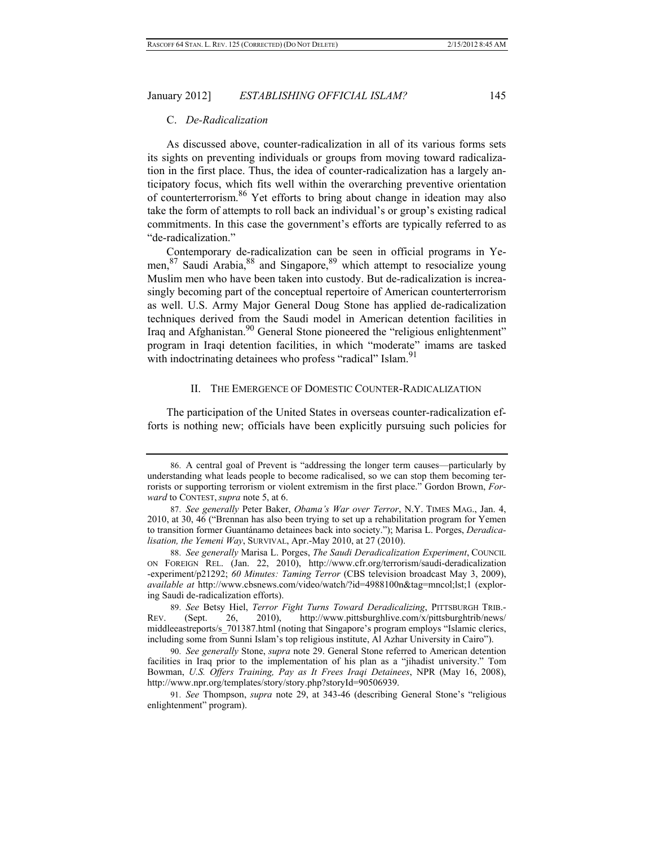#### C. *De-Radicalization*

As discussed above, counter-radicalization in all of its various forms sets its sights on preventing individuals or groups from moving toward radicalization in the first place. Thus, the idea of counter-radicalization has a largely anticipatory focus, which fits well within the overarching preventive orientation of counterterrorism.86 Yet efforts to bring about change in ideation may also take the form of attempts to roll back an individual's or group's existing radical commitments. In this case the government's efforts are typically referred to as "de-radicalization."

Contemporary de-radicalization can be seen in official programs in Yemen,<sup>87</sup> Saudi Arabia,<sup>88</sup> and Singapore,<sup>89</sup> which attempt to resocialize young Muslim men who have been taken into custody. But de-radicalization is increasingly becoming part of the conceptual repertoire of American counterterrorism as well. U.S. Army Major General Doug Stone has applied de-radicalization techniques derived from the Saudi model in American detention facilities in Iraq and Afghanistan.<sup>90</sup> General Stone pioneered the "religious enlightenment" program in Iraqi detention facilities, in which "moderate" imams are tasked with indoctrinating detainees who profess "radical" Islam.<sup>91</sup>

#### II. THE EMERGENCE OF DOMESTIC COUNTER-RADICALIZATION

The participation of the United States in overseas counter-radicalization efforts is nothing new; officials have been explicitly pursuing such policies for

 <sup>86.</sup> A central goal of Prevent is "addressing the longer term causes—particularly by understanding what leads people to become radicalised, so we can stop them becoming terrorists or supporting terrorism or violent extremism in the first place." Gordon Brown, *Forward* to CONTEST, *supra* note 5, at 6.

 <sup>87.</sup> *See generally* Peter Baker, *Obama's War over Terror*, N.Y. TIMES MAG., Jan. 4, 2010, at 30, 46 ("Brennan has also been trying to set up a rehabilitation program for Yemen to transition former Guantánamo detainees back into society."); Marisa L. Porges, *Deradicalisation, the Yemeni Way*, SURVIVAL, Apr.-May 2010, at 27 (2010).

 <sup>88.</sup> *See generally* Marisa L. Porges, *The Saudi Deradicalization Experiment*, COUNCIL ON FOREIGN REL. (Jan. 22, 2010), http://www.cfr.org/terrorism/saudi-deradicalization -experiment/p21292; *60 Minutes: Taming Terror* (CBS television broadcast May 3, 2009), *available at* http://www.cbsnews.com/video/watch/?id=4988100n&tag=mncol;lst;1 (exploring Saudi de-radicalization efforts).

 <sup>89.</sup> *See* Betsy Hiel, *Terror Fight Turns Toward Deradicalizing*, PITTSBURGH TRIB.- REV. (Sept. 26, 2010), http://www.pittsburghlive.com/x/pittsburghtrib/news/ middleeastreports/s\_701387.html (noting that Singapore's program employs "Islamic clerics, including some from Sunni Islam's top religious institute, Al Azhar University in Cairo").

 <sup>90.</sup> *See generally* Stone, *supra* note 29. General Stone referred to American detention facilities in Iraq prior to the implementation of his plan as a "jihadist university." Tom Bowman, *U.S. Offers Training, Pay as It Frees Iraqi Detainees*, NPR (May 16, 2008), http://www.npr.org/templates/story/story.php?storyId=90506939.

 <sup>91.</sup> *See* Thompson, *supra* note 29, at 343-46 (describing General Stone's "religious enlightenment" program).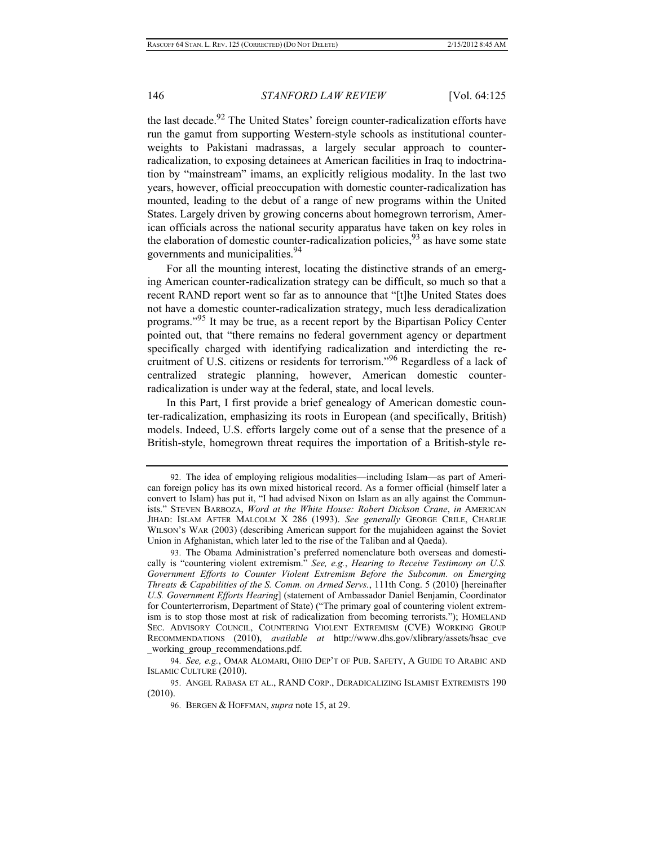the last decade.<sup>92</sup> The United States' foreign counter-radicalization efforts have run the gamut from supporting Western-style schools as institutional counterweights to Pakistani madrassas, a largely secular approach to counterradicalization, to exposing detainees at American facilities in Iraq to indoctrination by "mainstream" imams, an explicitly religious modality. In the last two years, however, official preoccupation with domestic counter-radicalization has mounted, leading to the debut of a range of new programs within the United States. Largely driven by growing concerns about homegrown terrorism, American officials across the national security apparatus have taken on key roles in the elaboration of domestic counter-radicalization policies,  $93$  as have some state governments and municipalities.<sup>94</sup>

For all the mounting interest, locating the distinctive strands of an emerging American counter-radicalization strategy can be difficult, so much so that a recent RAND report went so far as to announce that "[t]he United States does not have a domestic counter-radicalization strategy, much less deradicalization programs."95 It may be true, as a recent report by the Bipartisan Policy Center pointed out, that "there remains no federal government agency or department specifically charged with identifying radicalization and interdicting the recruitment of U.S. citizens or residents for terrorism."96 Regardless of a lack of centralized strategic planning, however, American domestic counterradicalization is under way at the federal, state, and local levels.

In this Part, I first provide a brief genealogy of American domestic counter-radicalization, emphasizing its roots in European (and specifically, British) models. Indeed, U.S. efforts largely come out of a sense that the presence of a British-style, homegrown threat requires the importation of a British-style re-

 <sup>92.</sup> The idea of employing religious modalities—including Islam—as part of American foreign policy has its own mixed historical record. As a former official (himself later a convert to Islam) has put it, "I had advised Nixon on Islam as an ally against the Communists." STEVEN BARBOZA, *Word at the White House: Robert Dickson Crane*, *in* AMERICAN JIHAD: ISLAM AFTER MALCOLM X 286 (1993). *See generally* GEORGE CRILE, CHARLIE WILSON'S WAR (2003) (describing American support for the mujahideen against the Soviet Union in Afghanistan, which later led to the rise of the Taliban and al Qaeda).

 <sup>93.</sup> The Obama Administration's preferred nomenclature both overseas and domestically is "countering violent extremism." *See, e.g.*, *Hearing to Receive Testimony on U.S. Government Efforts to Counter Violent Extremism Before the Subcomm. on Emerging Threats & Capabilities of the S. Comm. on Armed Servs.*, 111th Cong. 5 (2010) [hereinafter *U.S. Government Efforts Hearing*] (statement of Ambassador Daniel Benjamin, Coordinator for Counterterrorism, Department of State) ("The primary goal of countering violent extremism is to stop those most at risk of radicalization from becoming terrorists."); HOMELAND SEC. ADVISORY COUNCIL, COUNTERING VIOLENT EXTREMISM (CVE) WORKING GROUP RECOMMENDATIONS (2010), *available at* http://www.dhs.gov/xlibrary/assets/hsac\_cve working group recommendations.pdf.

 <sup>94.</sup> *See, e.g.*, OMAR ALOMARI, OHIO DEP'T OF PUB. SAFETY, A GUIDE TO ARABIC AND ISLAMIC CULTURE (2010).

 <sup>95.</sup> ANGEL RABASA ET AL., RAND CORP., DERADICALIZING ISLAMIST EXTREMISTS 190 (2010).

 <sup>96.</sup> BERGEN & HOFFMAN, *supra* note 15, at 29.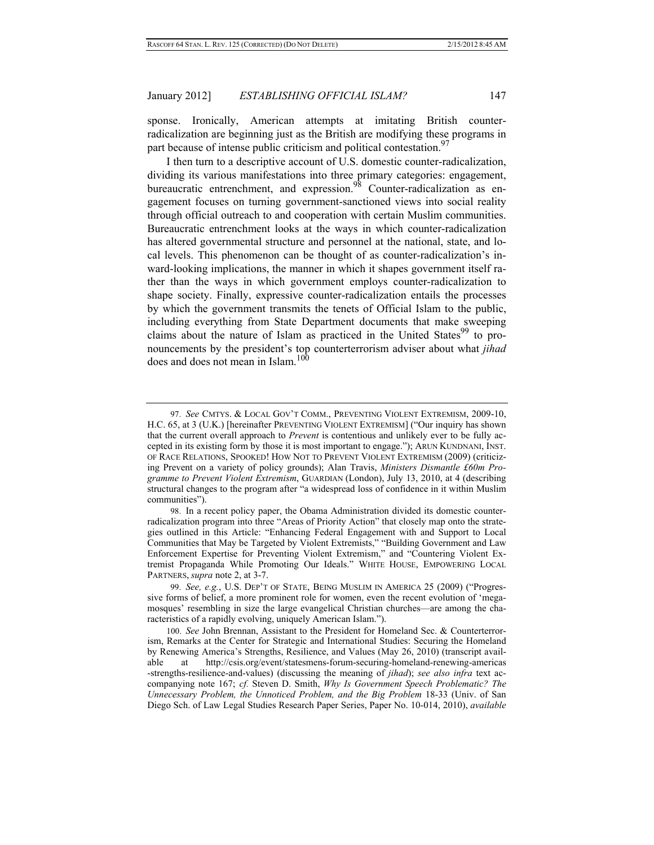sponse. Ironically, American attempts at imitating British counterradicalization are beginning just as the British are modifying these programs in part because of intense public criticism and political contestation.  $97$ 

I then turn to a descriptive account of U.S. domestic counter-radicalization, dividing its various manifestations into three primary categories: engagement, bureaucratic entrenchment, and expression.<sup>98</sup> Counter-radicalization as engagement focuses on turning government-sanctioned views into social reality through official outreach to and cooperation with certain Muslim communities. Bureaucratic entrenchment looks at the ways in which counter-radicalization has altered governmental structure and personnel at the national, state, and local levels. This phenomenon can be thought of as counter-radicalization's inward-looking implications, the manner in which it shapes government itself rather than the ways in which government employs counter-radicalization to shape society. Finally, expressive counter-radicalization entails the processes by which the government transmits the tenets of Official Islam to the public, including everything from State Department documents that make sweeping claims about the nature of Islam as practiced in the United States<sup>99</sup> to pronouncements by the president's top counterterrorism adviser about what *jihad* does and does not mean in Islam.<sup>100</sup>

 <sup>97.</sup> *See* CMTYS. & LOCAL GOV'T COMM., PREVENTING VIOLENT EXTREMISM, 2009-10, H.C. 65, at 3 (U.K.) [hereinafter PREVENTING VIOLENT EXTREMISM] ("Our inquiry has shown that the current overall approach to *Prevent* is contentious and unlikely ever to be fully accepted in its existing form by those it is most important to engage."); ARUN KUNDNANI, INST. OF RACE RELATIONS, SPOOKED! HOW NOT TO PREVENT VIOLENT EXTREMISM (2009) (criticizing Prevent on a variety of policy grounds); Alan Travis, *Ministers Dismantle £60m Programme to Prevent Violent Extremism*, GUARDIAN (London), July 13, 2010, at 4 (describing structural changes to the program after "a widespread loss of confidence in it within Muslim communities").

 <sup>98.</sup> In a recent policy paper, the Obama Administration divided its domestic counterradicalization program into three "Areas of Priority Action" that closely map onto the strategies outlined in this Article: "Enhancing Federal Engagement with and Support to Local Communities that May be Targeted by Violent Extremists," "Building Government and Law Enforcement Expertise for Preventing Violent Extremism," and "Countering Violent Extremist Propaganda While Promoting Our Ideals." WHITE HOUSE, EMPOWERING LOCAL PARTNERS, *supra* note 2, at 3-7.

 <sup>99.</sup> *See, e.g.*, U.S. DEP'T OF STATE, BEING MUSLIM IN AMERICA 25 (2009) ("Progressive forms of belief, a more prominent role for women, even the recent evolution of 'megamosques' resembling in size the large evangelical Christian churches—are among the characteristics of a rapidly evolving, uniquely American Islam.").

<sup>100.</sup> *See* John Brennan, Assistant to the President for Homeland Sec. & Counterterrorism, Remarks at the Center for Strategic and International Studies: Securing the Homeland by Renewing America's Strengths, Resilience, and Values (May 26, 2010) (transcript available at http://csis.org/event/statesmens-forum-securing-homeland-renewing-americas -strengths-resilience-and-values) (discussing the meaning of *jihad*); *see also infra* text accompanying note 167; *cf.* Steven D. Smith, *Why Is Government Speech Problematic? The Unnecessary Problem, the Unnoticed Problem, and the Big Problem* 18-33 (Univ. of San Diego Sch. of Law Legal Studies Research Paper Series, Paper No. 10-014, 2010), *available*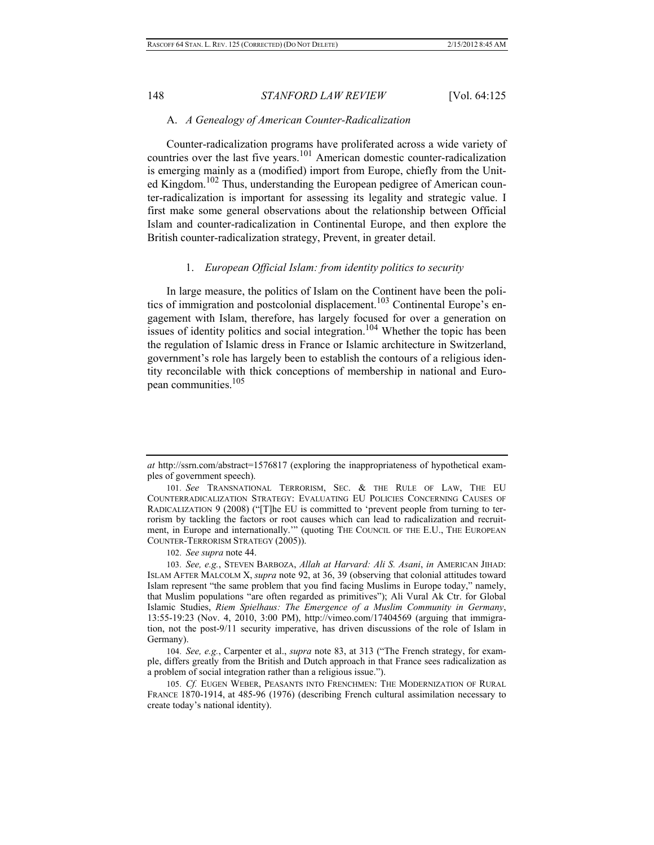## A. *A Genealogy of American Counter-Radicalization*

Counter-radicalization programs have proliferated across a wide variety of countries over the last five years.<sup>101</sup> American domestic counter-radicalization is emerging mainly as a (modified) import from Europe, chiefly from the United Kingdom.<sup>102</sup> Thus, understanding the European pedigree of American counter-radicalization is important for assessing its legality and strategic value. I first make some general observations about the relationship between Official Islam and counter-radicalization in Continental Europe, and then explore the British counter-radicalization strategy, Prevent, in greater detail.

## 1. *European Official Islam: from identity politics to security*

In large measure, the politics of Islam on the Continent have been the politics of immigration and postcolonial displacement.<sup>103</sup> Continental Europe's engagement with Islam, therefore, has largely focused for over a generation on issues of identity politics and social integration.<sup>104</sup> Whether the topic has been the regulation of Islamic dress in France or Islamic architecture in Switzerland, government's role has largely been to establish the contours of a religious identity reconcilable with thick conceptions of membership in national and European communities.105

102. *See supra* note 44.

*at* http://ssrn.com/abstract=1576817 (exploring the inappropriateness of hypothetical examples of government speech).

<sup>101.</sup> *See* TRANSNATIONAL TERRORISM, SEC. & THE RULE OF LAW, THE EU COUNTERRADICALIZATION STRATEGY: EVALUATING EU POLICIES CONCERNING CAUSES OF RADICALIZATION 9 (2008) ("[T]he EU is committed to 'prevent people from turning to terrorism by tackling the factors or root causes which can lead to radicalization and recruitment, in Europe and internationally.'" (quoting THE COUNCIL OF THE E.U., THE EUROPEAN COUNTER-TERRORISM STRATEGY (2005)).

<sup>103.</sup> *See, e.g.*, STEVEN BARBOZA, *Allah at Harvard: Ali S. Asani*, *in* AMERICAN JIHAD: ISLAM AFTER MALCOLM X, *supra* note 92, at 36, 39 (observing that colonial attitudes toward Islam represent "the same problem that you find facing Muslims in Europe today," namely, that Muslim populations "are often regarded as primitives"); Ali Vural Ak Ctr. for Global Islamic Studies, *Riem Spielhaus: The Emergence of a Muslim Community in Germany*, 13:55-19:23 (Nov. 4, 2010, 3:00 PM), http://vimeo.com/17404569 (arguing that immigration, not the post-9/11 security imperative, has driven discussions of the role of Islam in Germany).

<sup>104.</sup> *See, e.g.*, Carpenter et al., *supra* note 83, at 313 ("The French strategy, for example, differs greatly from the British and Dutch approach in that France sees radicalization as a problem of social integration rather than a religious issue.").

<sup>105.</sup> *Cf.* EUGEN WEBER, PEASANTS INTO FRENCHMEN: THE MODERNIZATION OF RURAL FRANCE 1870-1914, at 485-96 (1976) (describing French cultural assimilation necessary to create today's national identity).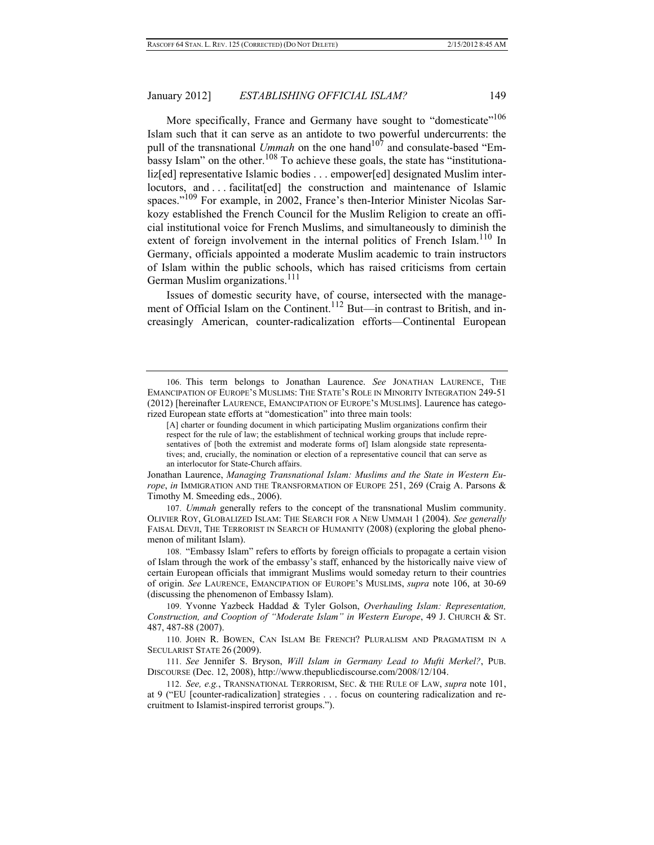More specifically, France and Germany have sought to "domesticate"<sup>106</sup> Islam such that it can serve as an antidote to two powerful undercurrents: the pull of the transnational *Ummah* on the one hand<sup>107</sup> and consulate-based "Embassy Islam" on the other.<sup>108</sup> To achieve these goals, the state has "institutionaliz[ed] representative Islamic bodies . . . empower[ed] designated Muslim interlocutors, and ... facilitat[ed] the construction and maintenance of Islamic spaces."<sup>109</sup> For example, in 2002, France's then-Interior Minister Nicolas Sarkozy established the French Council for the Muslim Religion to create an official institutional voice for French Muslims, and simultaneously to diminish the extent of foreign involvement in the internal politics of French Islam.<sup>110</sup> In Germany, officials appointed a moderate Muslim academic to train instructors of Islam within the public schools, which has raised criticisms from certain German Muslim organizations.<sup>111</sup>

Issues of domestic security have, of course, intersected with the management of Official Islam on the Continent.<sup>112</sup> But—in contrast to British, and increasingly American, counter-radicalization efforts—Continental European

Jonathan Laurence, *Managing Transnational Islam: Muslims and the State in Western Europe*, *in* IMMIGRATION AND THE TRANSFORMATION OF EUROPE 251, 269 (Craig A. Parsons & Timothy M. Smeeding eds., 2006).

107. *Ummah* generally refers to the concept of the transnational Muslim community. OLIVIER ROY, GLOBALIZED ISLAM: THE SEARCH FOR A NEW UMMAH 1 (2004). *See generally* FAISAL DEVJI, THE TERRORIST IN SEARCH OF HUMANITY (2008) (exploring the global phenomenon of militant Islam).

108. "Embassy Islam" refers to efforts by foreign officials to propagate a certain vision of Islam through the work of the embassy's staff, enhanced by the historically naive view of certain European officials that immigrant Muslims would someday return to their countries of origin. *See* LAURENCE, EMANCIPATION OF EUROPE'S MUSLIMS, *supra* note 106, at 30-69 (discussing the phenomenon of Embassy Islam).

109. Yvonne Yazbeck Haddad & Tyler Golson, *Overhauling Islam: Representation, Construction, and Cooption of "Moderate Islam" in Western Europe*, 49 J. CHURCH & ST. 487, 487-88 (2007).

110. JOHN R. BOWEN, CAN ISLAM BE FRENCH? PLURALISM AND PRAGMATISM IN A SECULARIST STATE 26 (2009).

111. *See* Jennifer S. Bryson, *Will Islam in Germany Lead to Mufti Merkel?*, PUB. DISCOURSE (Dec. 12, 2008), http://www.thepublicdiscourse.com/2008/12/104.

112. *See, e.g.*, TRANSNATIONAL TERRORISM, SEC. & THE RULE OF LAW, *supra* note 101, at 9 ("EU [counter-radicalization] strategies . . . focus on countering radicalization and recruitment to Islamist-inspired terrorist groups.").

<sup>106.</sup> This term belongs to Jonathan Laurence. *See* JONATHAN LAURENCE, THE EMANCIPATION OF EUROPE'S MUSLIMS: THE STATE'S ROLE IN MINORITY INTEGRATION 249-51 (2012) [hereinafter LAURENCE, EMANCIPATION OF EUROPE'S MUSLIMS]. Laurence has categorized European state efforts at "domestication" into three main tools:

<sup>[</sup>A] charter or founding document in which participating Muslim organizations confirm their respect for the rule of law; the establishment of technical working groups that include representatives of [both the extremist and moderate forms of] Islam alongside state representatives; and, crucially, the nomination or election of a representative council that can serve as an interlocutor for State-Church affairs.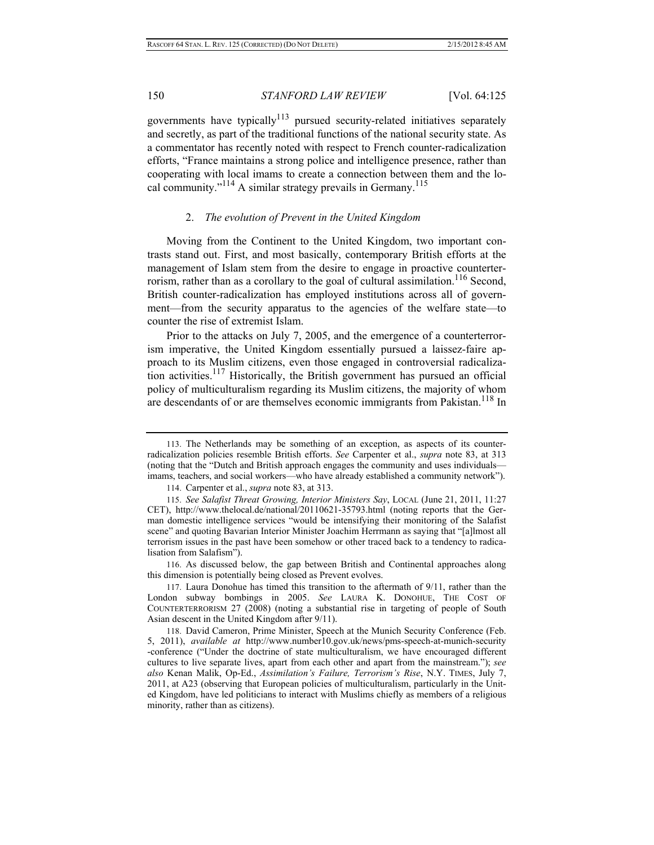governments have typically<sup>113</sup> pursued security-related initiatives separately and secretly, as part of the traditional functions of the national security state. As a commentator has recently noted with respect to French counter-radicalization efforts, "France maintains a strong police and intelligence presence, rather than cooperating with local imams to create a connection between them and the local community."<sup>114</sup> A similar strategy prevails in Germany.<sup>115</sup>

## 2. *The evolution of Prevent in the United Kingdom*

Moving from the Continent to the United Kingdom, two important contrasts stand out. First, and most basically, contemporary British efforts at the management of Islam stem from the desire to engage in proactive counterterrorism, rather than as a corollary to the goal of cultural assimilation.<sup>116</sup> Second, British counter-radicalization has employed institutions across all of government—from the security apparatus to the agencies of the welfare state—to counter the rise of extremist Islam.

Prior to the attacks on July 7, 2005, and the emergence of a counterterrorism imperative, the United Kingdom essentially pursued a laissez-faire approach to its Muslim citizens, even those engaged in controversial radicalization activities.<sup>117</sup> Historically, the British government has pursued an official policy of multiculturalism regarding its Muslim citizens, the majority of whom are descendants of or are themselves economic immigrants from Pakistan.<sup>118</sup> In

116. As discussed below, the gap between British and Continental approaches along this dimension is potentially being closed as Prevent evolves.

<sup>113.</sup> The Netherlands may be something of an exception, as aspects of its counterradicalization policies resemble British efforts. *See* Carpenter et al., *supra* note 83, at 313 (noting that the "Dutch and British approach engages the community and uses individuals imams, teachers, and social workers—who have already established a community network").

<sup>114.</sup> Carpenter et al., *supra* note 83, at 313.

<sup>115.</sup> *See Salafist Threat Growing, Interior Ministers Say*, LOCAL (June 21, 2011, 11:27 CET), http://www.thelocal.de/national/20110621-35793.html (noting reports that the German domestic intelligence services "would be intensifying their monitoring of the Salafist scene" and quoting Bavarian Interior Minister Joachim Herrmann as saying that "[a]lmost all terrorism issues in the past have been somehow or other traced back to a tendency to radicalisation from Salafism").

<sup>117.</sup> Laura Donohue has timed this transition to the aftermath of 9/11, rather than the London subway bombings in 2005. *See* LAURA K. DONOHUE, THE COST OF COUNTERTERRORISM 27 (2008) (noting a substantial rise in targeting of people of South Asian descent in the United Kingdom after 9/11).

<sup>118.</sup> David Cameron, Prime Minister, Speech at the Munich Security Conference (Feb. 5, 2011), *available at* http://www.number10.gov.uk/news/pms-speech-at-munich-security -conference ("Under the doctrine of state multiculturalism, we have encouraged different cultures to live separate lives, apart from each other and apart from the mainstream."); *see also* Kenan Malik, Op-Ed., *Assimilation's Failure, Terrorism's Rise*, N.Y. TIMES, July 7, 2011, at A23 (observing that European policies of multiculturalism, particularly in the United Kingdom, have led politicians to interact with Muslims chiefly as members of a religious minority, rather than as citizens).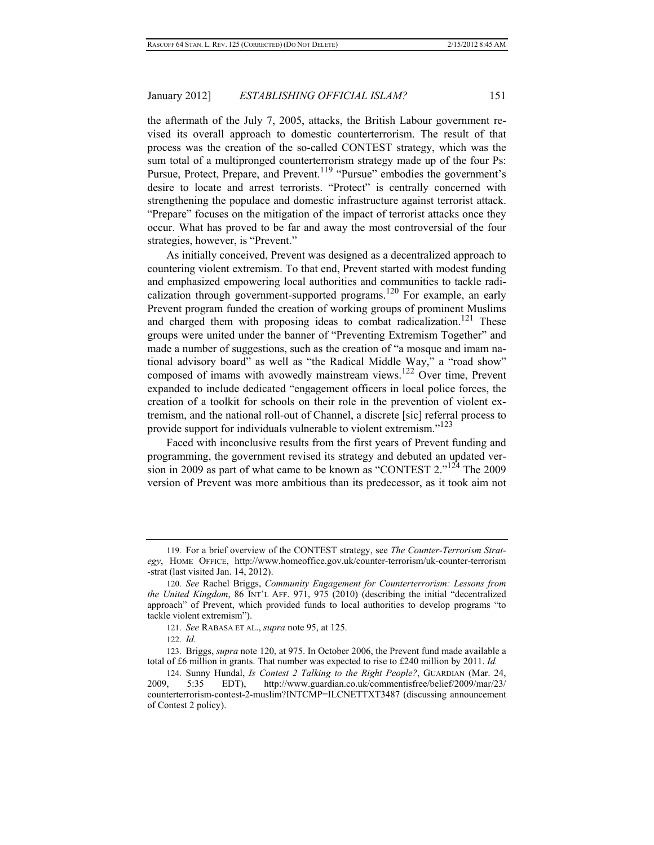the aftermath of the July 7, 2005, attacks, the British Labour government revised its overall approach to domestic counterterrorism. The result of that process was the creation of the so-called CONTEST strategy, which was the sum total of a multipronged counterterrorism strategy made up of the four Ps: Pursue, Protect, Prepare, and Prevent.<sup>119</sup> "Pursue" embodies the government's desire to locate and arrest terrorists. "Protect" is centrally concerned with strengthening the populace and domestic infrastructure against terrorist attack. "Prepare" focuses on the mitigation of the impact of terrorist attacks once they occur. What has proved to be far and away the most controversial of the four strategies, however, is "Prevent."

As initially conceived, Prevent was designed as a decentralized approach to countering violent extremism. To that end, Prevent started with modest funding and emphasized empowering local authorities and communities to tackle radicalization through government-supported programs.<sup>120</sup> For example, an early Prevent program funded the creation of working groups of prominent Muslims and charged them with proposing ideas to combat radicalization.<sup>121</sup> These groups were united under the banner of "Preventing Extremism Together" and made a number of suggestions, such as the creation of "a mosque and imam national advisory board" as well as "the Radical Middle Way," a "road show" composed of imams with avowedly mainstream views.<sup>122</sup> Over time, Prevent expanded to include dedicated "engagement officers in local police forces, the creation of a toolkit for schools on their role in the prevention of violent extremism, and the national roll-out of Channel, a discrete [sic] referral process to provide support for individuals vulnerable to violent extremism."<sup>123</sup>

Faced with inconclusive results from the first years of Prevent funding and programming, the government revised its strategy and debuted an updated version in 2009 as part of what came to be known as "CONTEST 2."124 The 2009 version of Prevent was more ambitious than its predecessor, as it took aim not

<sup>119.</sup> For a brief overview of the CONTEST strategy, see *The Counter-Terrorism Strategy*, HOME OFFICE, http://www.homeoffice.gov.uk/counter-terrorism/uk-counter-terrorism -strat (last visited Jan. 14, 2012).

<sup>120.</sup> *See* Rachel Briggs, *Community Engagement for Counterterrorism: Lessons from the United Kingdom*, 86 INT'L AFF. 971, 975 (2010) (describing the initial "decentralized approach" of Prevent, which provided funds to local authorities to develop programs "to tackle violent extremism").

<sup>121.</sup> *See* RABASA ET AL., *supra* note 95, at 125.

<sup>122.</sup> *Id.* 

<sup>123.</sup> Briggs, *supra* note 120, at 975. In October 2006, the Prevent fund made available a total of £6 million in grants. That number was expected to rise to £240 million by 2011. *Id.*

<sup>124.</sup> Sunny Hundal, *Is Contest 2 Talking to the Right People?*, GUARDIAN (Mar. 24, 2009, 5:35 EDT), http://www.guardian.co.uk/commentisfree/belief/2009/mar/23/ counterterrorism-contest-2-muslim?INTCMP=ILCNETTXT3487 (discussing announcement of Contest 2 policy).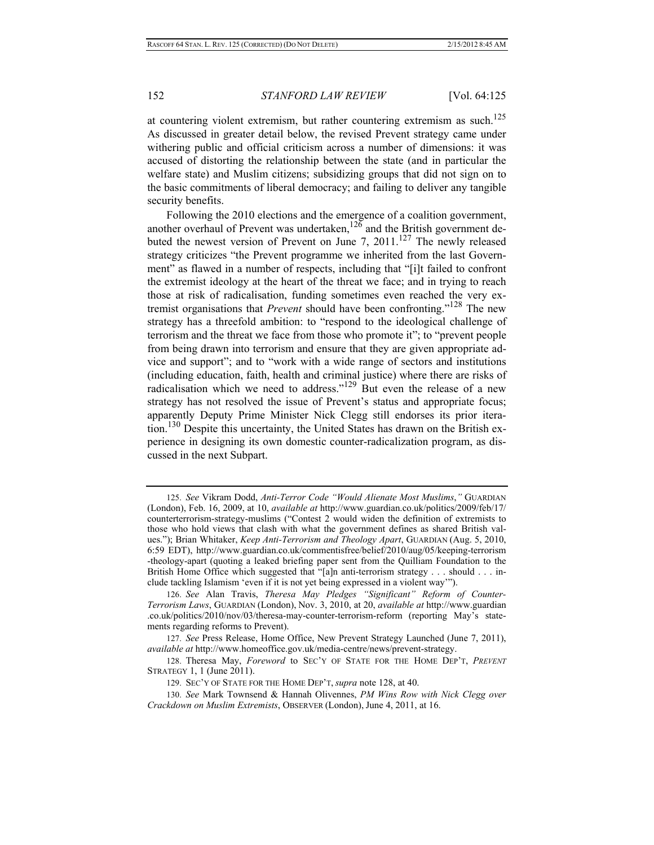at countering violent extremism, but rather countering extremism as such.<sup>125</sup> As discussed in greater detail below, the revised Prevent strategy came under withering public and official criticism across a number of dimensions: it was accused of distorting the relationship between the state (and in particular the welfare state) and Muslim citizens; subsidizing groups that did not sign on to the basic commitments of liberal democracy; and failing to deliver any tangible security benefits.

Following the 2010 elections and the emergence of a coalition government, another overhaul of Prevent was undertaken,  $126$  and the British government debuted the newest version of Prevent on June 7, 2011.<sup>127</sup> The newly released strategy criticizes "the Prevent programme we inherited from the last Government" as flawed in a number of respects, including that "[i]t failed to confront the extremist ideology at the heart of the threat we face; and in trying to reach those at risk of radicalisation, funding sometimes even reached the very extremist organisations that *Prevent* should have been confronting."128 The new strategy has a threefold ambition: to "respond to the ideological challenge of terrorism and the threat we face from those who promote it"; to "prevent people from being drawn into terrorism and ensure that they are given appropriate advice and support"; and to "work with a wide range of sectors and institutions (including education, faith, health and criminal justice) where there are risks of radicalisation which we need to address."<sup>129</sup> But even the release of a new strategy has not resolved the issue of Prevent's status and appropriate focus; apparently Deputy Prime Minister Nick Clegg still endorses its prior iteration.<sup>130</sup> Despite this uncertainty, the United States has drawn on the British experience in designing its own domestic counter-radicalization program, as discussed in the next Subpart.

<sup>125.</sup> *See* Vikram Dodd, *Anti-Terror Code "Would Alienate Most Muslims*,*"* GUARDIAN (London), Feb. 16, 2009, at 10, *available at* http://www.guardian.co.uk/politics/2009/feb/17/ counterterrorism-strategy-muslims ("Contest 2 would widen the definition of extremists to those who hold views that clash with what the government defines as shared British values."); Brian Whitaker, *Keep Anti-Terrorism and Theology Apart*, GUARDIAN (Aug. 5, 2010, 6:59 EDT), http://www.guardian.co.uk/commentisfree/belief/2010/aug/05/keeping-terrorism -theology-apart (quoting a leaked briefing paper sent from the Quilliam Foundation to the British Home Office which suggested that "[a]n anti-terrorism strategy . . . should . . . include tackling Islamism 'even if it is not yet being expressed in a violent way'").

<sup>126.</sup> *See* Alan Travis, *Theresa May Pledges "Significant" Reform of Counter-Terrorism Laws*, GUARDIAN (London), Nov. 3, 2010, at 20, *available at* http://www.guardian .co.uk/politics/2010/nov/03/theresa-may-counter-terrorism-reform (reporting May's statements regarding reforms to Prevent).

<sup>127.</sup> *See* Press Release, Home Office, New Prevent Strategy Launched (June 7, 2011), *available at* http://www.homeoffice.gov.uk/media-centre/news/prevent-strategy.

<sup>128.</sup> Theresa May, *Foreword* to SEC'Y OF STATE FOR THE HOME DEP'T, *PREVENT* STRATEGY 1, 1 (June 2011).

<sup>129.</sup> SEC'Y OF STATE FOR THE HOME DEP'T, *supra* note 128, at 40.

<sup>130.</sup> *See* Mark Townsend & Hannah Olivennes, *PM Wins Row with Nick Clegg over Crackdown on Muslim Extremists*, OBSERVER (London), June 4, 2011, at 16.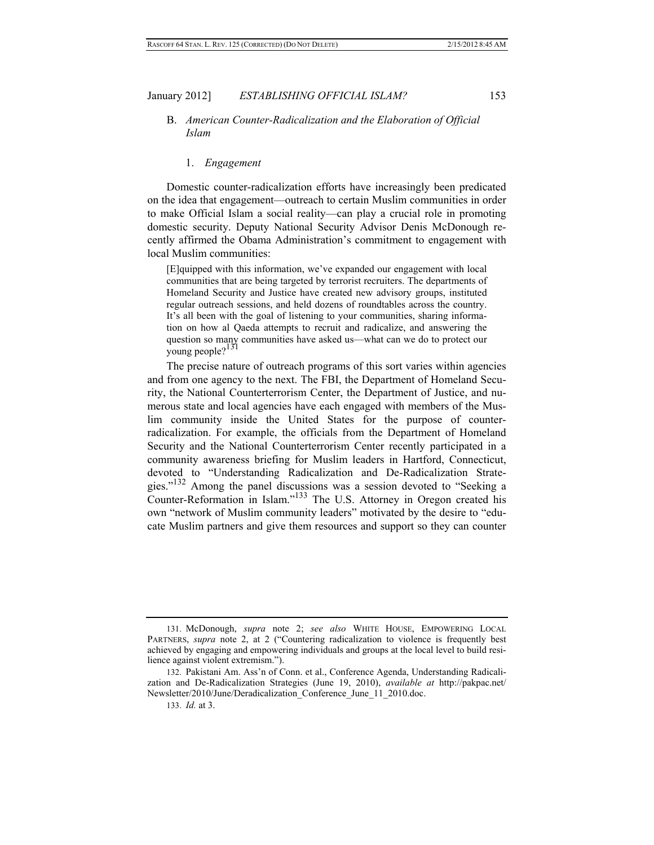## B. *American Counter-Radicalization and the Elaboration of Official Islam*

#### 1. *Engagement*

Domestic counter-radicalization efforts have increasingly been predicated on the idea that engagement—outreach to certain Muslim communities in order to make Official Islam a social reality—can play a crucial role in promoting domestic security. Deputy National Security Advisor Denis McDonough recently affirmed the Obama Administration's commitment to engagement with local Muslim communities:

[E]quipped with this information, we've expanded our engagement with local communities that are being targeted by terrorist recruiters. The departments of Homeland Security and Justice have created new advisory groups, instituted regular outreach sessions, and held dozens of roundtables across the country. It's all been with the goal of listening to your communities, sharing information on how al Qaeda attempts to recruit and radicalize, and answering the question so many communities have asked us—what can we do to protect our young people?<sup>131</sup>

The precise nature of outreach programs of this sort varies within agencies and from one agency to the next. The FBI, the Department of Homeland Security, the National Counterterrorism Center, the Department of Justice, and numerous state and local agencies have each engaged with members of the Muslim community inside the United States for the purpose of counterradicalization. For example, the officials from the Department of Homeland Security and the National Counterterrorism Center recently participated in a community awareness briefing for Muslim leaders in Hartford, Connecticut, devoted to "Understanding Radicalization and De-Radicalization Strategies."132 Among the panel discussions was a session devoted to "Seeking a Counter-Reformation in Islam."133 The U.S. Attorney in Oregon created his own "network of Muslim community leaders" motivated by the desire to "educate Muslim partners and give them resources and support so they can counter

<sup>131.</sup> McDonough, *supra* note 2; *see also* WHITE HOUSE, EMPOWERING LOCAL PARTNERS, *supra* note 2, at 2 ("Countering radicalization to violence is frequently best achieved by engaging and empowering individuals and groups at the local level to build resilience against violent extremism.").

<sup>132.</sup> Pakistani Am. Ass'n of Conn. et al., Conference Agenda, Understanding Radicalization and De-Radicalization Strategies (June 19, 2010), *available at* http://pakpac.net/ Newsletter/2010/June/Deradicalization\_Conference\_June\_11\_2010.doc.

<sup>133.</sup> *Id.* at 3.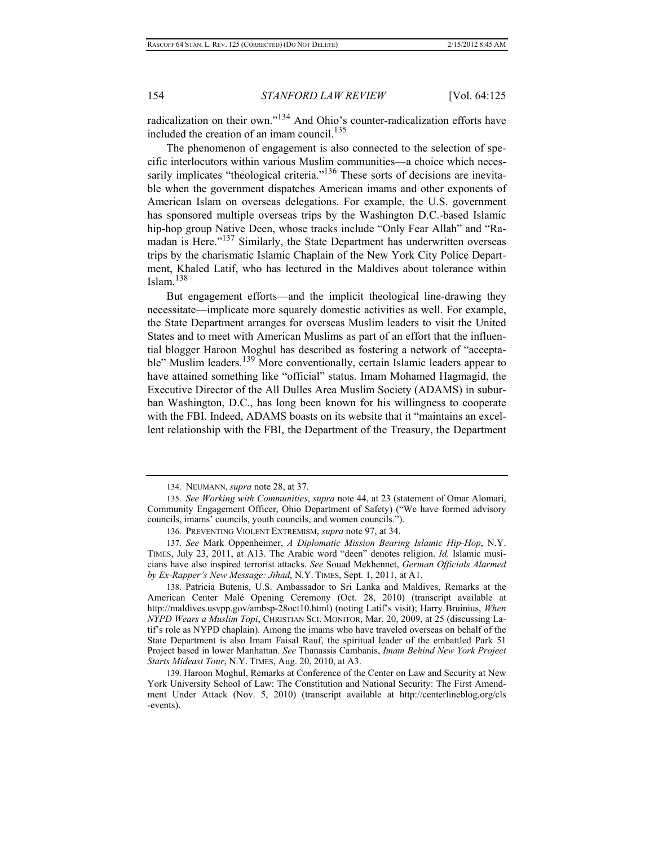radicalization on their own."134 And Ohio's counter-radicalization efforts have included the creation of an imam council.<sup>135</sup>

The phenomenon of engagement is also connected to the selection of specific interlocutors within various Muslim communities—a choice which necessarily implicates "theological criteria."<sup>136</sup> These sorts of decisions are inevitable when the government dispatches American imams and other exponents of American Islam on overseas delegations. For example, the U.S. government has sponsored multiple overseas trips by the Washington D.C.-based Islamic hip-hop group Native Deen, whose tracks include "Only Fear Allah" and "Ramadan is Here."137 Similarly, the State Department has underwritten overseas trips by the charismatic Islamic Chaplain of the New York City Police Department, Khaled Latif, who has lectured in the Maldives about tolerance within Islam. $138$ 

But engagement efforts—and the implicit theological line-drawing they necessitate—implicate more squarely domestic activities as well. For example, the State Department arranges for overseas Muslim leaders to visit the United States and to meet with American Muslims as part of an effort that the influential blogger Haroon Moghul has described as fostering a network of "acceptable" Muslim leaders.<sup>139</sup> More conventionally, certain Islamic leaders appear to have attained something like "official" status. Imam Mohamed Hagmagid, the Executive Director of the All Dulles Area Muslim Society (ADAMS) in suburban Washington, D.C., has long been known for his willingness to cooperate with the FBI. Indeed, ADAMS boasts on its website that it "maintains an excellent relationship with the FBI, the Department of the Treasury, the Department

138. Patricia Butenis, U.S. Ambassador to Sri Lanka and Maldives, Remarks at the American Center Malé Opening Ceremony (Oct. 28, 2010) (transcript available at http://maldives.usvpp.gov/ambsp-28oct10.html) (noting Latif's visit); Harry Bruinius, *When NYPD Wears a Muslim Topi*, CHRISTIAN SCI. MONITOR, Mar. 20, 2009, at 25 (discussing Latif's role as NYPD chaplain). Among the imams who have traveled overseas on behalf of the State Department is also Imam Faisal Rauf, the spiritual leader of the embattled Park 51 Project based in lower Manhattan. *See* Thanassis Cambanis, *Imam Behind New York Project Starts Mideast Tour*, N.Y. TIMES, Aug. 20, 2010, at A3.

139. Haroon Moghul, Remarks at Conference of the Center on Law and Security at New York University School of Law: The Constitution and National Security: The First Amendment Under Attack (Nov. 5, 2010) (transcript available at http://centerlineblog.org/cls -events).

<sup>134.</sup> NEUMANN, *supra* note 28, at 37.

<sup>135.</sup> *See Working with Communities*, *supra* note 44, at 23 (statement of Omar Alomari, Community Engagement Officer, Ohio Department of Safety) ("We have formed advisory councils, imams' councils, youth councils, and women councils.").

<sup>136.</sup> PREVENTING VIOLENT EXTREMISM, *supra* note 97, at 34.

<sup>137.</sup> *See* Mark Oppenheimer, *A Diplomatic Mission Bearing Islamic Hip-Hop*, N.Y. TIMES, July 23, 2011, at A13. The Arabic word "deen" denotes religion. *Id.* Islamic musicians have also inspired terrorist attacks. *See* Souad Mekhennet, *German Officials Alarmed by Ex-Rapper's New Message: Jihad*, N.Y. TIMES, Sept. 1, 2011, at A1.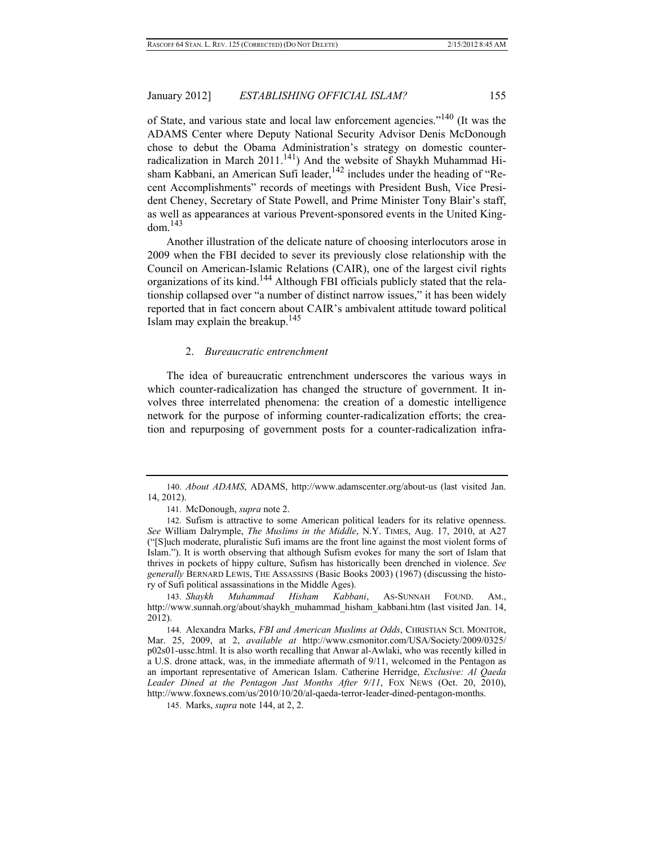of State, and various state and local law enforcement agencies."140 (It was the ADAMS Center where Deputy National Security Advisor Denis McDonough chose to debut the Obama Administration's strategy on domestic counterradicalization in March  $2011$ <sup>141</sup>) And the website of Shaykh Muhammad Hisham Kabbani, an American Sufi leader,  $142$  includes under the heading of "Recent Accomplishments" records of meetings with President Bush, Vice President Cheney, Secretary of State Powell, and Prime Minister Tony Blair's staff, as well as appearances at various Prevent-sponsored events in the United King $dom<sup>.143</sup>$ 

Another illustration of the delicate nature of choosing interlocutors arose in 2009 when the FBI decided to sever its previously close relationship with the Council on American-Islamic Relations (CAIR), one of the largest civil rights organizations of its kind.144 Although FBI officials publicly stated that the relationship collapsed over "a number of distinct narrow issues," it has been widely reported that in fact concern about CAIR's ambivalent attitude toward political Islam may explain the breakup.<sup>145</sup>

## 2. *Bureaucratic entrenchment*

The idea of bureaucratic entrenchment underscores the various ways in which counter-radicalization has changed the structure of government. It involves three interrelated phenomena: the creation of a domestic intelligence network for the purpose of informing counter-radicalization efforts; the creation and repurposing of government posts for a counter-radicalization infra-

<sup>140.</sup> *About ADAMS*, ADAMS, http://www.adamscenter.org/about-us (last visited Jan. 14, 2012).

<sup>141.</sup> McDonough, *supra* note 2.

<sup>142.</sup> Sufism is attractive to some American political leaders for its relative openness. *See* William Dalrymple, *The Muslims in the Middle*, N.Y. TIMES, Aug. 17, 2010, at A27 ("[S]uch moderate, pluralistic Sufi imams are the front line against the most violent forms of Islam."). It is worth observing that although Sufism evokes for many the sort of Islam that thrives in pockets of hippy culture, Sufism has historically been drenched in violence. *See generally* BERNARD LEWIS, THE ASSASSINS (Basic Books 2003) (1967) (discussing the history of Sufi political assassinations in the Middle Ages).

<sup>143.</sup> *Shaykh Muhammad Hisham Kabbani*, AS-SUNNAH FOUND. AM., http://www.sunnah.org/about/shaykh\_muhammad\_hisham\_kabbani.htm (last visited Jan. 14, 2012).

<sup>144.</sup> Alexandra Marks, *FBI and American Muslims at Odds*, CHRISTIAN SCI. MONITOR, Mar. 25, 2009, at 2, *available at* http://www.csmonitor.com/USA/Society/2009/0325/ p02s01-ussc.html. It is also worth recalling that Anwar al-Awlaki, who was recently killed in a U.S. drone attack, was, in the immediate aftermath of 9/11, welcomed in the Pentagon as an important representative of American Islam. Catherine Herridge, *Exclusive: Al Qaeda Leader Dined at the Pentagon Just Months After 9/11*, FOX NEWS (Oct. 20, 2010), http://www.foxnews.com/us/2010/10/20/al-qaeda-terror-leader-dined-pentagon-months.

<sup>145.</sup> Marks, *supra* note 144, at 2, 2.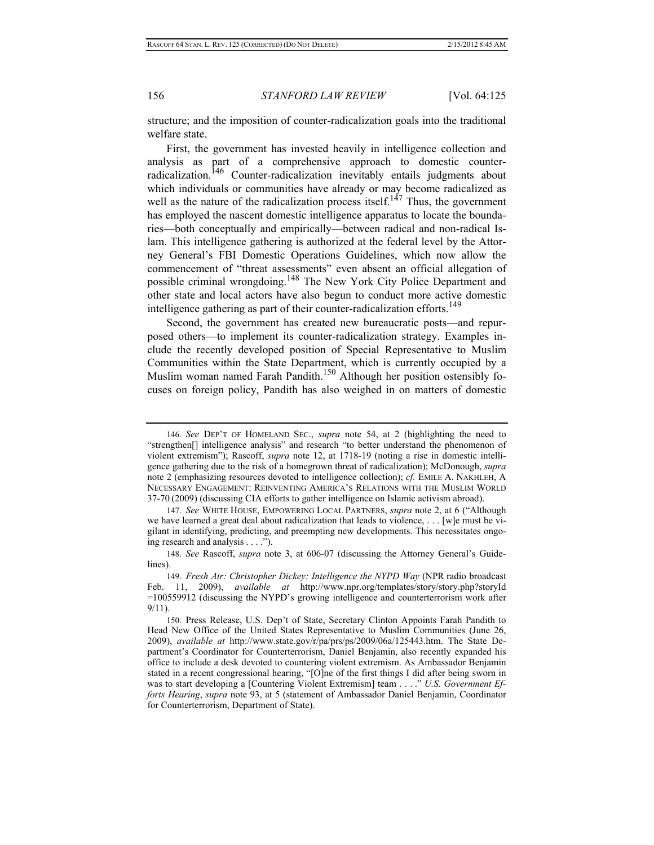structure; and the imposition of counter-radicalization goals into the traditional welfare state.

First, the government has invested heavily in intelligence collection and analysis as part of a comprehensive approach to domestic counterradicalization.<sup>146</sup> Counter-radicalization inevitably entails judgments about which individuals or communities have already or may become radicalized as well as the nature of the radicalization process itself.<sup>147</sup> Thus, the government has employed the nascent domestic intelligence apparatus to locate the boundaries—both conceptually and empirically—between radical and non-radical Islam. This intelligence gathering is authorized at the federal level by the Attorney General's FBI Domestic Operations Guidelines, which now allow the commencement of "threat assessments" even absent an official allegation of possible criminal wrongdoing.<sup>148</sup> The New York City Police Department and other state and local actors have also begun to conduct more active domestic intelligence gathering as part of their counter-radicalization efforts.<sup>149</sup>

Second, the government has created new bureaucratic posts—and repurposed others—to implement its counter-radicalization strategy. Examples include the recently developed position of Special Representative to Muslim Communities within the State Department, which is currently occupied by a Muslim woman named Farah Pandith.<sup>150</sup> Although her position ostensibly focuses on foreign policy, Pandith has also weighed in on matters of domestic

<sup>146.</sup> *See* DEP'T OF HOMELAND SEC., *supra* note 54, at 2 (highlighting the need to "strengthen[] intelligence analysis" and research "to better understand the phenomenon of violent extremism"); Rascoff, *supra* note 12, at 1718-19 (noting a rise in domestic intelligence gathering due to the risk of a homegrown threat of radicalization); McDonough, *supra*  note 2 (emphasizing resources devoted to intelligence collection); *cf.* EMILE A. NAKHLEH, A NECESSARY ENGAGEMENT: REINVENTING AMERICA'S RELATIONS WITH THE MUSLIM WORLD 37-70 (2009) (discussing CIA efforts to gather intelligence on Islamic activism abroad).

<sup>147.</sup> *See* WHITE HOUSE, EMPOWERING LOCAL PARTNERS, *supra* note 2, at 6 ("Although we have learned a great deal about radicalization that leads to violence, . . . [w]e must be vigilant in identifying, predicting, and preempting new developments. This necessitates ongoing research and analysis . . . .").

<sup>148.</sup> *See* Rascoff, *supra* note 3, at 606-07 (discussing the Attorney General's Guidelines).

<sup>149.</sup> *Fresh Air: Christopher Dickey: Intelligence the NYPD Way* (NPR radio broadcast Feb. 11, 2009), *available at* http://www.npr.org/templates/story/story.php?storyId =100559912 (discussing the NYPD's growing intelligence and counterterrorism work after 9/11).

<sup>150.</sup> Press Release, U.S. Dep't of State, Secretary Clinton Appoints Farah Pandith to Head New Office of the United States Representative to Muslim Communities (June 26, 2009), *available at* http://www.state.gov/r/pa/prs/ps/2009/06a/125443.htm. The State Department's Coordinator for Counterterrorism, Daniel Benjamin, also recently expanded his office to include a desk devoted to countering violent extremism. As Ambassador Benjamin stated in a recent congressional hearing, "[O]ne of the first things I did after being sworn in was to start developing a [Countering Violent Extremism] team . . . ." *U.S. Government Efforts Hearing*, *supra* note 93, at 5 (statement of Ambassador Daniel Benjamin, Coordinator for Counterterrorism, Department of State).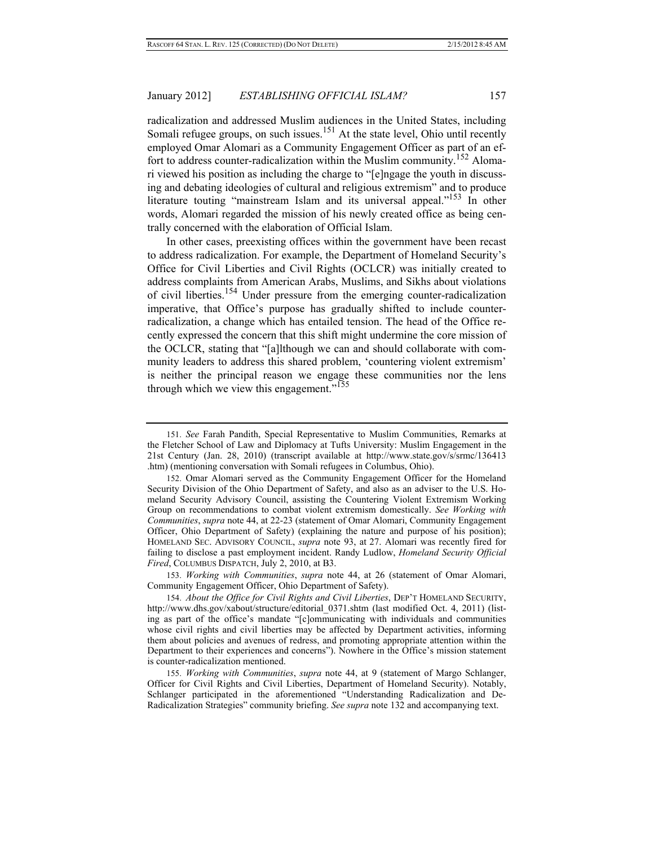radicalization and addressed Muslim audiences in the United States, including Somali refugee groups, on such issues.<sup>151</sup> At the state level, Ohio until recently employed Omar Alomari as a Community Engagement Officer as part of an effort to address counter-radicalization within the Muslim community.152 Alomari viewed his position as including the charge to "[e]ngage the youth in discussing and debating ideologies of cultural and religious extremism" and to produce literature touting "mainstream Islam and its universal appeal."<sup>153</sup> In other words, Alomari regarded the mission of his newly created office as being centrally concerned with the elaboration of Official Islam.

In other cases, preexisting offices within the government have been recast to address radicalization. For example, the Department of Homeland Security's Office for Civil Liberties and Civil Rights (OCLCR) was initially created to address complaints from American Arabs, Muslims, and Sikhs about violations of civil liberties.154 Under pressure from the emerging counter-radicalization imperative, that Office's purpose has gradually shifted to include counterradicalization, a change which has entailed tension. The head of the Office recently expressed the concern that this shift might undermine the core mission of the OCLCR, stating that "[a]lthough we can and should collaborate with community leaders to address this shared problem, 'countering violent extremism' is neither the principal reason we engage these communities nor the lens through which we view this engagement." $155$ 

153. *Working with Communities*, *supra* note 44, at 26 (statement of Omar Alomari, Community Engagement Officer, Ohio Department of Safety).

154. *About the Office for Civil Rights and Civil Liberties*, DEP'T HOMELAND SECURITY, http://www.dhs.gov/xabout/structure/editorial 0371.shtm (last modified Oct. 4, 2011) (listing as part of the office's mandate "[c]ommunicating with individuals and communities whose civil rights and civil liberties may be affected by Department activities, informing them about policies and avenues of redress, and promoting appropriate attention within the Department to their experiences and concerns"). Nowhere in the Office's mission statement is counter-radicalization mentioned.

<sup>151.</sup> *See* Farah Pandith, Special Representative to Muslim Communities, Remarks at the Fletcher School of Law and Diplomacy at Tufts University: Muslim Engagement in the 21st Century (Jan. 28, 2010) (transcript available at http://www.state.gov/s/srmc/136413 .htm) (mentioning conversation with Somali refugees in Columbus, Ohio).

<sup>152.</sup> Omar Alomari served as the Community Engagement Officer for the Homeland Security Division of the Ohio Department of Safety, and also as an adviser to the U.S. Homeland Security Advisory Council, assisting the Countering Violent Extremism Working Group on recommendations to combat violent extremism domestically. *See Working with Communities*, *supra* note 44, at 22-23 (statement of Omar Alomari, Community Engagement Officer, Ohio Department of Safety) (explaining the nature and purpose of his position); HOMELAND SEC. ADVISORY COUNCIL, *supra* note 93, at 27. Alomari was recently fired for failing to disclose a past employment incident. Randy Ludlow, *Homeland Security Official Fired*, COLUMBUS DISPATCH, July 2, 2010, at B3.

<sup>155.</sup> *Working with Communities*, *supra* note 44, at 9 (statement of Margo Schlanger, Officer for Civil Rights and Civil Liberties, Department of Homeland Security). Notably, Schlanger participated in the aforementioned "Understanding Radicalization and De-Radicalization Strategies" community briefing. *See supra* note 132 and accompanying text.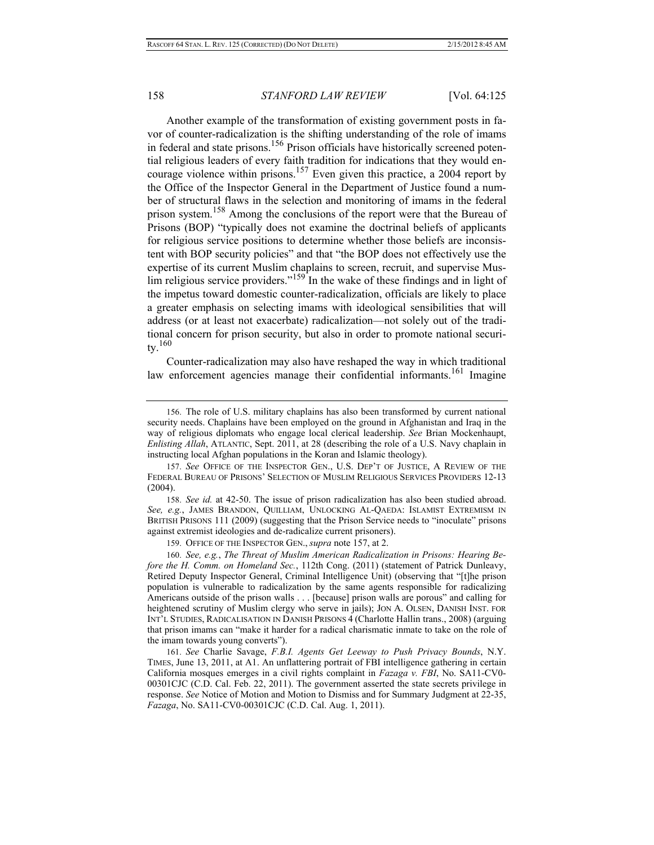Another example of the transformation of existing government posts in favor of counter-radicalization is the shifting understanding of the role of imams in federal and state prisons.<sup>156</sup> Prison officials have historically screened potential religious leaders of every faith tradition for indications that they would encourage violence within prisons.<sup>157</sup> Even given this practice, a 2004 report by the Office of the Inspector General in the Department of Justice found a number of structural flaws in the selection and monitoring of imams in the federal prison system.158 Among the conclusions of the report were that the Bureau of Prisons (BOP) "typically does not examine the doctrinal beliefs of applicants for religious service positions to determine whether those beliefs are inconsistent with BOP security policies" and that "the BOP does not effectively use the expertise of its current Muslim chaplains to screen, recruit, and supervise Mus- $\lim$  religious service providers."<sup>159</sup> In the wake of these findings and in light of the impetus toward domestic counter-radicalization, officials are likely to place a greater emphasis on selecting imams with ideological sensibilities that will address (or at least not exacerbate) radicalization—not solely out of the traditional concern for prison security, but also in order to promote national security.  $160$ 

Counter-radicalization may also have reshaped the way in which traditional law enforcement agencies manage their confidential informants.<sup>161</sup> Imagine

<sup>156.</sup> The role of U.S. military chaplains has also been transformed by current national security needs. Chaplains have been employed on the ground in Afghanistan and Iraq in the way of religious diplomats who engage local clerical leadership. *See* Brian Mockenhaupt, *Enlisting Allah*, ATLANTIC, Sept. 2011, at 28 (describing the role of a U.S. Navy chaplain in instructing local Afghan populations in the Koran and Islamic theology).

<sup>157.</sup> *See* OFFICE OF THE INSPECTOR GEN., U.S. DEP'T OF JUSTICE, A REVIEW OF THE FEDERAL BUREAU OF PRISONS' SELECTION OF MUSLIM RELIGIOUS SERVICES PROVIDERS 12-13  $(2004)$ .

<sup>158.</sup> *See id.* at 42-50. The issue of prison radicalization has also been studied abroad. *See, e.g.*, JAMES BRANDON, QUILLIAM, UNLOCKING AL-QAEDA: ISLAMIST EXTREMISM IN BRITISH PRISONS 111 (2009) (suggesting that the Prison Service needs to "inoculate" prisons against extremist ideologies and de-radicalize current prisoners).

<sup>159.</sup> OFFICE OF THE INSPECTOR GEN., *supra* note 157, at 2.

<sup>160.</sup> *See, e.g.*, *The Threat of Muslim American Radicalization in Prisons: Hearing Before the H. Comm. on Homeland Sec.*, 112th Cong. (2011) (statement of Patrick Dunleavy, Retired Deputy Inspector General, Criminal Intelligence Unit) (observing that "[t]he prison population is vulnerable to radicalization by the same agents responsible for radicalizing Americans outside of the prison walls . . . [because] prison walls are porous" and calling for heightened scrutiny of Muslim clergy who serve in jails); JON A. OLSEN, DANISH INST. FOR INT'L STUDIES, RADICALISATION IN DANISH PRISONS 4 (Charlotte Hallin trans., 2008) (arguing that prison imams can "make it harder for a radical charismatic inmate to take on the role of the imam towards young converts").

<sup>161.</sup> *See* Charlie Savage, *F.B.I. Agents Get Leeway to Push Privacy Bounds*, N.Y. TIMES, June 13, 2011, at A1. An unflattering portrait of FBI intelligence gathering in certain California mosques emerges in a civil rights complaint in *Fazaga v. FBI*, No. SA11-CV0- 00301CJC (C.D. Cal. Feb. 22, 2011). The government asserted the state secrets privilege in response. *See* Notice of Motion and Motion to Dismiss and for Summary Judgment at 22-35, *Fazaga*, No. SA11-CV0-00301CJC (C.D. Cal. Aug. 1, 2011).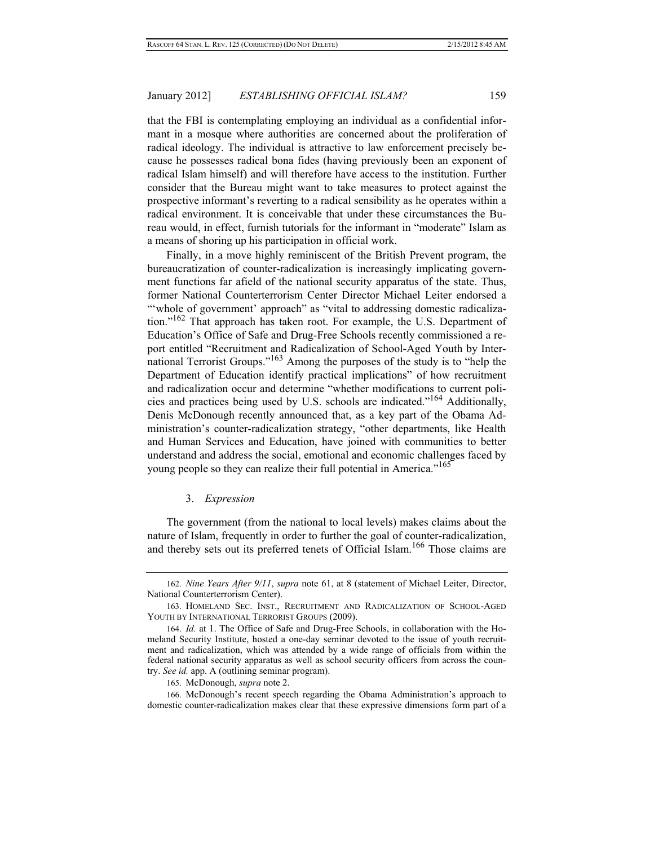that the FBI is contemplating employing an individual as a confidential informant in a mosque where authorities are concerned about the proliferation of radical ideology. The individual is attractive to law enforcement precisely because he possesses radical bona fides (having previously been an exponent of radical Islam himself) and will therefore have access to the institution. Further consider that the Bureau might want to take measures to protect against the prospective informant's reverting to a radical sensibility as he operates within a radical environment. It is conceivable that under these circumstances the Bureau would, in effect, furnish tutorials for the informant in "moderate" Islam as a means of shoring up his participation in official work.

Finally, in a move highly reminiscent of the British Prevent program, the bureaucratization of counter-radicalization is increasingly implicating government functions far afield of the national security apparatus of the state. Thus, former National Counterterrorism Center Director Michael Leiter endorsed a "whole of government' approach" as "vital to addressing domestic radicalization."<sup>162</sup> That approach has taken root. For example, the U.S. Department of Education's Office of Safe and Drug-Free Schools recently commissioned a report entitled "Recruitment and Radicalization of School-Aged Youth by International Terrorist Groups."163 Among the purposes of the study is to "help the Department of Education identify practical implications" of how recruitment and radicalization occur and determine "whether modifications to current policies and practices being used by U.S. schools are indicated."164 Additionally, Denis McDonough recently announced that, as a key part of the Obama Administration's counter-radicalization strategy, "other departments, like Health and Human Services and Education, have joined with communities to better understand and address the social, emotional and economic challenges faced by young people so they can realize their full potential in America."<sup>165</sup>

## 3. *Expression*

The government (from the national to local levels) makes claims about the nature of Islam, frequently in order to further the goal of counter-radicalization, and thereby sets out its preferred tenets of Official Islam.<sup>166</sup> Those claims are

<sup>162.</sup> *Nine Years After 9/11*, *supra* note 61, at 8 (statement of Michael Leiter, Director, National Counterterrorism Center).

<sup>163.</sup> HOMELAND SEC. INST., RECRUITMENT AND RADICALIZATION OF SCHOOL-AGED YOUTH BY INTERNATIONAL TERRORIST GROUPS (2009).

<sup>164.</sup> *Id.* at 1. The Office of Safe and Drug-Free Schools, in collaboration with the Homeland Security Institute, hosted a one-day seminar devoted to the issue of youth recruitment and radicalization, which was attended by a wide range of officials from within the federal national security apparatus as well as school security officers from across the country. *See id.* app. A (outlining seminar program).

<sup>165.</sup> McDonough, *supra* note 2.

<sup>166.</sup> McDonough's recent speech regarding the Obama Administration's approach to domestic counter-radicalization makes clear that these expressive dimensions form part of a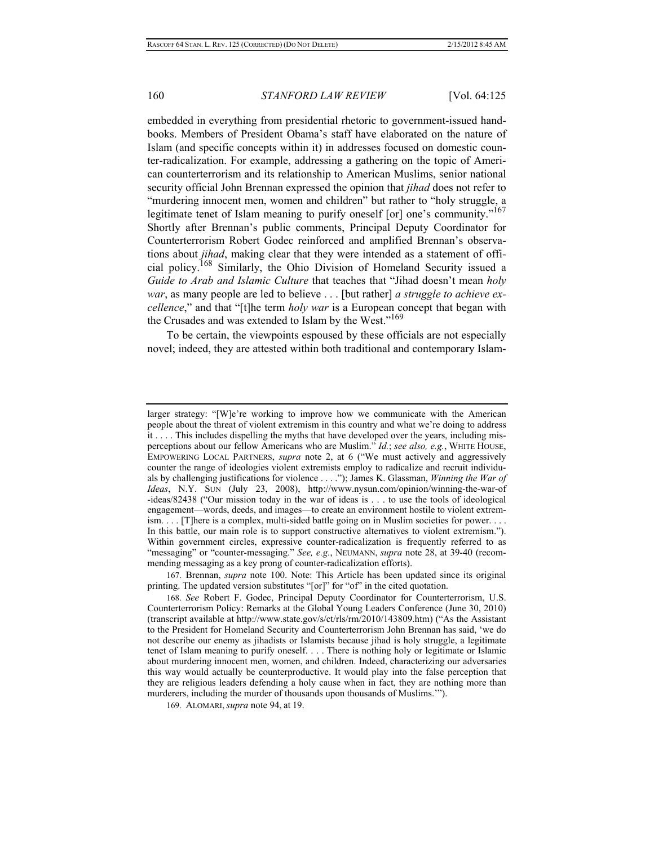embedded in everything from presidential rhetoric to government-issued handbooks. Members of President Obama's staff have elaborated on the nature of Islam (and specific concepts within it) in addresses focused on domestic counter-radicalization. For example, addressing a gathering on the topic of American counterterrorism and its relationship to American Muslims, senior national security official John Brennan expressed the opinion that *jihad* does not refer to "murdering innocent men, women and children" but rather to "holy struggle, a legitimate tenet of Islam meaning to purify oneself [or] one's community."<sup>167</sup> Shortly after Brennan's public comments, Principal Deputy Coordinator for Counterterrorism Robert Godec reinforced and amplified Brennan's observations about *jihad*, making clear that they were intended as a statement of official policy.168 Similarly, the Ohio Division of Homeland Security issued a *Guide to Arab and Islamic Culture* that teaches that "Jihad doesn't mean *holy war*, as many people are led to believe . . . [but rather] *a struggle to achieve excellence*," and that "[t]he term *holy war* is a European concept that began with the Crusades and was extended to Islam by the West."169

To be certain, the viewpoints espoused by these officials are not especially novel; indeed, they are attested within both traditional and contemporary Islam-

larger strategy: "[W]e're working to improve how we communicate with the American people about the threat of violent extremism in this country and what we're doing to address it . . . . This includes dispelling the myths that have developed over the years, including misperceptions about our fellow Americans who are Muslim." *Id.*; *see also, e.g.*, WHITE HOUSE, EMPOWERING LOCAL PARTNERS, *supra* note 2, at 6 ("We must actively and aggressively counter the range of ideologies violent extremists employ to radicalize and recruit individuals by challenging justifications for violence . . . ."); James K. Glassman, *Winning the War of Ideas*, N.Y. SUN (July 23, 2008), http://www.nysun.com/opinion/winning-the-war-of -ideas/82438 ("Our mission today in the war of ideas is . . . to use the tools of ideological engagement—words, deeds, and images—to create an environment hostile to violent extremism. . . . [T]here is a complex, multi-sided battle going on in Muslim societies for power. . . . In this battle, our main role is to support constructive alternatives to violent extremism."). Within government circles, expressive counter-radicalization is frequently referred to as "messaging" or "counter-messaging." *See, e.g.*, NEUMANN, *supra* note 28, at 39-40 (recommending messaging as a key prong of counter-radicalization efforts).

<sup>167.</sup> Brennan, *supra* note 100. Note: This Article has been updated since its original printing. The updated version substitutes "[or]" for "of" in the cited quotation.

<sup>168.</sup> *See* Robert F. Godec, Principal Deputy Coordinator for Counterterrorism, U.S. Counterterrorism Policy: Remarks at the Global Young Leaders Conference (June 30, 2010) (transcript available at http://www.state.gov/s/ct/rls/rm/2010/143809.htm) ("As the Assistant to the President for Homeland Security and Counterterrorism John Brennan has said, 'we do not describe our enemy as jihadists or Islamists because jihad is holy struggle, a legitimate tenet of Islam meaning to purify oneself. . . . There is nothing holy or legitimate or Islamic about murdering innocent men, women, and children. Indeed, characterizing our adversaries this way would actually be counterproductive. It would play into the false perception that they are religious leaders defending a holy cause when in fact, they are nothing more than murderers, including the murder of thousands upon thousands of Muslims.'").

<sup>169.</sup> ALOMARI, *supra* note 94, at 19.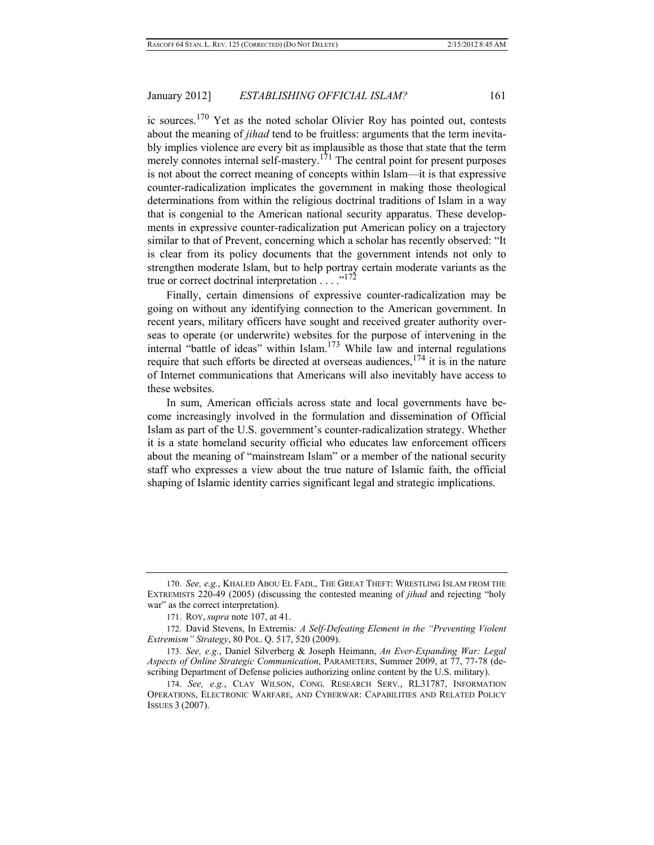ic sources.170 Yet as the noted scholar Olivier Roy has pointed out, contests about the meaning of *jihad* tend to be fruitless: arguments that the term inevitably implies violence are every bit as implausible as those that state that the term merely connotes internal self-mastery.<sup>171</sup> The central point for present purposes is not about the correct meaning of concepts within Islam—it is that expressive counter-radicalization implicates the government in making those theological determinations from within the religious doctrinal traditions of Islam in a way that is congenial to the American national security apparatus. These developments in expressive counter-radicalization put American policy on a trajectory similar to that of Prevent, concerning which a scholar has recently observed: "It is clear from its policy documents that the government intends not only to strengthen moderate Islam, but to help portray certain moderate variants as the true or correct doctrinal interpretation  $\ldots$ <sup>172</sup>

Finally, certain dimensions of expressive counter-radicalization may be going on without any identifying connection to the American government. In recent years, military officers have sought and received greater authority overseas to operate (or underwrite) websites for the purpose of intervening in the internal "battle of ideas" within Islam.173 While law and internal regulations require that such efforts be directed at overseas audiences,  $174$  it is in the nature of Internet communications that Americans will also inevitably have access to these websites.

In sum, American officials across state and local governments have become increasingly involved in the formulation and dissemination of Official Islam as part of the U.S. government's counter-radicalization strategy. Whether it is a state homeland security official who educates law enforcement officers about the meaning of "mainstream Islam" or a member of the national security staff who expresses a view about the true nature of Islamic faith, the official shaping of Islamic identity carries significant legal and strategic implications.

<sup>170.</sup> *See, e.g.*, KHALED ABOU EL FADL, THE GREAT THEFT: WRESTLING ISLAM FROM THE EXTREMISTS 220-49 (2005) (discussing the contested meaning of *jihad* and rejecting "holy war" as the correct interpretation).

<sup>171.</sup> ROY, *supra* note 107, at 41.

<sup>172.</sup> David Stevens, In Extremis*: A Self-Defeating Element in the "Preventing Violent Extremism" Strategy*, 80 POL. Q. 517, 520 (2009).

<sup>173.</sup> *See, e.g.*, Daniel Silverberg & Joseph Heimann, *An Ever-Expanding War: Legal Aspects of Online Strategic Communication*, PARAMETERS, Summer 2009, at 77, 77-78 (describing Department of Defense policies authorizing online content by the U.S. military).

<sup>174.</sup> *See, e.g.*, CLAY WILSON, CONG. RESEARCH SERV., RL31787, INFORMATION OPERATIONS, ELECTRONIC WARFARE, AND CYBERWAR: CAPABILITIES AND RELATED POLICY ISSUES 3 (2007).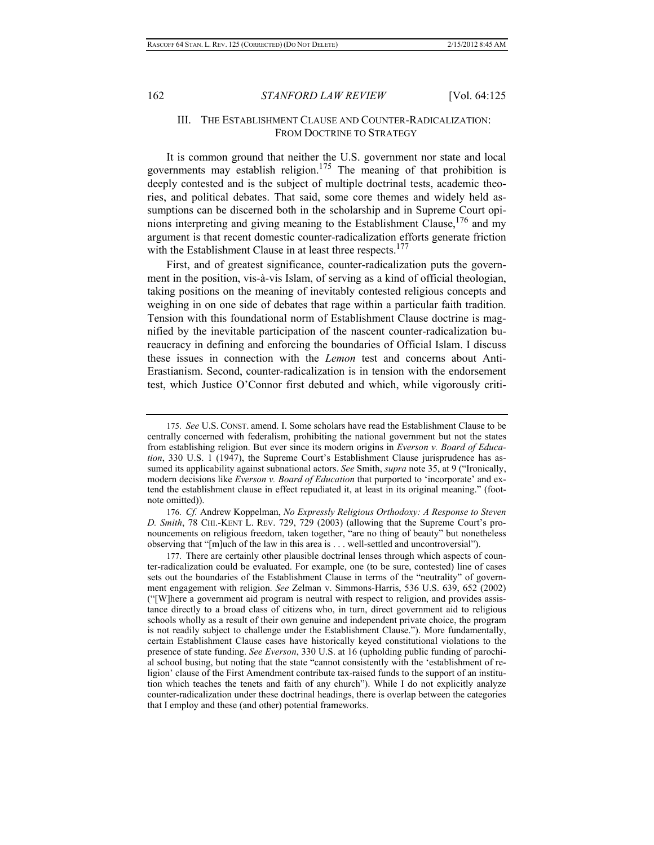## III. THE ESTABLISHMENT CLAUSE AND COUNTER-RADICALIZATION: FROM DOCTRINE TO STRATEGY

It is common ground that neither the U.S. government nor state and local governments may establish religion.<sup>175</sup> The meaning of that prohibition is deeply contested and is the subject of multiple doctrinal tests, academic theories, and political debates. That said, some core themes and widely held assumptions can be discerned both in the scholarship and in Supreme Court opinions interpreting and giving meaning to the Establishment Clause,  $176$  and my argument is that recent domestic counter-radicalization efforts generate friction with the Establishment Clause in at least three respects.<sup>177</sup>

First, and of greatest significance, counter-radicalization puts the government in the position, vis-à-vis Islam, of serving as a kind of official theologian, taking positions on the meaning of inevitably contested religious concepts and weighing in on one side of debates that rage within a particular faith tradition. Tension with this foundational norm of Establishment Clause doctrine is magnified by the inevitable participation of the nascent counter-radicalization bureaucracy in defining and enforcing the boundaries of Official Islam. I discuss these issues in connection with the *Lemon* test and concerns about Anti-Erastianism. Second, counter-radicalization is in tension with the endorsement test, which Justice O'Connor first debuted and which, while vigorously criti-

176. *Cf.* Andrew Koppelman, *No Expressly Religious Orthodoxy: A Response to Steven D. Smith*, 78 CHI.-KENT L. REV. 729, 729 (2003) (allowing that the Supreme Court's pronouncements on religious freedom, taken together, "are no thing of beauty" but nonetheless observing that "[m]uch of the law in this area is . . . well-settled and uncontroversial").

177. There are certainly other plausible doctrinal lenses through which aspects of counter-radicalization could be evaluated. For example, one (to be sure, contested) line of cases sets out the boundaries of the Establishment Clause in terms of the "neutrality" of government engagement with religion. *See* Zelman v. Simmons-Harris, 536 U.S. 639, 652 (2002) ("[W]here a government aid program is neutral with respect to religion, and provides assistance directly to a broad class of citizens who, in turn, direct government aid to religious schools wholly as a result of their own genuine and independent private choice, the program is not readily subject to challenge under the Establishment Clause."). More fundamentally, certain Establishment Clause cases have historically keyed constitutional violations to the presence of state funding. *See Everson*, 330 U.S. at 16 (upholding public funding of parochial school busing, but noting that the state "cannot consistently with the 'establishment of religion' clause of the First Amendment contribute tax-raised funds to the support of an institution which teaches the tenets and faith of any church"). While I do not explicitly analyze counter-radicalization under these doctrinal headings, there is overlap between the categories that I employ and these (and other) potential frameworks.

<sup>175.</sup> *See* U.S. CONST. amend. I. Some scholars have read the Establishment Clause to be centrally concerned with federalism, prohibiting the national government but not the states from establishing religion. But ever since its modern origins in *Everson v. Board of Education*, 330 U.S. 1 (1947), the Supreme Court's Establishment Clause jurisprudence has assumed its applicability against subnational actors. *See* Smith, *supra* note 35, at 9 ("Ironically, modern decisions like *Everson v. Board of Education* that purported to 'incorporate' and extend the establishment clause in effect repudiated it, at least in its original meaning." (footnote omitted)).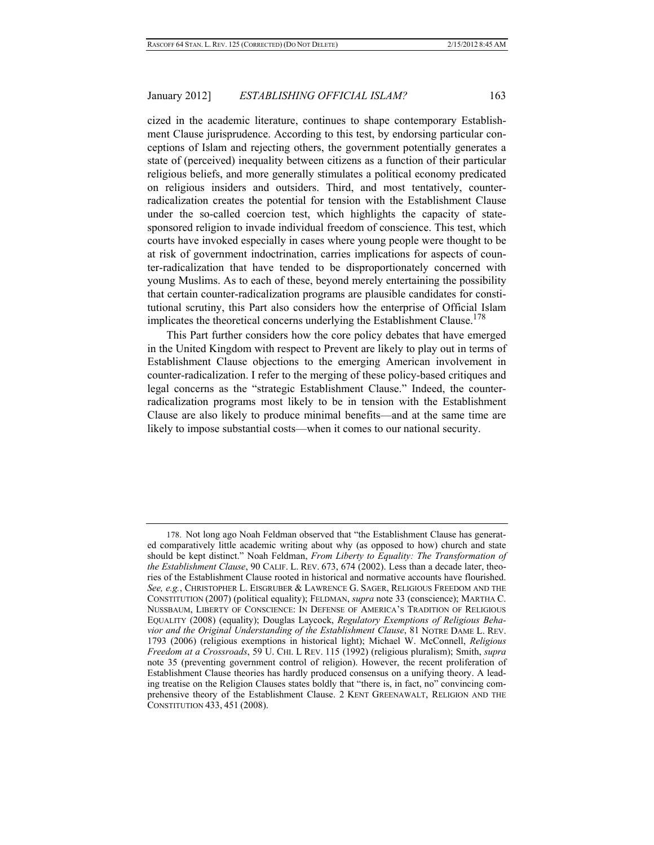cized in the academic literature, continues to shape contemporary Establishment Clause jurisprudence. According to this test, by endorsing particular conceptions of Islam and rejecting others, the government potentially generates a state of (perceived) inequality between citizens as a function of their particular religious beliefs, and more generally stimulates a political economy predicated on religious insiders and outsiders. Third, and most tentatively, counterradicalization creates the potential for tension with the Establishment Clause under the so-called coercion test, which highlights the capacity of statesponsored religion to invade individual freedom of conscience. This test, which courts have invoked especially in cases where young people were thought to be at risk of government indoctrination, carries implications for aspects of counter-radicalization that have tended to be disproportionately concerned with young Muslims. As to each of these, beyond merely entertaining the possibility that certain counter-radicalization programs are plausible candidates for constitutional scrutiny, this Part also considers how the enterprise of Official Islam implicates the theoretical concerns underlying the Establishment Clause.<sup>178</sup>

This Part further considers how the core policy debates that have emerged in the United Kingdom with respect to Prevent are likely to play out in terms of Establishment Clause objections to the emerging American involvement in counter-radicalization. I refer to the merging of these policy-based critiques and legal concerns as the "strategic Establishment Clause." Indeed, the counterradicalization programs most likely to be in tension with the Establishment Clause are also likely to produce minimal benefits—and at the same time are likely to impose substantial costs—when it comes to our national security.

<sup>178.</sup> Not long ago Noah Feldman observed that "the Establishment Clause has generated comparatively little academic writing about why (as opposed to how) church and state should be kept distinct." Noah Feldman, *From Liberty to Equality: The Transformation of the Establishment Clause*, 90 CALIF. L. REV. 673, 674 (2002). Less than a decade later, theories of the Establishment Clause rooted in historical and normative accounts have flourished. *See, e.g.*, CHRISTOPHER L. EISGRUBER & LAWRENCE G. SAGER, RELIGIOUS FREEDOM AND THE CONSTITUTION (2007) (political equality); FELDMAN, *supra* note 33 (conscience); MARTHA C. NUSSBAUM, LIBERTY OF CONSCIENCE: IN DEFENSE OF AMERICA'S TRADITION OF RELIGIOUS EQUALITY (2008) (equality); Douglas Laycock, *Regulatory Exemptions of Religious Behavior and the Original Understanding of the Establishment Clause*, 81 NOTRE DAME L. REV. 1793 (2006) (religious exemptions in historical light); Michael W. McConnell, *Religious Freedom at a Crossroads*, 59 U. CHI. L REV. 115 (1992) (religious pluralism); Smith, *supra*  note 35 (preventing government control of religion). However, the recent proliferation of Establishment Clause theories has hardly produced consensus on a unifying theory. A leading treatise on the Religion Clauses states boldly that "there is, in fact, no" convincing comprehensive theory of the Establishment Clause. 2 KENT GREENAWALT, RELIGION AND THE CONSTITUTION 433, 451 (2008).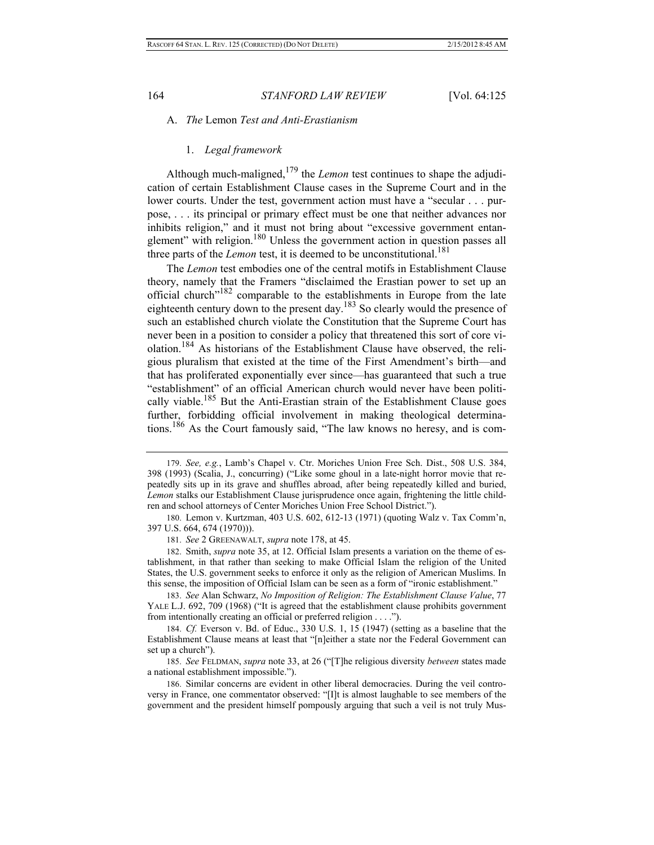#### A. *The* Lemon *Test and Anti-Erastianism*

#### 1. *Legal framework*

Although much-maligned, $1^{79}$  the *Lemon* test continues to shape the adjudication of certain Establishment Clause cases in the Supreme Court and in the lower courts. Under the test, government action must have a "secular . . . purpose, . . . its principal or primary effect must be one that neither advances nor inhibits religion," and it must not bring about "excessive government entanglement" with religion.180 Unless the government action in question passes all three parts of the *Lemon* test, it is deemed to be unconstitutional.<sup>181</sup>

The *Lemon* test embodies one of the central motifs in Establishment Clause theory, namely that the Framers "disclaimed the Erastian power to set up an official church"182 comparable to the establishments in Europe from the late eighteenth century down to the present day.<sup>183</sup> So clearly would the presence of such an established church violate the Constitution that the Supreme Court has never been in a position to consider a policy that threatened this sort of core violation.<sup>184</sup> As historians of the Establishment Clause have observed, the religious pluralism that existed at the time of the First Amendment's birth—and that has proliferated exponentially ever since—has guaranteed that such a true "establishment" of an official American church would never have been politically viable.<sup>185</sup> But the Anti-Erastian strain of the Establishment Clause goes further, forbidding official involvement in making theological determinations.<sup>186</sup> As the Court famously said, "The law knows no heresy, and is com-

185. *See* FELDMAN, *supra* note 33, at 26 ("[T]he religious diversity *between* states made a national establishment impossible.").

186. Similar concerns are evident in other liberal democracies. During the veil controversy in France, one commentator observed: "[I]t is almost laughable to see members of the government and the president himself pompously arguing that such a veil is not truly Mus-

<sup>179.</sup> *See, e.g.*, Lamb's Chapel v. Ctr. Moriches Union Free Sch. Dist., 508 U.S. 384, 398 (1993) (Scalia, J., concurring) ("Like some ghoul in a late-night horror movie that repeatedly sits up in its grave and shuffles abroad, after being repeatedly killed and buried, *Lemon* stalks our Establishment Clause jurisprudence once again, frightening the little children and school attorneys of Center Moriches Union Free School District.").

<sup>180.</sup> Lemon v. Kurtzman, 403 U.S. 602, 612-13 (1971) (quoting Walz v. Tax Comm'n, 397 U.S. 664, 674 (1970))).

<sup>181.</sup> *See* 2 GREENAWALT, *supra* note 178, at 45.

<sup>182.</sup> Smith, *supra* note 35, at 12. Official Islam presents a variation on the theme of establishment, in that rather than seeking to make Official Islam the religion of the United States, the U.S. government seeks to enforce it only as the religion of American Muslims. In this sense, the imposition of Official Islam can be seen as a form of "ironic establishment."

<sup>183.</sup> *See* Alan Schwarz, *No Imposition of Religion: The Establishment Clause Value*, 77 YALE L.J. 692, 709 (1968) ("It is agreed that the establishment clause prohibits government from intentionally creating an official or preferred religion . . . .").

<sup>184.</sup> *Cf.* Everson v. Bd. of Educ., 330 U.S. 1, 15 (1947) (setting as a baseline that the Establishment Clause means at least that "[n]either a state nor the Federal Government can set up a church").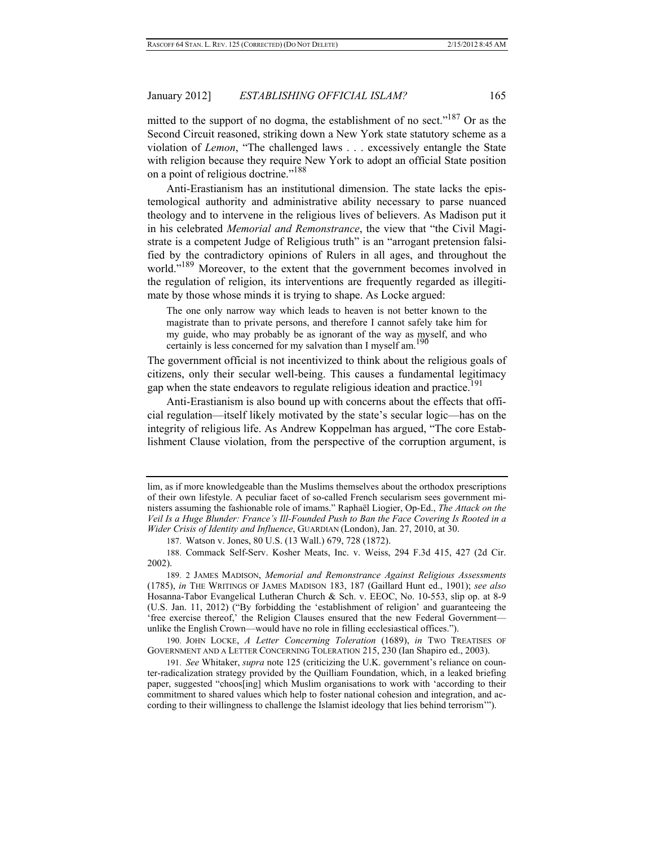mitted to the support of no dogma, the establishment of no sect."<sup>187</sup> Or as the Second Circuit reasoned, striking down a New York state statutory scheme as a violation of *Lemon*, "The challenged laws . . . excessively entangle the State with religion because they require New York to adopt an official State position on a point of religious doctrine."<sup>188</sup>

Anti-Erastianism has an institutional dimension. The state lacks the epistemological authority and administrative ability necessary to parse nuanced theology and to intervene in the religious lives of believers. As Madison put it in his celebrated *Memorial and Remonstrance*, the view that "the Civil Magistrate is a competent Judge of Religious truth" is an "arrogant pretension falsified by the contradictory opinions of Rulers in all ages, and throughout the world."<sup>189</sup> Moreover, to the extent that the government becomes involved in the regulation of religion, its interventions are frequently regarded as illegitimate by those whose minds it is trying to shape. As Locke argued:

The one only narrow way which leads to heaven is not better known to the magistrate than to private persons, and therefore I cannot safely take him for my guide, who may probably be as ignorant of the way as myself, and who certainly is less concerned for my salvation than I myself am.<sup>1</sup>

The government official is not incentivized to think about the religious goals of citizens, only their secular well-being. This causes a fundamental legitimacy gap when the state endeavors to regulate religious ideation and practice.<sup>191</sup>

Anti-Erastianism is also bound up with concerns about the effects that official regulation—itself likely motivated by the state's secular logic—has on the integrity of religious life. As Andrew Koppelman has argued, "The core Establishment Clause violation, from the perspective of the corruption argument, is

190. JOHN LOCKE, *A Letter Concerning Toleration* (1689), *in* TWO TREATISES OF GOVERNMENT AND A LETTER CONCERNING TOLERATION 215, 230 (Ian Shapiro ed., 2003).

191. *See* Whitaker, *supra* note 125 (criticizing the U.K. government's reliance on counter-radicalization strategy provided by the Quilliam Foundation, which, in a leaked briefing paper, suggested "choos[ing] which Muslim organisations to work with 'according to their commitment to shared values which help to foster national cohesion and integration, and according to their willingness to challenge the Islamist ideology that lies behind terrorism'").

lim, as if more knowledgeable than the Muslims themselves about the orthodox prescriptions of their own lifestyle. A peculiar facet of so-called French secularism sees government ministers assuming the fashionable role of imams." Raphaël Liogier, Op-Ed., *The Attack on the Veil Is a Huge Blunder: France's Ill-Founded Push to Ban the Face Covering Is Rooted in a Wider Crisis of Identity and Influence*, GUARDIAN (London), Jan. 27, 2010, at 30.

<sup>187.</sup> Watson v. Jones, 80 U.S. (13 Wall.) 679, 728 (1872).

<sup>188.</sup> Commack Self-Serv. Kosher Meats, Inc. v. Weiss, 294 F.3d 415, 427 (2d Cir. 2002).

<sup>189. 2</sup> JAMES MADISON, *Memorial and Remonstrance Against Religious Assessments* (1785), *in* THE WRITINGS OF JAMES MADISON 183, 187 (Gaillard Hunt ed., 1901); *see also*  Hosanna-Tabor Evangelical Lutheran Church & Sch. v. EEOC, No. 10-553, slip op. at 8-9 (U.S. Jan. 11, 2012) ("By forbidding the 'establishment of religion' and guaranteeing the 'free exercise thereof,' the Religion Clauses ensured that the new Federal Government unlike the English Crown—would have no role in filling ecclesiastical offices.").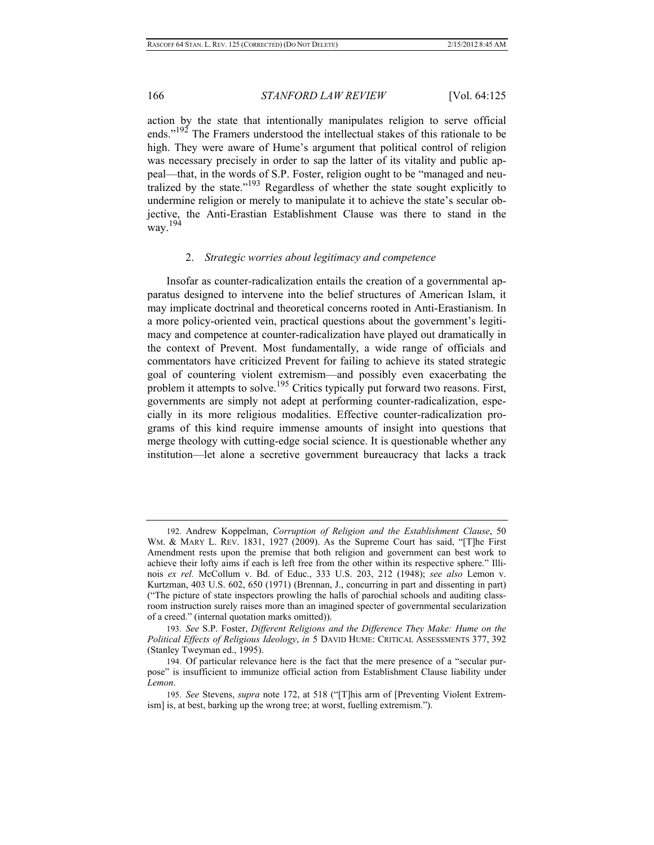action by the state that intentionally manipulates religion to serve official ends."<sup>192</sup> The Framers understood the intellectual stakes of this rationale to be high. They were aware of Hume's argument that political control of religion was necessary precisely in order to sap the latter of its vitality and public appeal—that, in the words of S.P. Foster, religion ought to be "managed and neutralized by the state."193 Regardless of whether the state sought explicitly to undermine religion or merely to manipulate it to achieve the state's secular objective, the Anti-Erastian Establishment Clause was there to stand in the way.<sup>194</sup>

#### 2. *Strategic worries about legitimacy and competence*

Insofar as counter-radicalization entails the creation of a governmental apparatus designed to intervene into the belief structures of American Islam, it may implicate doctrinal and theoretical concerns rooted in Anti-Erastianism. In a more policy-oriented vein, practical questions about the government's legitimacy and competence at counter-radicalization have played out dramatically in the context of Prevent. Most fundamentally, a wide range of officials and commentators have criticized Prevent for failing to achieve its stated strategic goal of countering violent extremism—and possibly even exacerbating the problem it attempts to solve.<sup>195</sup> Critics typically put forward two reasons. First, governments are simply not adept at performing counter-radicalization, especially in its more religious modalities. Effective counter-radicalization programs of this kind require immense amounts of insight into questions that merge theology with cutting-edge social science. It is questionable whether any institution—let alone a secretive government bureaucracy that lacks a track

<sup>192.</sup> Andrew Koppelman, *Corruption of Religion and the Establishment Clause*, 50 WM. & MARY L. REV. 1831, 1927 (2009). As the Supreme Court has said, "[T]he First Amendment rests upon the premise that both religion and government can best work to achieve their lofty aims if each is left free from the other within its respective sphere." Illinois *ex rel.* McCollum v. Bd. of Educ., 333 U.S. 203, 212 (1948); *see also* Lemon v. Kurtzman, 403 U.S. 602, 650 (1971) (Brennan, J., concurring in part and dissenting in part) ("The picture of state inspectors prowling the halls of parochial schools and auditing classroom instruction surely raises more than an imagined specter of governmental secularization of a creed." (internal quotation marks omitted)).

<sup>193.</sup> *See* S.P. Foster, *Different Religions and the Difference They Make: Hume on the Political Effects of Religious Ideology*, *in* 5 DAVID HUME: CRITICAL ASSESSMENTS 377, 392 (Stanley Tweyman ed., 1995).

<sup>194.</sup> Of particular relevance here is the fact that the mere presence of a "secular purpose" is insufficient to immunize official action from Establishment Clause liability under *Lemon*.

<sup>195.</sup> *See* Stevens, *supra* note 172, at 518 ("[T]his arm of [Preventing Violent Extremism] is, at best, barking up the wrong tree; at worst, fuelling extremism.").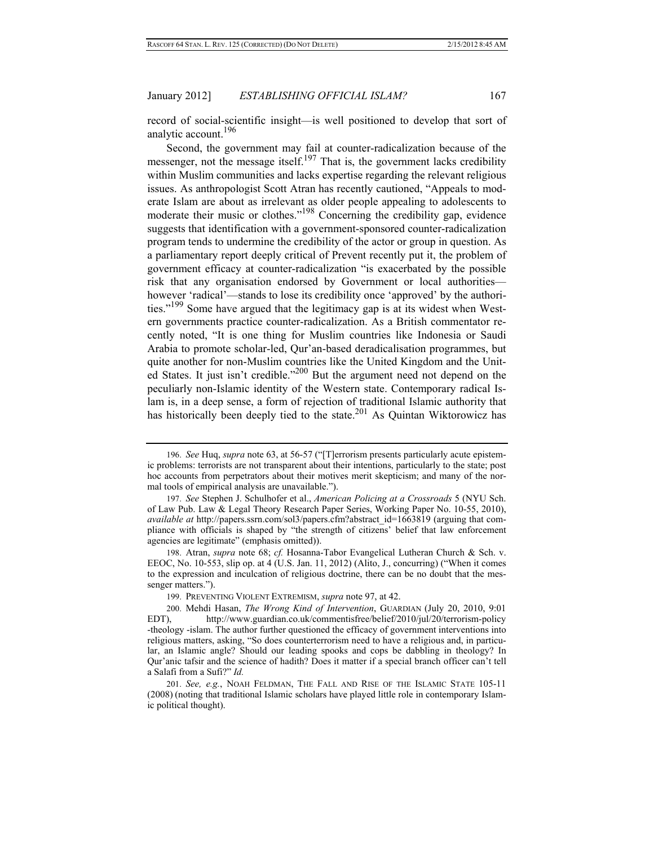record of social-scientific insight—is well positioned to develop that sort of analytic account.<sup>196</sup>

Second, the government may fail at counter-radicalization because of the messenger, not the message itself.<sup>197</sup> That is, the government lacks credibility within Muslim communities and lacks expertise regarding the relevant religious issues. As anthropologist Scott Atran has recently cautioned, "Appeals to moderate Islam are about as irrelevant as older people appealing to adolescents to moderate their music or clothes."<sup>198</sup> Concerning the credibility gap, evidence suggests that identification with a government-sponsored counter-radicalization program tends to undermine the credibility of the actor or group in question. As a parliamentary report deeply critical of Prevent recently put it, the problem of government efficacy at counter-radicalization "is exacerbated by the possible risk that any organisation endorsed by Government or local authorities however 'radical'—stands to lose its credibility once 'approved' by the authorities."199 Some have argued that the legitimacy gap is at its widest when Western governments practice counter-radicalization. As a British commentator recently noted, "It is one thing for Muslim countries like Indonesia or Saudi Arabia to promote scholar-led, Qur'an-based deradicalisation programmes, but quite another for non-Muslim countries like the United Kingdom and the United States. It just isn't credible."<sup>200</sup> But the argument need not depend on the peculiarly non-Islamic identity of the Western state. Contemporary radical Islam is, in a deep sense, a form of rejection of traditional Islamic authority that has historically been deeply tied to the state.<sup>201</sup> As Quintan Wiktorowicz has

<sup>196.</sup> *See* Huq, *supra* note 63, at 56-57 ("[T]errorism presents particularly acute epistemic problems: terrorists are not transparent about their intentions, particularly to the state; post hoc accounts from perpetrators about their motives merit skepticism; and many of the normal tools of empirical analysis are unavailable.").

<sup>197.</sup> *See* Stephen J. Schulhofer et al., *American Policing at a Crossroads* 5 (NYU Sch. of Law Pub. Law & Legal Theory Research Paper Series, Working Paper No. 10-55, 2010), *available at* http://papers.ssrn.com/sol3/papers.cfm?abstract\_id=1663819 (arguing that compliance with officials is shaped by "the strength of citizens' belief that law enforcement agencies are legitimate" (emphasis omitted)).

<sup>198.</sup> Atran, *supra* note 68; *cf.* Hosanna-Tabor Evangelical Lutheran Church & Sch. v. EEOC, No. 10-553, slip op. at 4 (U.S. Jan. 11, 2012) (Alito, J., concurring) ("When it comes to the expression and inculcation of religious doctrine, there can be no doubt that the messenger matters.").

<sup>199.</sup> PREVENTING VIOLENT EXTREMISM, *supra* note 97, at 42.

<sup>200.</sup> Mehdi Hasan, *The Wrong Kind of Intervention*, GUARDIAN (July 20, 2010, 9:01 EDT), http://www.guardian.co.uk/commentisfree/belief/2010/jul/20/terrorism-policy -theology -islam. The author further questioned the efficacy of government interventions into religious matters, asking, "So does counterterrorism need to have a religious and, in particular, an Islamic angle? Should our leading spooks and cops be dabbling in theology? In Qur'anic tafsir and the science of hadith? Does it matter if a special branch officer can't tell a Salafi from a Sufi?" *Id.*

<sup>201.</sup> *See, e.g.*, NOAH FELDMAN, THE FALL AND RISE OF THE ISLAMIC STATE 105-11 (2008) (noting that traditional Islamic scholars have played little role in contemporary Islamic political thought).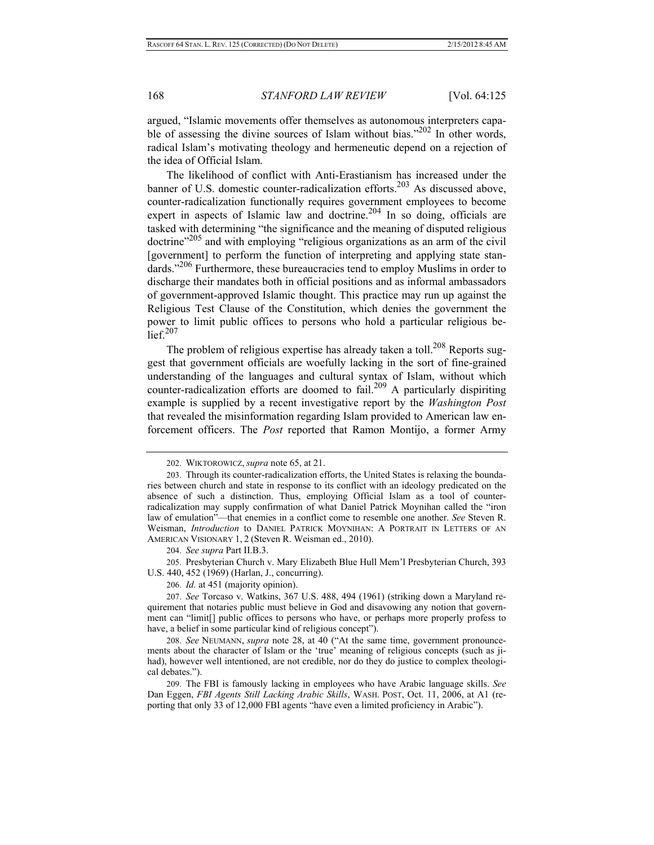argued, "Islamic movements offer themselves as autonomous interpreters capable of assessing the divine sources of Islam without bias."<sup>202</sup> In other words, radical Islam's motivating theology and hermeneutic depend on a rejection of the idea of Official Islam.

The likelihood of conflict with Anti-Erastianism has increased under the banner of U.S. domestic counter-radicalization efforts.<sup>203</sup> As discussed above, counter-radicalization functionally requires government employees to become expert in aspects of Islamic law and doctrine.<sup>204</sup> In so doing, officials are tasked with determining "the significance and the meaning of disputed religious doctrine"205 and with employing "religious organizations as an arm of the civil [government] to perform the function of interpreting and applying state standards."<sup>206</sup> Furthermore, these bureaucracies tend to employ Muslims in order to discharge their mandates both in official positions and as informal ambassadors of government-approved Islamic thought. This practice may run up against the Religious Test Clause of the Constitution, which denies the government the power to limit public offices to persons who hold a particular religious be- $\arctan 207$ 

The problem of religious expertise has already taken a toll.<sup>208</sup> Reports suggest that government officials are woefully lacking in the sort of fine-grained understanding of the languages and cultural syntax of Islam, without which counter-radicalization efforts are doomed to fail.<sup>209</sup> A particularly dispiriting example is supplied by a recent investigative report by the *Washington Post* that revealed the misinformation regarding Islam provided to American law enforcement officers. The *Post* reported that Ramon Montijo, a former Army

205. Presbyterian Church v. Mary Elizabeth Blue Hull Mem'l Presbyterian Church, 393 U.S. 440, 452 (1969) (Harlan, J., concurring).

206. *Id.* at 451 (majority opinion).

<sup>202.</sup> WIKTOROWICZ, *supra* note 65, at 21.

<sup>203.</sup> Through its counter-radicalization efforts, the United States is relaxing the boundaries between church and state in response to its conflict with an ideology predicated on the absence of such a distinction. Thus, employing Official Islam as a tool of counterradicalization may supply confirmation of what Daniel Patrick Moynihan called the "iron law of emulation"—that enemies in a conflict come to resemble one another. *See* Steven R. Weisman, *Introduction* to DANIEL PATRICK MOYNIHAN: A PORTRAIT IN LETTERS OF AN AMERICAN VISIONARY 1, 2 (Steven R. Weisman ed., 2010).

<sup>204.</sup> *See supra* Part II.B.3.

<sup>207.</sup> *See* Torcaso v. Watkins, 367 U.S. 488, 494 (1961) (striking down a Maryland requirement that notaries public must believe in God and disavowing any notion that government can "limit[] public offices to persons who have, or perhaps more properly profess to have, a belief in some particular kind of religious concept").

<sup>208.</sup> *See* NEUMANN, *supra* note 28, at 40 ("At the same time, government pronouncements about the character of Islam or the 'true' meaning of religious concepts (such as jihad), however well intentioned, are not credible, nor do they do justice to complex theological debates.").

<sup>209.</sup> The FBI is famously lacking in employees who have Arabic language skills. *See* Dan Eggen, *FBI Agents Still Lacking Arabic Skills*, WASH. POST, Oct. 11, 2006, at A1 (reporting that only 33 of 12,000 FBI agents "have even a limited proficiency in Arabic").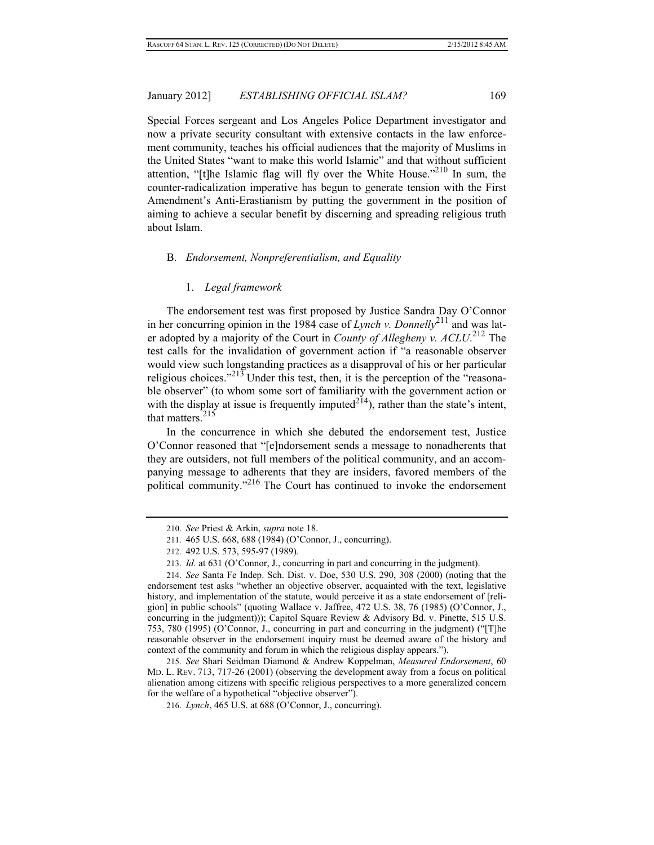Special Forces sergeant and Los Angeles Police Department investigator and now a private security consultant with extensive contacts in the law enforcement community, teaches his official audiences that the majority of Muslims in the United States "want to make this world Islamic" and that without sufficient attention, "[t]he Islamic flag will fly over the White House."<sup>210</sup> In sum, the counter-radicalization imperative has begun to generate tension with the First Amendment's Anti-Erastianism by putting the government in the position of aiming to achieve a secular benefit by discerning and spreading religious truth about Islam.

#### B. *Endorsement, Nonpreferentialism, and Equality*

## 1. *Legal framework*

The endorsement test was first proposed by Justice Sandra Day O'Connor in her concurring opinion in the 1984 case of *Lynch v. Donnelly*<sup>211</sup> and was later adopted by a majority of the Court in *County of Allegheny v. ACLU*. 212 The test calls for the invalidation of government action if "a reasonable observer would view such longstanding practices as a disapproval of his or her particular religious choices."<sup>213</sup> Under this test, then, it is the perception of the "reasonable observer" (to whom some sort of familiarity with the government action or with the display at issue is frequently imputed<sup>214</sup>), rather than the state's intent, that matters. $215$ 

In the concurrence in which she debuted the endorsement test, Justice O'Connor reasoned that "[e]ndorsement sends a message to nonadherents that they are outsiders, not full members of the political community, and an accompanying message to adherents that they are insiders, favored members of the political community."216 The Court has continued to invoke the endorsement

<sup>210.</sup> *See* Priest & Arkin, *supra* note 18.

<sup>211. 465</sup> U.S. 668, 688 (1984) (O'Connor, J., concurring).

<sup>212. 492</sup> U.S. 573, 595-97 (1989).

<sup>213.</sup> *Id.* at 631 (O'Connor, J., concurring in part and concurring in the judgment).

<sup>214.</sup> *See* Santa Fe Indep. Sch. Dist. v. Doe, 530 U.S. 290, 308 (2000) (noting that the endorsement test asks "whether an objective observer, acquainted with the text, legislative history, and implementation of the statute, would perceive it as a state endorsement of [religion] in public schools" (quoting Wallace v. Jaffree, 472 U.S. 38, 76 (1985) (O'Connor, J., concurring in the judgment))); Capitol Square Review & Advisory Bd. v. Pinette, 515 U.S. 753, 780 (1995) (O'Connor, J., concurring in part and concurring in the judgment) ("[T]he reasonable observer in the endorsement inquiry must be deemed aware of the history and context of the community and forum in which the religious display appears.").

<sup>215.</sup> *See* Shari Seidman Diamond & Andrew Koppelman, *Measured Endorsement*, 60 MD. L. REV. 713, 717-26 (2001) (observing the development away from a focus on political alienation among citizens with specific religious perspectives to a more generalized concern for the welfare of a hypothetical "objective observer").

<sup>216.</sup> *Lynch*, 465 U.S. at 688 (O'Connor, J., concurring).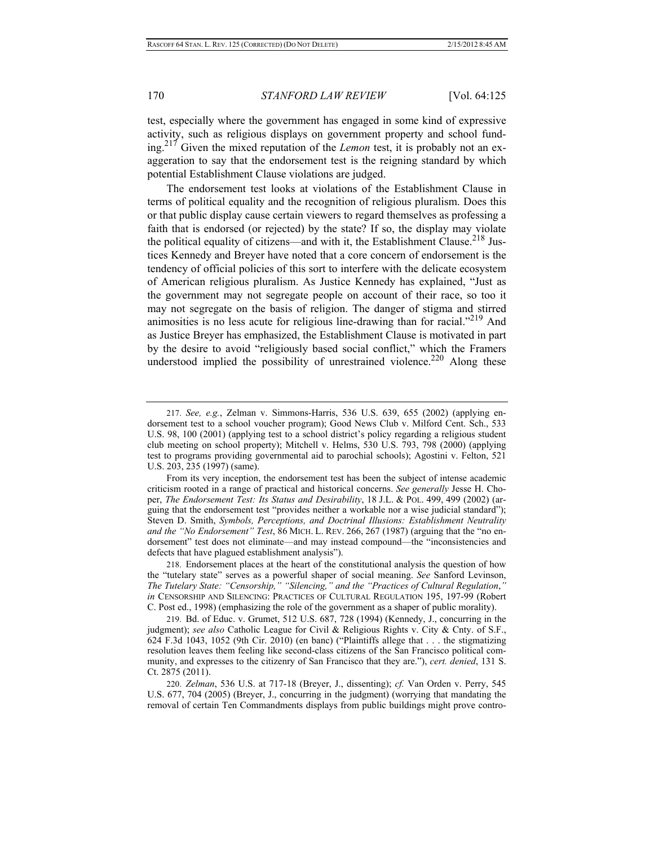test, especially where the government has engaged in some kind of expressive activity, such as religious displays on government property and school funding.217 Given the mixed reputation of the *Lemon* test, it is probably not an exaggeration to say that the endorsement test is the reigning standard by which potential Establishment Clause violations are judged.

The endorsement test looks at violations of the Establishment Clause in terms of political equality and the recognition of religious pluralism. Does this or that public display cause certain viewers to regard themselves as professing a faith that is endorsed (or rejected) by the state? If so, the display may violate the political equality of citizens—and with it, the Establishment Clause.<sup>218</sup> Justices Kennedy and Breyer have noted that a core concern of endorsement is the tendency of official policies of this sort to interfere with the delicate ecosystem of American religious pluralism. As Justice Kennedy has explained, "Just as the government may not segregate people on account of their race, so too it may not segregate on the basis of religion. The danger of stigma and stirred animosities is no less acute for religious line-drawing than for racial."219 And as Justice Breyer has emphasized, the Establishment Clause is motivated in part by the desire to avoid "religiously based social conflict," which the Framers understood implied the possibility of unrestrained violence.<sup>220</sup> Along these

<sup>217.</sup> *See, e.g.*, Zelman v. Simmons-Harris, 536 U.S. 639, 655 (2002) (applying endorsement test to a school voucher program); Good News Club v. Milford Cent. Sch., 533 U.S. 98, 100 (2001) (applying test to a school district's policy regarding a religious student club meeting on school property); Mitchell v. Helms, 530 U.S. 793, 798 (2000) (applying test to programs providing governmental aid to parochial schools); Agostini v. Felton, 521 U.S. 203, 235 (1997) (same).

From its very inception, the endorsement test has been the subject of intense academic criticism rooted in a range of practical and historical concerns. *See generally* Jesse H. Choper, *The Endorsement Test: Its Status and Desirability*, 18 J.L. & POL. 499, 499 (2002) (arguing that the endorsement test "provides neither a workable nor a wise judicial standard"); Steven D. Smith, *Symbols, Perceptions, and Doctrinal Illusions: Establishment Neutrality and the "No Endorsement" Test*, 86 MICH. L. REV. 266, 267 (1987) (arguing that the "no endorsement" test does not eliminate—and may instead compound—the "inconsistencies and defects that have plagued establishment analysis").

<sup>218.</sup> Endorsement places at the heart of the constitutional analysis the question of how the "tutelary state" serves as a powerful shaper of social meaning. *See* Sanford Levinson, *The Tutelary State: "Censorship," "Silencing," and the "Practices of Cultural Regulation*,*" in* CENSORSHIP AND SILENCING: PRACTICES OF CULTURAL REGULATION 195, 197-99 (Robert C. Post ed., 1998) (emphasizing the role of the government as a shaper of public morality).

<sup>219.</sup> Bd. of Educ. v. Grumet, 512 U.S. 687, 728 (1994) (Kennedy, J., concurring in the judgment); *see also* Catholic League for Civil & Religious Rights v. City & Cnty. of S.F., 624 F.3d 1043, 1052 (9th Cir. 2010) (en banc) ("Plaintiffs allege that . . . the stigmatizing resolution leaves them feeling like second-class citizens of the San Francisco political community, and expresses to the citizenry of San Francisco that they are."), *cert. denied*, 131 S. Ct. 2875 (2011).

<sup>220.</sup> *Zelman*, 536 U.S. at 717-18 (Breyer, J., dissenting); *cf.* Van Orden v. Perry, 545 U.S. 677, 704 (2005) (Breyer, J., concurring in the judgment) (worrying that mandating the removal of certain Ten Commandments displays from public buildings might prove contro-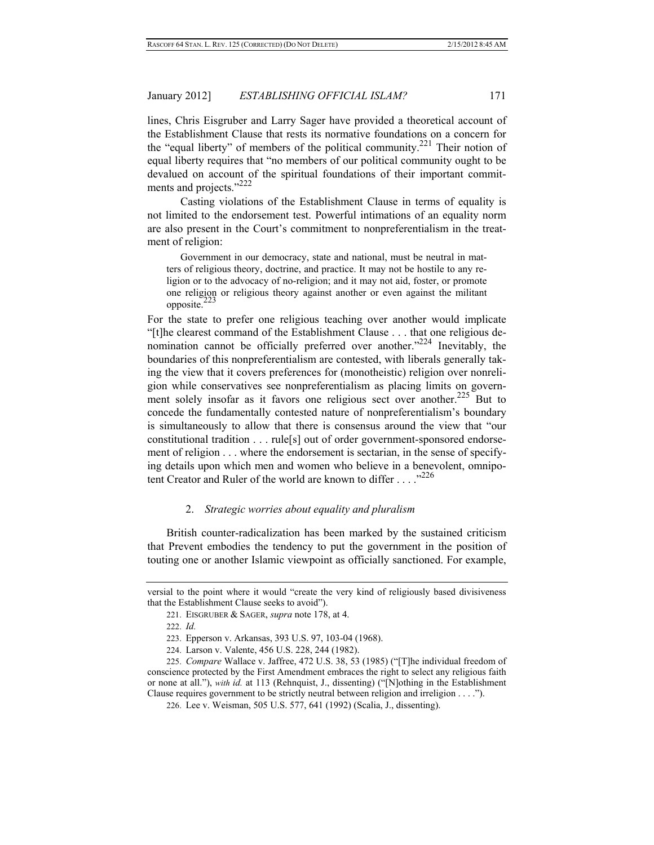lines, Chris Eisgruber and Larry Sager have provided a theoretical account of the Establishment Clause that rests its normative foundations on a concern for the "equal liberty" of members of the political community.<sup>221</sup> Their notion of equal liberty requires that "no members of our political community ought to be devalued on account of the spiritual foundations of their important commitments and projects."<sup>222</sup>

 Casting violations of the Establishment Clause in terms of equality is not limited to the endorsement test. Powerful intimations of an equality norm are also present in the Court's commitment to nonpreferentialism in the treatment of religion:

 Government in our democracy, state and national, must be neutral in matters of religious theory, doctrine, and practice. It may not be hostile to any religion or to the advocacy of no-religion; and it may not aid, foster, or promote one religion or religious theory against another or even against the militant opposite.<sup>2</sup>

For the state to prefer one religious teaching over another would implicate "[t]he clearest command of the Establishment Clause . . . that one religious denomination cannot be officially preferred over another."<sup>224</sup> Inevitably, the boundaries of this nonpreferentialism are contested, with liberals generally taking the view that it covers preferences for (monotheistic) religion over nonreligion while conservatives see nonpreferentialism as placing limits on government solely insofar as it favors one religious sect over another.<sup>225</sup> But to concede the fundamentally contested nature of nonpreferentialism's boundary is simultaneously to allow that there is consensus around the view that "our constitutional tradition . . . rule[s] out of order government-sponsored endorsement of religion . . . where the endorsement is sectarian, in the sense of specifying details upon which men and women who believe in a benevolent, omnipotent Creator and Ruler of the world are known to differ . . . . "<sup>226</sup>

## 2. *Strategic worries about equality and pluralism*

British counter-radicalization has been marked by the sustained criticism that Prevent embodies the tendency to put the government in the position of touting one or another Islamic viewpoint as officially sanctioned. For example,

versial to the point where it would "create the very kind of religiously based divisiveness that the Establishment Clause seeks to avoid").

<sup>221.</sup> EISGRUBER & SAGER, *supra* note 178, at 4.

<sup>222.</sup> *Id.*

<sup>223.</sup> Epperson v. Arkansas, 393 U.S. 97, 103-04 (1968).

<sup>224.</sup> Larson v. Valente, 456 U.S. 228, 244 (1982).

<sup>225.</sup> *Compare* Wallace v. Jaffree, 472 U.S. 38, 53 (1985) ("[T]he individual freedom of conscience protected by the First Amendment embraces the right to select any religious faith or none at all."), *with id.* at 113 (Rehnquist, J., dissenting) ("[N]othing in the Establishment Clause requires government to be strictly neutral between religion and irreligion . . . .").

<sup>226.</sup> Lee v. Weisman, 505 U.S. 577, 641 (1992) (Scalia, J., dissenting).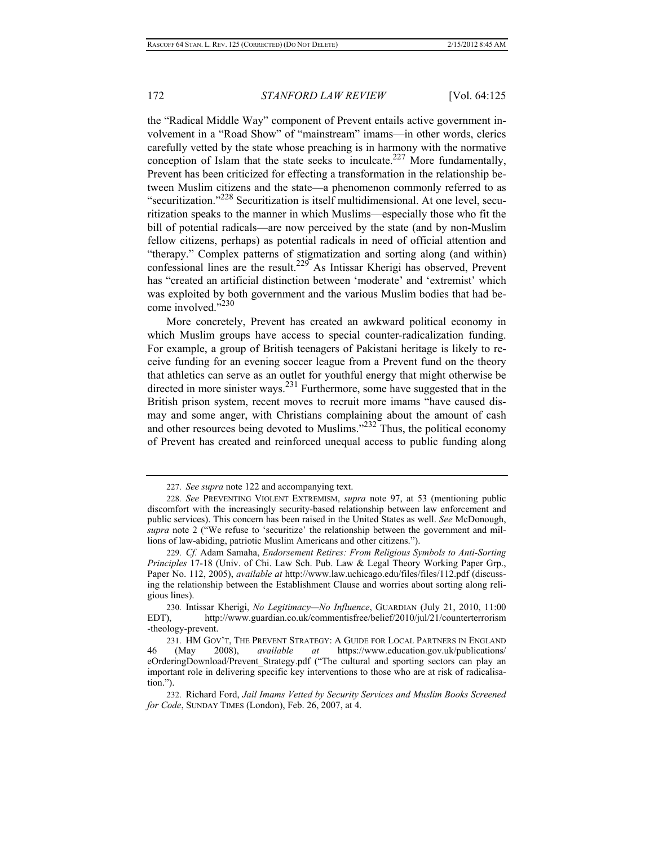the "Radical Middle Way" component of Prevent entails active government involvement in a "Road Show" of "mainstream" imams—in other words, clerics carefully vetted by the state whose preaching is in harmony with the normative conception of Islam that the state seeks to inculcate.<sup>227</sup> More fundamentally, Prevent has been criticized for effecting a transformation in the relationship between Muslim citizens and the state—a phenomenon commonly referred to as "securitization."228 Securitization is itself multidimensional. At one level, securitization speaks to the manner in which Muslims—especially those who fit the bill of potential radicals—are now perceived by the state (and by non-Muslim fellow citizens, perhaps) as potential radicals in need of official attention and "therapy." Complex patterns of stigmatization and sorting along (and within) confessional lines are the result.229 As Intissar Kherigi has observed, Prevent has "created an artificial distinction between 'moderate' and 'extremist' which was exploited by both government and the various Muslim bodies that had become involved."<sup>230</sup>

More concretely, Prevent has created an awkward political economy in which Muslim groups have access to special counter-radicalization funding. For example, a group of British teenagers of Pakistani heritage is likely to receive funding for an evening soccer league from a Prevent fund on the theory that athletics can serve as an outlet for youthful energy that might otherwise be directed in more sinister ways.<sup>231</sup> Furthermore, some have suggested that in the British prison system, recent moves to recruit more imams "have caused dismay and some anger, with Christians complaining about the amount of cash and other resources being devoted to Muslims."232 Thus, the political economy of Prevent has created and reinforced unequal access to public funding along

<sup>227.</sup> *See supra* note 122 and accompanying text.

<sup>228.</sup> *See* PREVENTING VIOLENT EXTREMISM, *supra* note 97, at 53 (mentioning public discomfort with the increasingly security-based relationship between law enforcement and public services). This concern has been raised in the United States as well. *See* McDonough, *supra* note 2 ("We refuse to 'securitize' the relationship between the government and millions of law-abiding, patriotic Muslim Americans and other citizens.").

<sup>229.</sup> *Cf.* Adam Samaha, *Endorsement Retires: From Religious Symbols to Anti-Sorting Principles* 17-18 (Univ. of Chi. Law Sch. Pub. Law & Legal Theory Working Paper Grp., Paper No. 112, 2005), *available at* http://www.law.uchicago.edu/files/files/112.pdf (discussing the relationship between the Establishment Clause and worries about sorting along religious lines).

<sup>230.</sup> Intissar Kherigi, *No Legitimacy—No Influence*, GUARDIAN (July 21, 2010, 11:00 EDT), http://www.guardian.co.uk/commentisfree/belief/2010/jul/21/counterterrorism -theology-prevent.

<sup>231.</sup> HM GOV'T, THE PREVENT STRATEGY: A GUIDE FOR LOCAL PARTNERS IN ENGLAND 46 (May 2008), *available at* https://www.education.gov.uk/publications/ eOrderingDownload/Prevent\_Strategy.pdf ("The cultural and sporting sectors can play an important role in delivering specific key interventions to those who are at risk of radicalisation.").

<sup>232.</sup> Richard Ford, *Jail Imams Vetted by Security Services and Muslim Books Screened for Code*, SUNDAY TIMES (London), Feb. 26, 2007, at 4.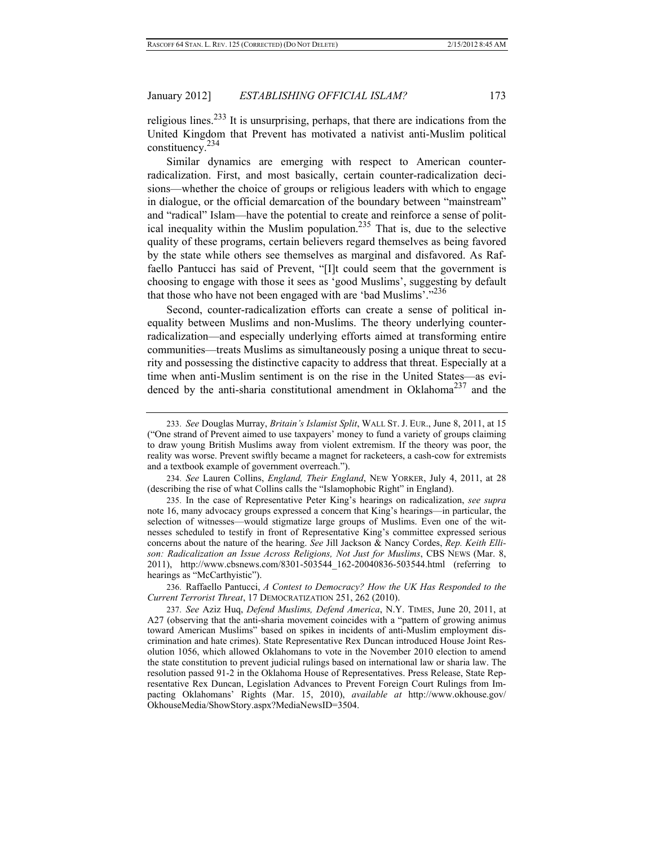religious lines.<sup>233</sup> It is unsurprising, perhaps, that there are indications from the United Kingdom that Prevent has motivated a nativist anti-Muslim political constituency.234

Similar dynamics are emerging with respect to American counterradicalization. First, and most basically, certain counter-radicalization decisions—whether the choice of groups or religious leaders with which to engage in dialogue, or the official demarcation of the boundary between "mainstream" and "radical" Islam—have the potential to create and reinforce a sense of political inequality within the Muslim population.<sup>235</sup> That is, due to the selective quality of these programs, certain believers regard themselves as being favored by the state while others see themselves as marginal and disfavored. As Raffaello Pantucci has said of Prevent, "[I]t could seem that the government is choosing to engage with those it sees as 'good Muslims', suggesting by default that those who have not been engaged with are 'bad Muslims'."<sup>236</sup>

Second, counter-radicalization efforts can create a sense of political inequality between Muslims and non-Muslims. The theory underlying counterradicalization—and especially underlying efforts aimed at transforming entire communities—treats Muslims as simultaneously posing a unique threat to security and possessing the distinctive capacity to address that threat. Especially at a time when anti-Muslim sentiment is on the rise in the United States—as evidenced by the anti-sharia constitutional amendment in Oklahoma<sup>237</sup> and the

234. *See* Lauren Collins, *England, Their England*, NEW YORKER, July 4, 2011, at 28 (describing the rise of what Collins calls the "Islamophobic Right" in England).

235. In the case of Representative Peter King's hearings on radicalization, *see supra*  note 16, many advocacy groups expressed a concern that King's hearings—in particular, the selection of witnesses—would stigmatize large groups of Muslims. Even one of the witnesses scheduled to testify in front of Representative King's committee expressed serious concerns about the nature of the hearing. *See* Jill Jackson & Nancy Cordes, *Rep. Keith Ellison: Radicalization an Issue Across Religions, Not Just for Muslims*, CBS NEWS (Mar. 8, 2011), http://www.cbsnews.com/8301-503544\_162-20040836-503544.html (referring to hearings as "McCarthyistic").

236. Raffaello Pantucci, *A Contest to Democracy? How the UK Has Responded to the Current Terrorist Threat*, 17 DEMOCRATIZATION 251, 262 (2010).

237. *See* Aziz Huq, *Defend Muslims, Defend America*, N.Y. TIMES, June 20, 2011, at A27 (observing that the anti-sharia movement coincides with a "pattern of growing animus toward American Muslims" based on spikes in incidents of anti-Muslim employment discrimination and hate crimes). State Representative Rex Duncan introduced House Joint Resolution 1056, which allowed Oklahomans to vote in the November 2010 election to amend the state constitution to prevent judicial rulings based on international law or sharia law. The resolution passed 91-2 in the Oklahoma House of Representatives. Press Release, State Representative Rex Duncan, Legislation Advances to Prevent Foreign Court Rulings from Impacting Oklahomans' Rights (Mar. 15, 2010), *available at* http://www.okhouse.gov/ OkhouseMedia/ShowStory.aspx?MediaNewsID=3504.

<sup>233.</sup> *See* Douglas Murray, *Britain's Islamist Split*, WALL ST. J. EUR., June 8, 2011, at 15 ("One strand of Prevent aimed to use taxpayers' money to fund a variety of groups claiming to draw young British Muslims away from violent extremism. If the theory was poor, the reality was worse. Prevent swiftly became a magnet for racketeers, a cash-cow for extremists and a textbook example of government overreach.").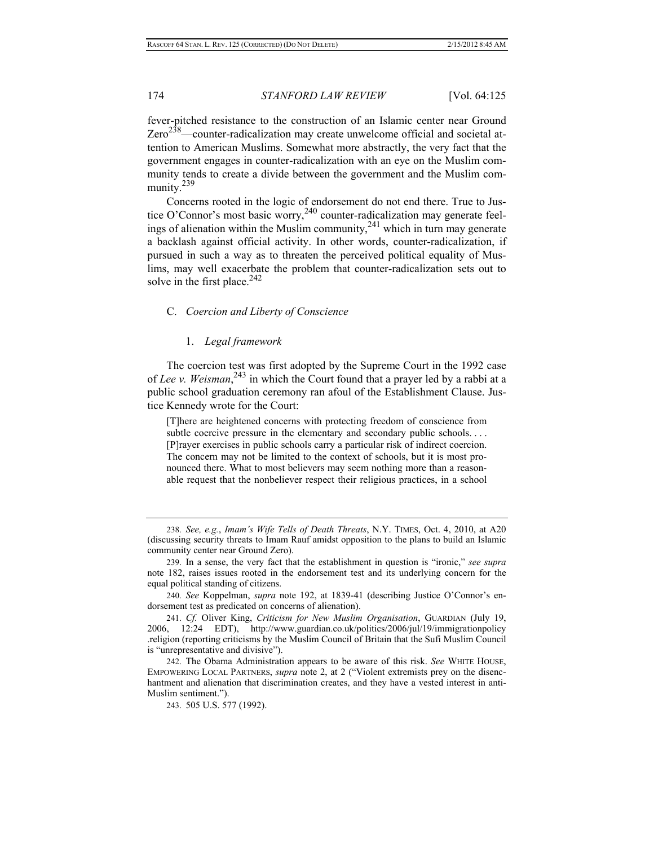fever-pitched resistance to the construction of an Islamic center near Ground  $Zero^{238}$ —counter-radicalization may create unwelcome official and societal attention to American Muslims. Somewhat more abstractly, the very fact that the government engages in counter-radicalization with an eye on the Muslim community tends to create a divide between the government and the Muslim community.<sup>239</sup>

Concerns rooted in the logic of endorsement do not end there. True to Justice O'Connor's most basic worry,<sup>240</sup> counter-radicalization may generate feelings of alienation within the Muslim community,  $241$  which in turn may generate a backlash against official activity. In other words, counter-radicalization, if pursued in such a way as to threaten the perceived political equality of Muslims, may well exacerbate the problem that counter-radicalization sets out to solve in the first place. $242$ 

#### C. *Coercion and Liberty of Conscience*

## 1. *Legal framework*

The coercion test was first adopted by the Supreme Court in the 1992 case of *Lee v. Weisman*, 243 in which the Court found that a prayer led by a rabbi at a public school graduation ceremony ran afoul of the Establishment Clause. Justice Kennedy wrote for the Court:

[T]here are heightened concerns with protecting freedom of conscience from subtle coercive pressure in the elementary and secondary public schools.... [P]rayer exercises in public schools carry a particular risk of indirect coercion. The concern may not be limited to the context of schools, but it is most pronounced there. What to most believers may seem nothing more than a reasonable request that the nonbeliever respect their religious practices, in a school

<sup>238.</sup> *See, e.g.*, *Imam's Wife Tells of Death Threats*, N.Y. TIMES, Oct. 4, 2010, at A20 (discussing security threats to Imam Rauf amidst opposition to the plans to build an Islamic community center near Ground Zero).

<sup>239.</sup> In a sense, the very fact that the establishment in question is "ironic," *see supra* note 182, raises issues rooted in the endorsement test and its underlying concern for the equal political standing of citizens.

<sup>240.</sup> *See* Koppelman, *supra* note 192, at 1839-41 (describing Justice O'Connor's endorsement test as predicated on concerns of alienation).

<sup>241.</sup> *Cf.* Oliver King, *Criticism for New Muslim Organisation*, GUARDIAN (July 19, 2006, 12:24 EDT), http://www.guardian.co.uk/politics/2006/jul/19/immigrationpolicy .religion (reporting criticisms by the Muslim Council of Britain that the Sufi Muslim Council is "unrepresentative and divisive").

<sup>242.</sup> The Obama Administration appears to be aware of this risk. *See* WHITE HOUSE, EMPOWERING LOCAL PARTNERS, *supra* note 2, at 2 ("Violent extremists prey on the disenchantment and alienation that discrimination creates, and they have a vested interest in anti-Muslim sentiment.").

<sup>243. 505</sup> U.S. 577 (1992).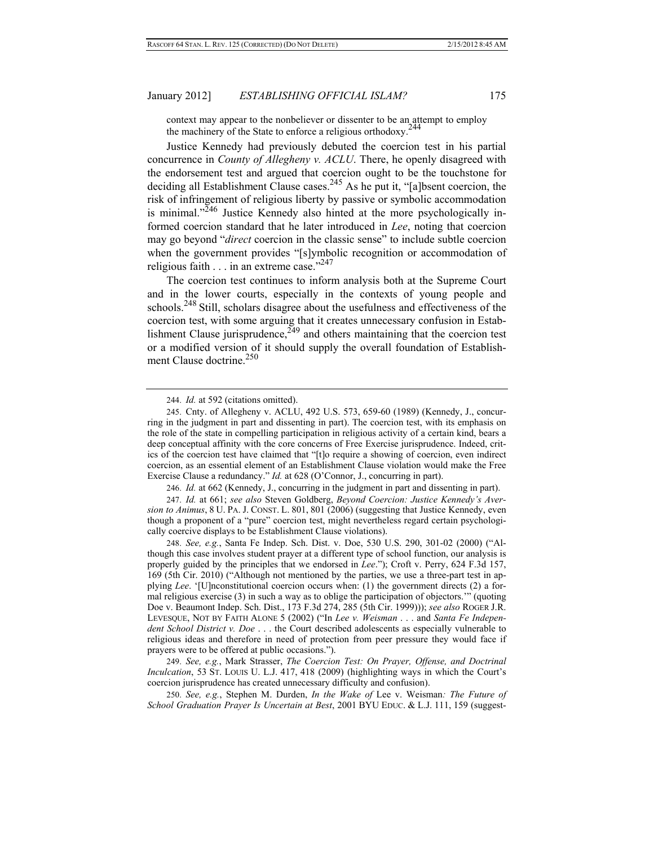context may appear to the nonbeliever or dissenter to be an attempt to employ the machinery of the State to enforce a religious orthodoxy.<sup>2</sup>

Justice Kennedy had previously debuted the coercion test in his partial concurrence in *County of Allegheny v. ACLU*. There, he openly disagreed with the endorsement test and argued that coercion ought to be the touchstone for deciding all Establishment Clause cases.<sup>245</sup> As he put it, "[a]bsent coercion, the risk of infringement of religious liberty by passive or symbolic accommodation is minimal. $1.246$  Justice Kennedy also hinted at the more psychologically informed coercion standard that he later introduced in *Lee*, noting that coercion may go beyond "*direct* coercion in the classic sense" to include subtle coercion when the government provides "[s]ymbolic recognition or accommodation of religious faith . . . in an extreme case."247

The coercion test continues to inform analysis both at the Supreme Court and in the lower courts, especially in the contexts of young people and schools.<sup>248</sup> Still, scholars disagree about the usefulness and effectiveness of the coercion test, with some arguing that it creates unnecessary confusion in Establishment Clause jurisprudence,  $\frac{249}{4}$  and others maintaining that the coercion test or a modified version of it should supply the overall foundation of Establishment Clause doctrine.<sup>250</sup>

244. *Id.* at 592 (citations omitted).

246. *Id.* at 662 (Kennedy, J., concurring in the judgment in part and dissenting in part).

247. *Id.* at 661; *see also* Steven Goldberg, *Beyond Coercion: Justice Kennedy's Aversion to Animus*, 8 U. PA. J. CONST. L. 801, 801 (2006) (suggesting that Justice Kennedy, even though a proponent of a "pure" coercion test, might nevertheless regard certain psychologically coercive displays to be Establishment Clause violations).

248. *See, e.g.*, Santa Fe Indep. Sch. Dist. v. Doe, 530 U.S. 290, 301-02 (2000) ("Although this case involves student prayer at a different type of school function, our analysis is properly guided by the principles that we endorsed in *Lee*."); Croft v. Perry, 624 F.3d 157, 169 (5th Cir. 2010) ("Although not mentioned by the parties, we use a three-part test in applying *Lee*. '[U]nconstitutional coercion occurs when: (1) the government directs (2) a formal religious exercise (3) in such a way as to oblige the participation of objectors.'" (quoting Doe v. Beaumont Indep. Sch. Dist., 173 F.3d 274, 285 (5th Cir. 1999))); *see also* ROGER J.R. LEVESQUE, NOT BY FAITH ALONE 5 (2002) ("In *Lee v. Weisman* . . . and *Santa Fe Independent School District v. Doe* . . . the Court described adolescents as especially vulnerable to religious ideas and therefore in need of protection from peer pressure they would face if prayers were to be offered at public occasions.").

249. *See, e.g.*, Mark Strasser, *The Coercion Test: On Prayer, Offense, and Doctrinal Inculcation*, 53 ST. LOUIS U. L.J. 417, 418 (2009) (highlighting ways in which the Court's coercion jurisprudence has created unnecessary difficulty and confusion).

250. *See, e.g.*, Stephen M. Durden, *In the Wake of* Lee v. Weisman*: The Future of School Graduation Prayer Is Uncertain at Best*, 2001 BYU EDUC. & L.J. 111, 159 (suggest-

<sup>245.</sup> Cnty. of Allegheny v. ACLU, 492 U.S. 573, 659-60 (1989) (Kennedy, J., concurring in the judgment in part and dissenting in part). The coercion test, with its emphasis on the role of the state in compelling participation in religious activity of a certain kind, bears a deep conceptual affinity with the core concerns of Free Exercise jurisprudence. Indeed, critics of the coercion test have claimed that "[t]o require a showing of coercion, even indirect coercion, as an essential element of an Establishment Clause violation would make the Free Exercise Clause a redundancy." *Id.* at 628 (O'Connor, J., concurring in part).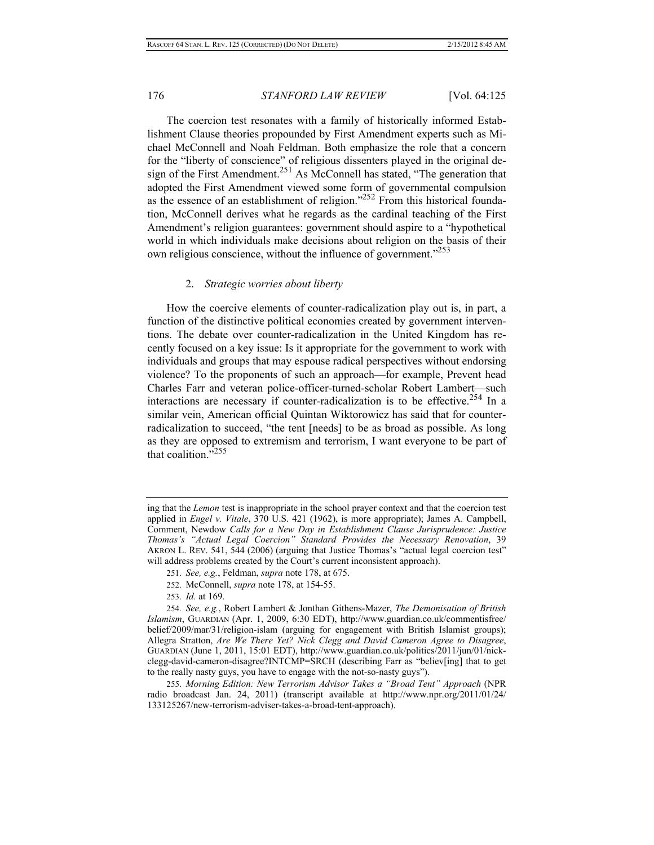The coercion test resonates with a family of historically informed Establishment Clause theories propounded by First Amendment experts such as Michael McConnell and Noah Feldman. Both emphasize the role that a concern for the "liberty of conscience" of religious dissenters played in the original design of the First Amendment.<sup>251</sup> As McConnell has stated, "The generation that adopted the First Amendment viewed some form of governmental compulsion as the essence of an establishment of religion."<sup>252</sup> From this historical foundation, McConnell derives what he regards as the cardinal teaching of the First Amendment's religion guarantees: government should aspire to a "hypothetical world in which individuals make decisions about religion on the basis of their own religious conscience, without the influence of government."253

#### 2. *Strategic worries about liberty*

How the coercive elements of counter-radicalization play out is, in part, a function of the distinctive political economies created by government interventions. The debate over counter-radicalization in the United Kingdom has recently focused on a key issue: Is it appropriate for the government to work with individuals and groups that may espouse radical perspectives without endorsing violence? To the proponents of such an approach—for example, Prevent head Charles Farr and veteran police-officer-turned-scholar Robert Lambert—such interactions are necessary if counter-radicalization is to be effective.<sup>254</sup> In a similar vein, American official Quintan Wiktorowicz has said that for counterradicalization to succeed, "the tent [needs] to be as broad as possible. As long as they are opposed to extremism and terrorism, I want everyone to be part of that coalition."<sup>255</sup>

ing that the *Lemon* test is inappropriate in the school prayer context and that the coercion test applied in *Engel v. Vitale*, 370 U.S. 421 (1962), is more appropriate); James A. Campbell, Comment, Newdow *Calls for a New Day in Establishment Clause Jurisprudence: Justice Thomas's "Actual Legal Coercion" Standard Provides the Necessary Renovation*, 39 AKRON L. REV. 541, 544 (2006) (arguing that Justice Thomas's "actual legal coercion test" will address problems created by the Court's current inconsistent approach).

<sup>251.</sup> *See, e.g.*, Feldman, *supra* note 178, at 675.

<sup>252.</sup> McConnell, *supra* note 178, at 154-55.

<sup>253.</sup> *Id.* at 169.

<sup>254.</sup> *See, e.g.*, Robert Lambert & Jonthan Githens-Mazer, *The Demonisation of British Islamism*, GUARDIAN (Apr. 1, 2009, 6:30 EDT), http://www.guardian.co.uk/commentisfree/ belief/2009/mar/31/religion-islam (arguing for engagement with British Islamist groups); Allegra Stratton, *Are We There Yet? Nick Clegg and David Cameron Agree to Disagree*, GUARDIAN (June 1, 2011, 15:01 EDT), http://www.guardian.co.uk/politics/2011/jun/01/nickclegg-david-cameron-disagree?INTCMP=SRCH (describing Farr as "believ[ing] that to get to the really nasty guys, you have to engage with the not-so-nasty guys").

<sup>255.</sup> *Morning Edition: New Terrorism Advisor Takes a "Broad Tent" Approach* (NPR radio broadcast Jan. 24, 2011) (transcript available at http://www.npr.org/2011/01/24/ 133125267/new-terrorism-adviser-takes-a-broad-tent-approach).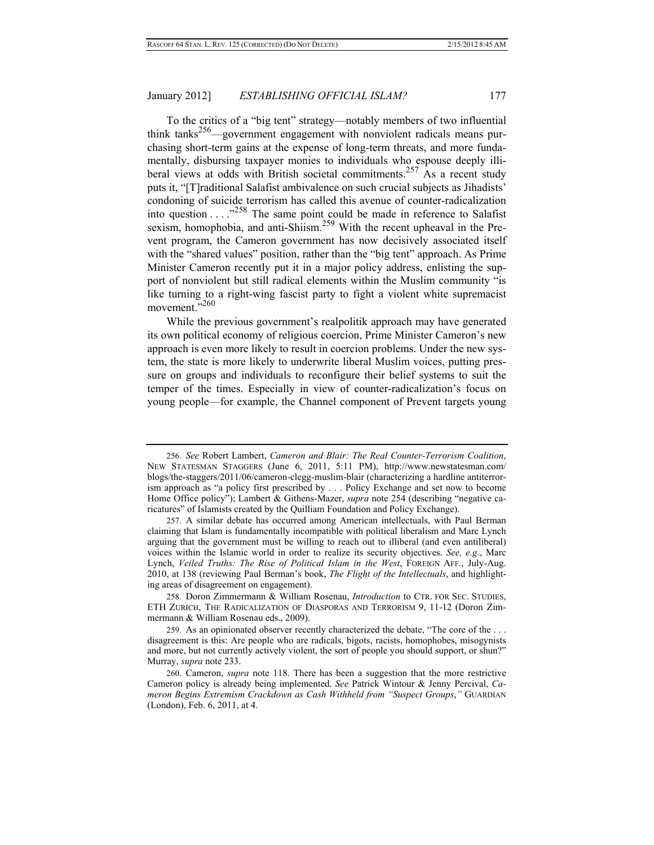To the critics of a "big tent" strategy—notably members of two influential think tanks256—government engagement with nonviolent radicals means purchasing short-term gains at the expense of long-term threats, and more fundamentally, disbursing taxpayer monies to individuals who espouse deeply illiberal views at odds with British societal commitments.<sup>257</sup> As a recent study puts it, "[T]raditional Salafist ambivalence on such crucial subjects as Jihadists' condoning of suicide terrorism has called this avenue of counter-radicalization into question . . . ."258 The same point could be made in reference to Salafist sexism, homophobia, and anti-Shiism.<sup>259</sup> With the recent upheaval in the Prevent program, the Cameron government has now decisively associated itself with the "shared values" position, rather than the "big tent" approach. As Prime Minister Cameron recently put it in a major policy address, enlisting the support of nonviolent but still radical elements within the Muslim community "is like turning to a right-wing fascist party to fight a violent white supremacist movement."<sup>260</sup>

While the previous government's realpolitik approach may have generated its own political economy of religious coercion, Prime Minister Cameron's new approach is even more likely to result in coercion problems. Under the new system, the state is more likely to underwrite liberal Muslim voices, putting pressure on groups and individuals to reconfigure their belief systems to suit the temper of the times. Especially in view of counter-radicalization's focus on young people—for example, the Channel component of Prevent targets young

<sup>256.</sup> *See* Robert Lambert, *Cameron and Blair: The Real Counter-Terrorism Coalition*, NEW STATESMAN STAGGERS (June 6, 2011, 5:11 PM), http://www.newstatesman.com/ blogs/the-staggers/2011/06/cameron-clegg-muslim-blair (characterizing a hardline antiterrorism approach as "a policy first prescribed by . . . Policy Exchange and set now to become Home Office policy"); Lambert & Githens-Mazer, *supra* note 254 (describing "negative caricatures" of Islamists created by the Quilliam Foundation and Policy Exchange).

<sup>257.</sup> A similar debate has occurred among American intellectuals, with Paul Berman claiming that Islam is fundamentally incompatible with political liberalism and Marc Lynch arguing that the government must be willing to reach out to illiberal (and even antiliberal) voices within the Islamic world in order to realize its security objectives. *See, e.g.*, Marc Lynch, *Veiled Truths: The Rise of Political Islam in the West*, FOREIGN AFF., July-Aug. 2010, at 138 (reviewing Paul Berman's book, *The Flight of the Intellectuals*, and highlighting areas of disagreement on engagement).

<sup>258.</sup> Doron Zimmermann & William Rosenau, *Introduction* to CTR. FOR SEC. STUDIES, ETH ZURICH, THE RADICALIZATION OF DIASPORAS AND TERRORISM 9, 11-12 (Doron Zimmermann & William Rosenau eds., 2009).

<sup>259.</sup> As an opinionated observer recently characterized the debate, "The core of the . . . disagreement is this: Are people who are radicals, bigots, racists, homophobes, misogynists and more, but not currently actively violent, the sort of people you should support, or shun?" Murray, *supra* note 233.

<sup>260.</sup> Cameron, *supra* note 118. There has been a suggestion that the more restrictive Cameron policy is already being implemented. *See* Patrick Wintour & Jenny Percival, *Cameron Begins Extremism Crackdown as Cash Withheld from "Suspect Groups*,*"* GUARDIAN (London), Feb. 6, 2011, at 4.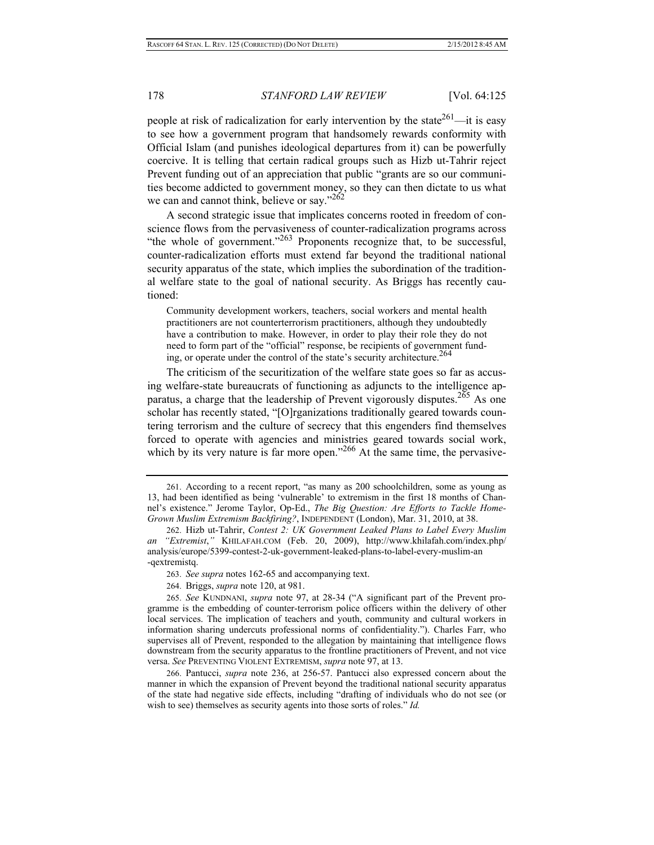people at risk of radicalization for early intervention by the state<sup>261</sup>—it is easy to see how a government program that handsomely rewards conformity with Official Islam (and punishes ideological departures from it) can be powerfully coercive. It is telling that certain radical groups such as Hizb ut-Tahrir reject Prevent funding out of an appreciation that public "grants are so our communities become addicted to government money, so they can then dictate to us what we can and cannot think, believe or say."<sup>262</sup>

A second strategic issue that implicates concerns rooted in freedom of conscience flows from the pervasiveness of counter-radicalization programs across "the whole of government."<sup>263</sup> Proponents recognize that, to be successful, counter-radicalization efforts must extend far beyond the traditional national security apparatus of the state, which implies the subordination of the traditional welfare state to the goal of national security. As Briggs has recently cautioned:

Community development workers, teachers, social workers and mental health practitioners are not counterterrorism practitioners, although they undoubtedly have a contribution to make. However, in order to play their role they do not need to form part of the "official" response, be recipients of government funding, or operate under the control of the state's security architecture.<sup>264</sup>

The criticism of the securitization of the welfare state goes so far as accusing welfare-state bureaucrats of functioning as adjuncts to the intelligence apparatus, a charge that the leadership of Prevent vigorously disputes.<sup>265</sup> As one scholar has recently stated, "[O]rganizations traditionally geared towards countering terrorism and the culture of secrecy that this engenders find themselves forced to operate with agencies and ministries geared towards social work, which by its very nature is far more open."<sup>266</sup> At the same time, the pervasive-

264. Briggs, *supra* note 120, at 981.

265. *See* KUNDNANI, *supra* note 97, at 28-34 ("A significant part of the Prevent programme is the embedding of counter-terrorism police officers within the delivery of other local services. The implication of teachers and youth, community and cultural workers in information sharing undercuts professional norms of confidentiality."). Charles Farr, who supervises all of Prevent, responded to the allegation by maintaining that intelligence flows downstream from the security apparatus to the frontline practitioners of Prevent, and not vice versa. *See* PREVENTING VIOLENT EXTREMISM, *supra* note 97, at 13.

266. Pantucci, *supra* note 236, at 256-57. Pantucci also expressed concern about the manner in which the expansion of Prevent beyond the traditional national security apparatus of the state had negative side effects, including "drafting of individuals who do not see (or wish to see) themselves as security agents into those sorts of roles." *Id.*

<sup>261.</sup> According to a recent report, "as many as 200 schoolchildren, some as young as 13, had been identified as being 'vulnerable' to extremism in the first 18 months of Channel's existence." Jerome Taylor, Op-Ed., *The Big Question: Are Efforts to Tackle Home-Grown Muslim Extremism Backfiring?*, INDEPENDENT (London), Mar. 31, 2010, at 38.

<sup>262.</sup> Hizb ut-Tahrir, *Contest 2: UK Government Leaked Plans to Label Every Muslim an "Extremist*,*"* KHILAFAH.COM (Feb. 20, 2009), http://www.khilafah.com/index.php/ analysis/europe/5399-contest-2-uk-government-leaked-plans-to-label-every-muslim-an -qextremistq.

<sup>263.</sup> *See supra* notes 162-65 and accompanying text.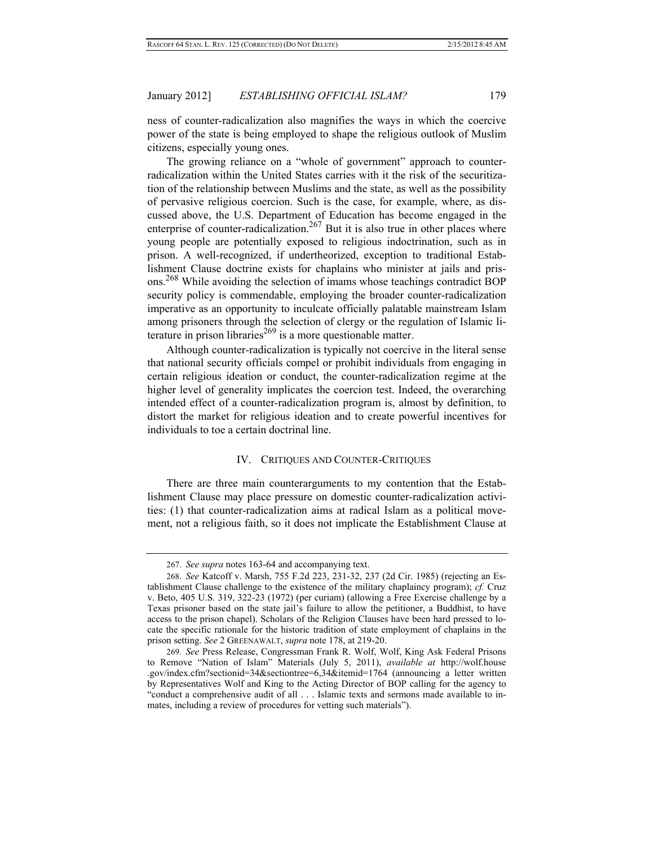ness of counter-radicalization also magnifies the ways in which the coercive power of the state is being employed to shape the religious outlook of Muslim citizens, especially young ones.

The growing reliance on a "whole of government" approach to counterradicalization within the United States carries with it the risk of the securitization of the relationship between Muslims and the state, as well as the possibility of pervasive religious coercion. Such is the case, for example, where, as discussed above, the U.S. Department of Education has become engaged in the enterprise of counter-radicalization.<sup>267</sup> But it is also true in other places where young people are potentially exposed to religious indoctrination, such as in prison. A well-recognized, if undertheorized, exception to traditional Establishment Clause doctrine exists for chaplains who minister at jails and prisons.<sup>268</sup> While avoiding the selection of imams whose teachings contradict BOP security policy is commendable, employing the broader counter-radicalization imperative as an opportunity to inculcate officially palatable mainstream Islam among prisoners through the selection of clergy or the regulation of Islamic literature in prison libraries<sup> $269$ </sup> is a more questionable matter.

Although counter-radicalization is typically not coercive in the literal sense that national security officials compel or prohibit individuals from engaging in certain religious ideation or conduct, the counter-radicalization regime at the higher level of generality implicates the coercion test. Indeed, the overarching intended effect of a counter-radicalization program is, almost by definition, to distort the market for religious ideation and to create powerful incentives for individuals to toe a certain doctrinal line.

## IV. CRITIQUES AND COUNTER-CRITIQUES

There are three main counterarguments to my contention that the Establishment Clause may place pressure on domestic counter-radicalization activities: (1) that counter-radicalization aims at radical Islam as a political movement, not a religious faith, so it does not implicate the Establishment Clause at

<sup>267.</sup> *See supra* notes 163-64 and accompanying text.

<sup>268.</sup> *See* Katcoff v. Marsh, 755 F.2d 223, 231-32, 237 (2d Cir. 1985) (rejecting an Establishment Clause challenge to the existence of the military chaplaincy program); *cf.* Cruz v. Beto, 405 U.S. 319, 322-23 (1972) (per curiam) (allowing a Free Exercise challenge by a Texas prisoner based on the state jail's failure to allow the petitioner, a Buddhist, to have access to the prison chapel). Scholars of the Religion Clauses have been hard pressed to locate the specific rationale for the historic tradition of state employment of chaplains in the prison setting. *See* 2 GREENAWALT, *supra* note 178, at 219-20.

<sup>269.</sup> *See* Press Release, Congressman Frank R. Wolf, Wolf, King Ask Federal Prisons to Remove "Nation of Islam" Materials (July 5, 2011), *available at* http://wolf.house .gov/index.cfm?sectionid=34&sectiontree=6,34&itemid=1764 (announcing a letter written by Representatives Wolf and King to the Acting Director of BOP calling for the agency to "conduct a comprehensive audit of all . . . Islamic texts and sermons made available to inmates, including a review of procedures for vetting such materials").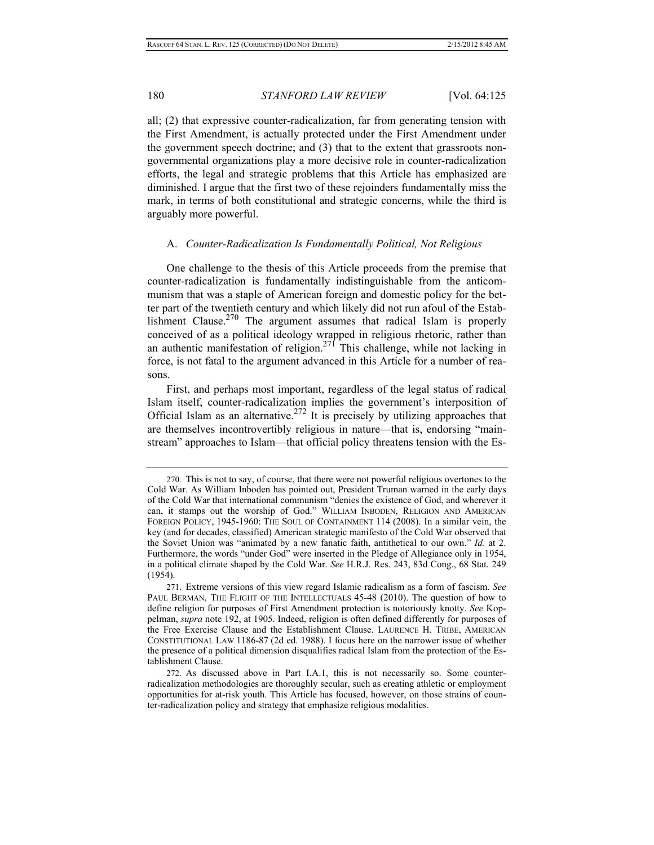all; (2) that expressive counter-radicalization, far from generating tension with the First Amendment, is actually protected under the First Amendment under the government speech doctrine; and (3) that to the extent that grassroots nongovernmental organizations play a more decisive role in counter-radicalization efforts, the legal and strategic problems that this Article has emphasized are diminished. I argue that the first two of these rejoinders fundamentally miss the mark, in terms of both constitutional and strategic concerns, while the third is arguably more powerful.

#### A. *Counter-Radicalization Is Fundamentally Political, Not Religious*

One challenge to the thesis of this Article proceeds from the premise that counter-radicalization is fundamentally indistinguishable from the anticommunism that was a staple of American foreign and domestic policy for the better part of the twentieth century and which likely did not run afoul of the Establishment Clause.<sup>270</sup> The argument assumes that radical Islam is properly conceived of as a political ideology wrapped in religious rhetoric, rather than an authentic manifestation of religion.<sup>271</sup> This challenge, while not lacking in force, is not fatal to the argument advanced in this Article for a number of reasons.

First, and perhaps most important, regardless of the legal status of radical Islam itself, counter-radicalization implies the government's interposition of Official Islam as an alternative.<sup>272</sup> It is precisely by utilizing approaches that are themselves incontrovertibly religious in nature—that is, endorsing "mainstream" approaches to Islam—that official policy threatens tension with the Es-

<sup>270.</sup> This is not to say, of course, that there were not powerful religious overtones to the Cold War. As William Inboden has pointed out, President Truman warned in the early days of the Cold War that international communism "denies the existence of God, and wherever it can, it stamps out the worship of God." WILLIAM INBODEN, RELIGION AND AMERICAN FOREIGN POLICY, 1945-1960: THE SOUL OF CONTAINMENT 114 (2008). In a similar vein, the key (and for decades, classified) American strategic manifesto of the Cold War observed that the Soviet Union was "animated by a new fanatic faith, antithetical to our own." *Id.* at 2. Furthermore, the words "under God" were inserted in the Pledge of Allegiance only in 1954, in a political climate shaped by the Cold War. *See* H.R.J. Res. 243, 83d Cong., 68 Stat. 249 (1954).

<sup>271.</sup> Extreme versions of this view regard Islamic radicalism as a form of fascism. *See* PAUL BERMAN, THE FLIGHT OF THE INTELLECTUALS 45-48 (2010). The question of how to define religion for purposes of First Amendment protection is notoriously knotty. *See* Koppelman, *supra* note 192, at 1905. Indeed, religion is often defined differently for purposes of the Free Exercise Clause and the Establishment Clause. LAURENCE H. TRIBE, AMERICAN CONSTITUTIONAL LAW 1186-87 (2d ed. 1988). I focus here on the narrower issue of whether the presence of a political dimension disqualifies radical Islam from the protection of the Establishment Clause.

<sup>272.</sup> As discussed above in Part I.A.1, this is not necessarily so. Some counterradicalization methodologies are thoroughly secular, such as creating athletic or employment opportunities for at-risk youth. This Article has focused, however, on those strains of counter-radicalization policy and strategy that emphasize religious modalities.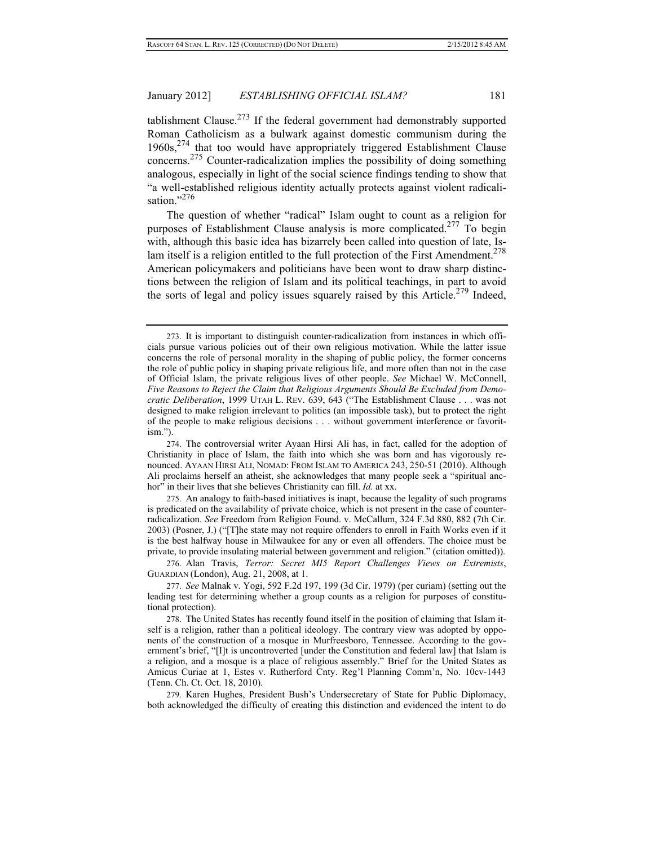tablishment Clause.<sup>273</sup> If the federal government had demonstrably supported Roman Catholicism as a bulwark against domestic communism during the  $1960s$ ,  $274$  that too would have appropriately triggered Establishment Clause concerns.275 Counter-radicalization implies the possibility of doing something analogous, especially in light of the social science findings tending to show that "a well-established religious identity actually protects against violent radicalisation."<sup>276</sup>

The question of whether "radical" Islam ought to count as a religion for purposes of Establishment Clause analysis is more complicated.277 To begin with, although this basic idea has bizarrely been called into question of late, Islam itself is a religion entitled to the full protection of the First Amendment.<sup>278</sup> American policymakers and politicians have been wont to draw sharp distinctions between the religion of Islam and its political teachings, in part to avoid the sorts of legal and policy issues squarely raised by this Article.<sup>279</sup> Indeed,

<sup>273.</sup> It is important to distinguish counter-radicalization from instances in which officials pursue various policies out of their own religious motivation. While the latter issue concerns the role of personal morality in the shaping of public policy, the former concerns the role of public policy in shaping private religious life, and more often than not in the case of Official Islam, the private religious lives of other people. *See* Michael W. McConnell, *Five Reasons to Reject the Claim that Religious Arguments Should Be Excluded from Democratic Deliberation*, 1999 UTAH L. REV. 639, 643 ("The Establishment Clause . . . was not designed to make religion irrelevant to politics (an impossible task), but to protect the right of the people to make religious decisions . . . without government interference or favoritism.").

<sup>274.</sup> The controversial writer Ayaan Hirsi Ali has, in fact, called for the adoption of Christianity in place of Islam, the faith into which she was born and has vigorously renounced. AYAAN HIRSI ALI, NOMAD: FROM ISLAM TO AMERICA 243, 250-51 (2010). Although Ali proclaims herself an atheist, she acknowledges that many people seek a "spiritual anchor" in their lives that she believes Christianity can fill. *Id.* at xx.

<sup>275.</sup> An analogy to faith-based initiatives is inapt, because the legality of such programs is predicated on the availability of private choice, which is not present in the case of counterradicalization. *See* Freedom from Religion Found. v. McCallum, 324 F.3d 880, 882 (7th Cir. 2003) (Posner, J.) ("[T]he state may not require offenders to enroll in Faith Works even if it is the best halfway house in Milwaukee for any or even all offenders. The choice must be private, to provide insulating material between government and religion." (citation omitted)).

<sup>276.</sup> Alan Travis, *Terror: Secret MI5 Report Challenges Views on Extremists*, GUARDIAN (London), Aug. 21, 2008, at 1.

<sup>277.</sup> *See* Malnak v. Yogi, 592 F.2d 197, 199 (3d Cir. 1979) (per curiam) (setting out the leading test for determining whether a group counts as a religion for purposes of constitutional protection).

<sup>278.</sup> The United States has recently found itself in the position of claiming that Islam itself is a religion, rather than a political ideology. The contrary view was adopted by opponents of the construction of a mosque in Murfreesboro, Tennessee. According to the government's brief, "[I]t is uncontroverted [under the Constitution and federal law] that Islam is a religion, and a mosque is a place of religious assembly." Brief for the United States as Amicus Curiae at 1, Estes v. Rutherford Cnty. Reg'l Planning Comm'n, No. 10cv-1443 (Tenn. Ch. Ct. Oct. 18, 2010).

<sup>279.</sup> Karen Hughes, President Bush's Undersecretary of State for Public Diplomacy, both acknowledged the difficulty of creating this distinction and evidenced the intent to do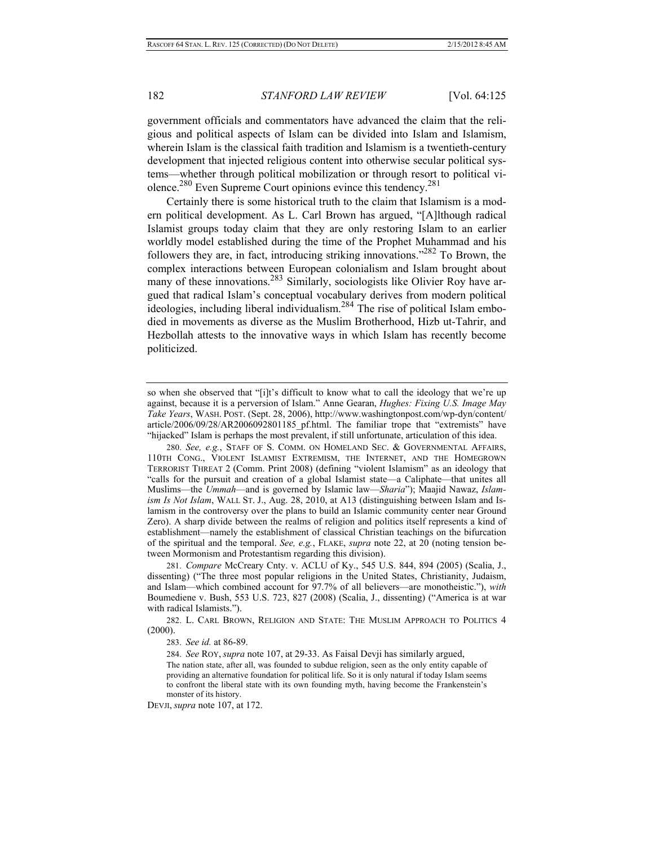government officials and commentators have advanced the claim that the religious and political aspects of Islam can be divided into Islam and Islamism, wherein Islam is the classical faith tradition and Islamism is a twentieth-century development that injected religious content into otherwise secular political systems—whether through political mobilization or through resort to political violence.280 Even Supreme Court opinions evince this tendency.281

Certainly there is some historical truth to the claim that Islamism is a modern political development. As L. Carl Brown has argued, "[A]lthough radical Islamist groups today claim that they are only restoring Islam to an earlier worldly model established during the time of the Prophet Muhammad and his followers they are, in fact, introducing striking innovations."282 To Brown, the complex interactions between European colonialism and Islam brought about many of these innovations.<sup>283</sup> Similarly, sociologists like Olivier Roy have argued that radical Islam's conceptual vocabulary derives from modern political  $\overline{\text{ideologies}}$ , including liberal individualism.<sup>284</sup> The rise of political Islam embodied in movements as diverse as the Muslim Brotherhood, Hizb ut-Tahrir, and Hezbollah attests to the innovative ways in which Islam has recently become politicized.

281. *Compare* McCreary Cnty. v. ACLU of Ky., 545 U.S. 844, 894 (2005) (Scalia, J., dissenting) ("The three most popular religions in the United States, Christianity, Judaism, and Islam—which combined account for 97.7% of all believers—are monotheistic."), *with* Boumediene v. Bush, 553 U.S. 723, 827 (2008) (Scalia, J., dissenting) ("America is at war with radical Islamists.").

282. L. CARL BROWN, RELIGION AND STATE: THE MUSLIM APPROACH TO POLITICS 4 (2000).

283. *See id.* at 86-89.

284. *See* ROY, *supra* note 107, at 29-33. As Faisal Devji has similarly argued,

The nation state, after all, was founded to subdue religion, seen as the only entity capable of providing an alternative foundation for political life. So it is only natural if today Islam seems to confront the liberal state with its own founding myth, having become the Frankenstein's monster of its history.

DEVJI, *supra* note 107, at 172.

so when she observed that "[i]t's difficult to know what to call the ideology that we're up against, because it is a perversion of Islam." Anne Gearan, *Hughes: Fixing U.S. Image May Take Years*, WASH. POST. (Sept. 28, 2006), http://www.washingtonpost.com/wp-dyn/content/ article/2006/09/28/AR2006092801185\_pf.html. The familiar trope that "extremists" have "hijacked" Islam is perhaps the most prevalent, if still unfortunate, articulation of this idea.

<sup>280.</sup> *See, e.g.*, STAFF OF S. COMM. ON HOMELAND SEC. & GOVERNMENTAL AFFAIRS, 110TH CONG., VIOLENT ISLAMIST EXTREMISM, THE INTERNET, AND THE HOMEGROWN TERRORIST THREAT 2 (Comm. Print 2008) (defining "violent Islamism" as an ideology that "calls for the pursuit and creation of a global Islamist state—a Caliphate—that unites all Muslims—the *Ummah*—and is governed by Islamic law—*Sharia*"); Maajid Nawaz, *Islamism Is Not Islam*, WALL ST. J., Aug. 28, 2010, at A13 (distinguishing between Islam and Islamism in the controversy over the plans to build an Islamic community center near Ground Zero). A sharp divide between the realms of religion and politics itself represents a kind of establishment—namely the establishment of classical Christian teachings on the bifurcation of the spiritual and the temporal. *See, e.g.*, FLAKE, *supra* note 22, at 20 (noting tension between Mormonism and Protestantism regarding this division).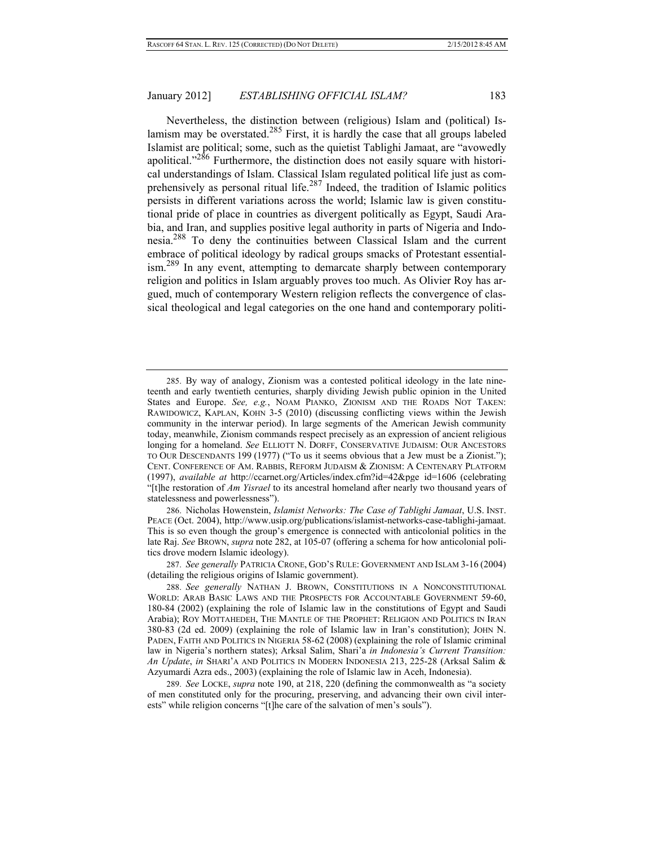Nevertheless, the distinction between (religious) Islam and (political) Islamism may be overstated.<sup>285</sup> First, it is hardly the case that all groups labeled Islamist are political; some, such as the quietist Tablighi Jamaat, are "avowedly apolitical."<sup>286</sup> Furthermore, the distinction does not easily square with historical understandings of Islam. Classical Islam regulated political life just as comprehensively as personal ritual life.287 Indeed, the tradition of Islamic politics persists in different variations across the world; Islamic law is given constitutional pride of place in countries as divergent politically as Egypt, Saudi Arabia, and Iran, and supplies positive legal authority in parts of Nigeria and Indonesia.288 To deny the continuities between Classical Islam and the current embrace of political ideology by radical groups smacks of Protestant essentialism.<sup>289</sup> In any event, attempting to demarcate sharply between contemporary religion and politics in Islam arguably proves too much. As Olivier Roy has argued, much of contemporary Western religion reflects the convergence of classical theological and legal categories on the one hand and contemporary politi-

286. Nicholas Howenstein, *Islamist Networks: The Case of Tablighi Jamaat*, U.S. INST. PEACE (Oct. 2004), http://www.usip.org/publications/islamist-networks-case-tablighi-jamaat. This is so even though the group's emergence is connected with anticolonial politics in the late Raj. *See* BROWN, *supra* note 282, at 105-07 (offering a schema for how anticolonial politics drove modern Islamic ideology).

287. *See generally* PATRICIA CRONE, GOD'S RULE: GOVERNMENT AND ISLAM 3-16 (2004) (detailing the religious origins of Islamic government).

289. *See* LOCKE, *supra* note 190, at 218, 220 (defining the commonwealth as "a society of men constituted only for the procuring, preserving, and advancing their own civil interests" while religion concerns "[t]he care of the salvation of men's souls").

<sup>285.</sup> By way of analogy, Zionism was a contested political ideology in the late nineteenth and early twentieth centuries, sharply dividing Jewish public opinion in the United States and Europe. *See, e.g.*, NOAM PIANKO, ZIONISM AND THE ROADS NOT TAKEN: RAWIDOWICZ, KAPLAN, KOHN 3-5 (2010) (discussing conflicting views within the Jewish community in the interwar period). In large segments of the American Jewish community today, meanwhile, Zionism commands respect precisely as an expression of ancient religious longing for a homeland. *See* ELLIOTT N. DORFF, CONSERVATIVE JUDAISM: OUR ANCESTORS TO OUR DESCENDANTS 199 (1977) ("To us it seems obvious that a Jew must be a Zionist."); CENT. CONFERENCE OF AM. RABBIS, REFORM JUDAISM & ZIONISM: A CENTENARY PLATFORM (1997), *available at* http://ccarnet.org/Articles/index.cfm?id=42&pge\_id=1606 (celebrating "[t]he restoration of *Am Yisrael* to its ancestral homeland after nearly two thousand years of statelessness and powerlessness").

<sup>288.</sup> *See generally* NATHAN J. BROWN, CONSTITUTIONS IN A NONCONSTITUTIONAL WORLD: ARAB BASIC LAWS AND THE PROSPECTS FOR ACCOUNTABLE GOVERNMENT 59-60, 180-84 (2002) (explaining the role of Islamic law in the constitutions of Egypt and Saudi Arabia); ROY MOTTAHEDEH, THE MANTLE OF THE PROPHET: RELIGION AND POLITICS IN IRAN 380-83 (2d ed. 2009) (explaining the role of Islamic law in Iran's constitution); JOHN N. PADEN, FAITH AND POLITICS IN NIGERIA 58-62 (2008) (explaining the role of Islamic criminal law in Nigeria's northern states); Arksal Salim, Shari'a *in Indonesia's Current Transition: An Update*, *in* SHARI'A AND POLITICS IN MODERN INDONESIA 213, 225-28 (Arksal Salim & Azyumardi Azra eds., 2003) (explaining the role of Islamic law in Aceh, Indonesia).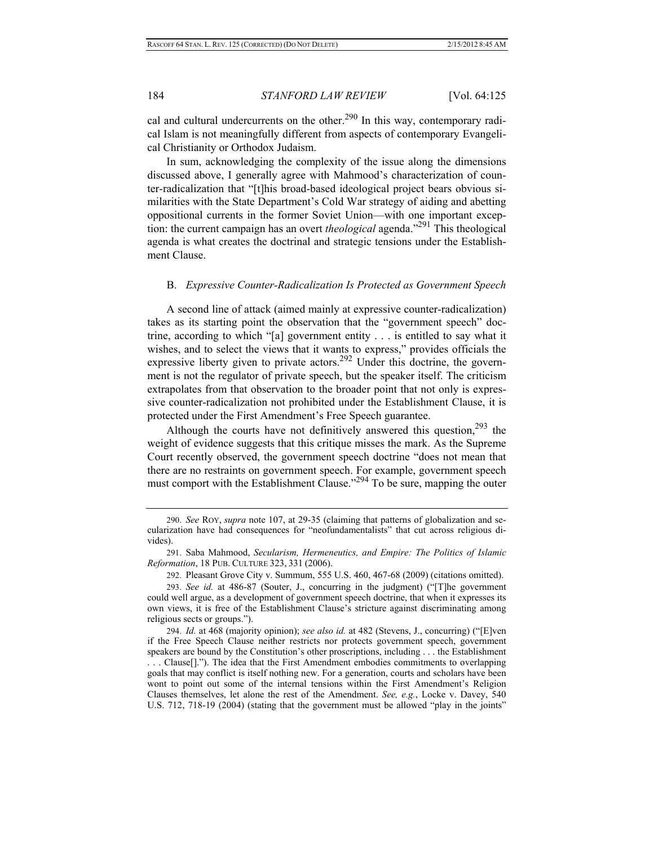cal and cultural undercurrents on the other.<sup>290</sup> In this way, contemporary radical Islam is not meaningfully different from aspects of contemporary Evangelical Christianity or Orthodox Judaism.

In sum, acknowledging the complexity of the issue along the dimensions discussed above, I generally agree with Mahmood's characterization of counter-radicalization that "[t]his broad-based ideological project bears obvious similarities with the State Department's Cold War strategy of aiding and abetting oppositional currents in the former Soviet Union—with one important exception: the current campaign has an overt *theological* agenda."291 This theological agenda is what creates the doctrinal and strategic tensions under the Establishment Clause.

## B. *Expressive Counter-Radicalization Is Protected as Government Speech*

A second line of attack (aimed mainly at expressive counter-radicalization) takes as its starting point the observation that the "government speech" doctrine, according to which "[a] government entity . . . is entitled to say what it wishes, and to select the views that it wants to express," provides officials the expressive liberty given to private actors.<sup>292</sup> Under this doctrine, the government is not the regulator of private speech, but the speaker itself. The criticism extrapolates from that observation to the broader point that not only is expressive counter-radicalization not prohibited under the Establishment Clause, it is protected under the First Amendment's Free Speech guarantee.

Although the courts have not definitively answered this question,  $293$  the weight of evidence suggests that this critique misses the mark. As the Supreme Court recently observed, the government speech doctrine "does not mean that there are no restraints on government speech. For example, government speech must comport with the Establishment Clause."<sup>294</sup> To be sure, mapping the outer

<sup>290.</sup> *See* ROY, *supra* note 107, at 29-35 (claiming that patterns of globalization and secularization have had consequences for "neofundamentalists" that cut across religious divides).

<sup>291.</sup> Saba Mahmood, *Secularism, Hermeneutics, and Empire: The Politics of Islamic Reformation*, 18 PUB. CULTURE 323, 331 (2006).

<sup>292.</sup> Pleasant Grove City v. Summum, 555 U.S. 460, 467-68 (2009) (citations omitted).

<sup>293.</sup> *See id.* at 486-87 (Souter, J., concurring in the judgment) ("[T]he government could well argue, as a development of government speech doctrine, that when it expresses its own views, it is free of the Establishment Clause's stricture against discriminating among religious sects or groups.").

<sup>294.</sup> *Id.* at 468 (majority opinion); *see also id.* at 482 (Stevens, J., concurring) ("[E]ven if the Free Speech Clause neither restricts nor protects government speech, government speakers are bound by the Constitution's other proscriptions, including . . . the Establishment . . . Clause[]."). The idea that the First Amendment embodies commitments to overlapping goals that may conflict is itself nothing new. For a generation, courts and scholars have been wont to point out some of the internal tensions within the First Amendment's Religion Clauses themselves, let alone the rest of the Amendment. *See, e.g.*, Locke v. Davey, 540 U.S. 712, 718-19 (2004) (stating that the government must be allowed "play in the joints"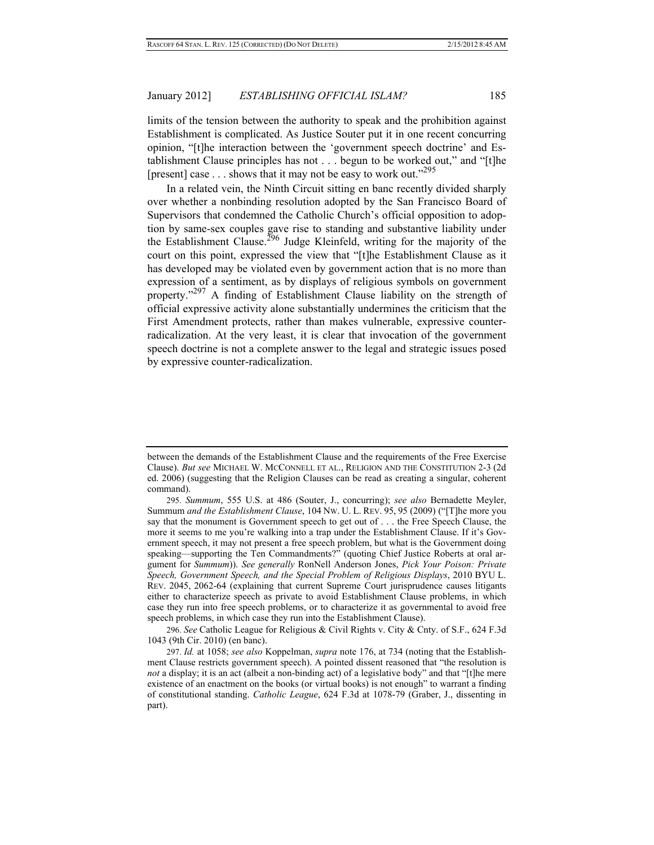limits of the tension between the authority to speak and the prohibition against Establishment is complicated. As Justice Souter put it in one recent concurring opinion, "[t]he interaction between the 'government speech doctrine' and Establishment Clause principles has not . . . begun to be worked out," and "[t]he [present] case  $\dots$  shows that it may not be easy to work out."<sup>295</sup>

In a related vein, the Ninth Circuit sitting en banc recently divided sharply over whether a nonbinding resolution adopted by the San Francisco Board of Supervisors that condemned the Catholic Church's official opposition to adoption by same-sex couples gave rise to standing and substantive liability under the Establishment Clause.<sup>296</sup> Judge Kleinfeld, writing for the majority of the court on this point, expressed the view that "[t]he Establishment Clause as it has developed may be violated even by government action that is no more than expression of a sentiment, as by displays of religious symbols on government property."<sup>297</sup> A finding of Establishment Clause liability on the strength of official expressive activity alone substantially undermines the criticism that the First Amendment protects, rather than makes vulnerable, expressive counterradicalization. At the very least, it is clear that invocation of the government speech doctrine is not a complete answer to the legal and strategic issues posed by expressive counter-radicalization.

296. *See* Catholic League for Religious & Civil Rights v. City & Cnty. of S.F., 624 F.3d 1043 (9th Cir. 2010) (en banc).

297. *Id.* at 1058; *see also* Koppelman, *supra* note 176, at 734 (noting that the Establishment Clause restricts government speech). A pointed dissent reasoned that "the resolution is *not* a display; it is an act (albeit a non-binding act) of a legislative body" and that "[t]he mere existence of an enactment on the books (or virtual books) is not enough" to warrant a finding of constitutional standing. *Catholic League*, 624 F.3d at 1078-79 (Graber, J., dissenting in part).

between the demands of the Establishment Clause and the requirements of the Free Exercise Clause). *But see* MICHAEL W. MCCONNELL ET AL., RELIGION AND THE CONSTITUTION 2-3 (2d ed. 2006) (suggesting that the Religion Clauses can be read as creating a singular, coherent command).

<sup>295.</sup> *Summum*, 555 U.S. at 486 (Souter, J., concurring); *see also* Bernadette Meyler, Summum *and the Establishment Clause*, 104 NW. U. L. REV. 95, 95 (2009) ("[T]he more you say that the monument is Government speech to get out of . . . the Free Speech Clause, the more it seems to me you're walking into a trap under the Establishment Clause. If it's Government speech, it may not present a free speech problem, but what is the Government doing speaking—supporting the Ten Commandments?" (quoting Chief Justice Roberts at oral argument for *Summum*)). *See generally* RonNell Anderson Jones, *Pick Your Poison: Private Speech, Government Speech, and the Special Problem of Religious Displays*, 2010 BYU L. REV. 2045, 2062-64 (explaining that current Supreme Court jurisprudence causes litigants either to characterize speech as private to avoid Establishment Clause problems, in which case they run into free speech problems, or to characterize it as governmental to avoid free speech problems, in which case they run into the Establishment Clause).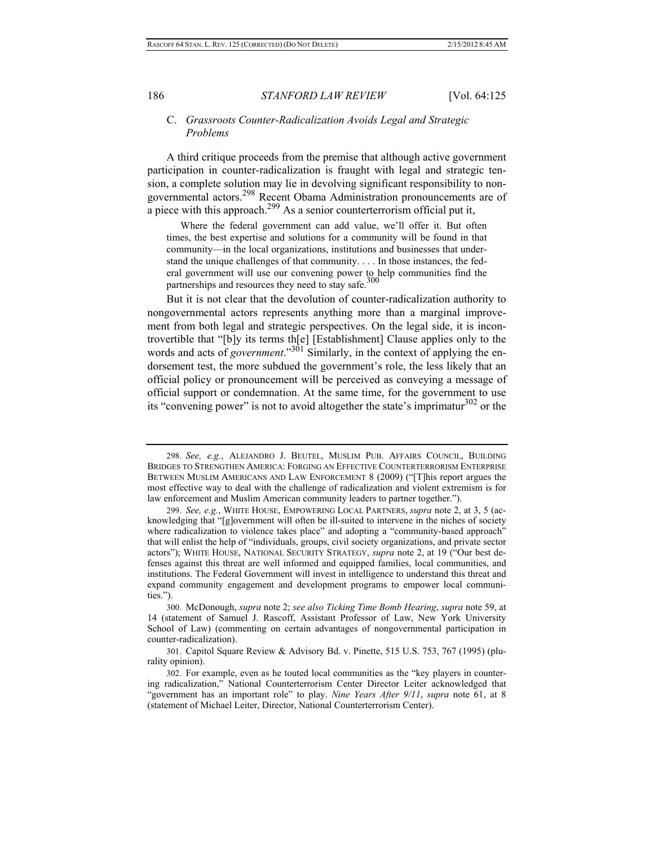## C. *Grassroots Counter-Radicalization Avoids Legal and Strategic Problems*

A third critique proceeds from the premise that although active government participation in counter-radicalization is fraught with legal and strategic tension, a complete solution may lie in devolving significant responsibility to nongovernmental actors.298 Recent Obama Administration pronouncements are of a piece with this approach.<sup>299</sup> As a senior counterterrorism official put it,

 Where the federal government can add value, we'll offer it. But often times, the best expertise and solutions for a community will be found in that community—in the local organizations, institutions and businesses that understand the unique challenges of that community. . . . In those instances, the federal government will use our convening power to help communities find the partnerships and resources they need to stay safe. $300$ 

But it is not clear that the devolution of counter-radicalization authority to nongovernmental actors represents anything more than a marginal improvement from both legal and strategic perspectives. On the legal side, it is incontrovertible that "[b]y its terms th[e] [Establishment] Clause applies only to the words and acts of *government*."<sup>301</sup> Similarly, in the context of applying the endorsement test, the more subdued the government's role, the less likely that an official policy or pronouncement will be perceived as conveying a message of official support or condemnation. At the same time, for the government to use its "convening power" is not to avoid altogether the state's imprimatur $^{302}$  or the

300. McDonough, *supra* note 2; *see also Ticking Time Bomb Hearing*, *supra* note 59, at 14 (statement of Samuel J. Rascoff, Assistant Professor of Law, New York University School of Law) (commenting on certain advantages of nongovernmental participation in counter-radicalization).

301. Capitol Square Review & Advisory Bd. v. Pinette, 515 U.S. 753, 767 (1995) (plurality opinion).

<sup>298.</sup> *See, e.g.*, ALEJANDRO J. BEUTEL, MUSLIM PUB. AFFAIRS COUNCIL, BUILDING BRIDGES TO STRENGTHEN AMERICA: FORGING AN EFFECTIVE COUNTERTERRORISM ENTERPRISE BETWEEN MUSLIM AMERICANS AND LAW ENFORCEMENT 8 (2009) ("This report argues the most effective way to deal with the challenge of radicalization and violent extremism is for law enforcement and Muslim American community leaders to partner together.").

<sup>299.</sup> *See, e.g.*, WHITE HOUSE, EMPOWERING LOCAL PARTNERS, *supra* note 2, at 3, 5 (acknowledging that "[g]overnment will often be ill-suited to intervene in the niches of society where radicalization to violence takes place" and adopting a "community-based approach" that will enlist the help of "individuals, groups, civil society organizations, and private sector actors"); WHITE HOUSE, NATIONAL SECURITY STRATEGY, *supra* note 2, at 19 ("Our best defenses against this threat are well informed and equipped families, local communities, and institutions. The Federal Government will invest in intelligence to understand this threat and expand community engagement and development programs to empower local communities.").

<sup>302.</sup> For example, even as he touted local communities as the "key players in countering radicalization," National Counterterrorism Center Director Leiter acknowledged that "government has an important role" to play. *Nine Years After 9/11*, *supra* note 61, at 8 (statement of Michael Leiter, Director, National Counterterrorism Center).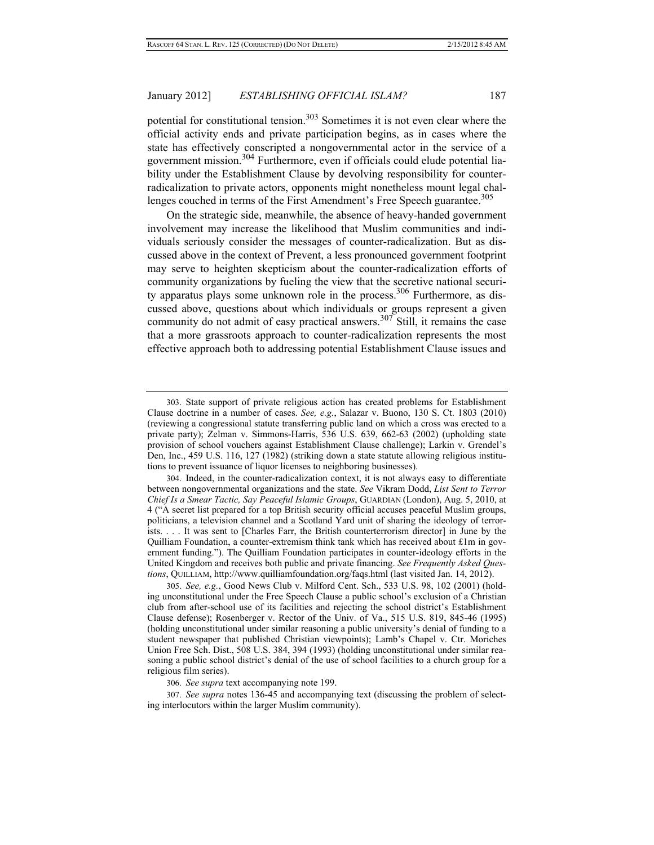potential for constitutional tension.<sup>303</sup> Sometimes it is not even clear where the official activity ends and private participation begins, as in cases where the state has effectively conscripted a nongovernmental actor in the service of a government mission.304 Furthermore, even if officials could elude potential liability under the Establishment Clause by devolving responsibility for counterradicalization to private actors, opponents might nonetheless mount legal challenges couched in terms of the First Amendment's Free Speech guarantee.<sup>305</sup>

On the strategic side, meanwhile, the absence of heavy-handed government involvement may increase the likelihood that Muslim communities and individuals seriously consider the messages of counter-radicalization. But as discussed above in the context of Prevent, a less pronounced government footprint may serve to heighten skepticism about the counter-radicalization efforts of community organizations by fueling the view that the secretive national security apparatus plays some unknown role in the process.<sup>306</sup> Furthermore, as discussed above, questions about which individuals or groups represent a given community do not admit of easy practical answers.<sup>307</sup> Still, it remains the case that a more grassroots approach to counter-radicalization represents the most effective approach both to addressing potential Establishment Clause issues and

306. *See supra* text accompanying note 199.

307. *See supra* notes 136-45 and accompanying text (discussing the problem of selecting interlocutors within the larger Muslim community).

<sup>303.</sup> State support of private religious action has created problems for Establishment Clause doctrine in a number of cases. *See, e.g.*, Salazar v. Buono, 130 S. Ct. 1803 (2010) (reviewing a congressional statute transferring public land on which a cross was erected to a private party); Zelman v. Simmons-Harris, 536 U.S. 639, 662-63 (2002) (upholding state provision of school vouchers against Establishment Clause challenge); Larkin v. Grendel's Den, Inc., 459 U.S. 116, 127 (1982) (striking down a state statute allowing religious institutions to prevent issuance of liquor licenses to neighboring businesses).

<sup>304.</sup> Indeed, in the counter-radicalization context, it is not always easy to differentiate between nongovernmental organizations and the state. *See* Vikram Dodd, *List Sent to Terror Chief Is a Smear Tactic, Say Peaceful Islamic Groups*, GUARDIAN (London), Aug. 5, 2010, at 4 ("A secret list prepared for a top British security official accuses peaceful Muslim groups, politicians, a television channel and a Scotland Yard unit of sharing the ideology of terrorists. . . . It was sent to [Charles Farr, the British counterterrorism director] in June by the Quilliam Foundation, a counter-extremism think tank which has received about £1m in government funding."). The Quilliam Foundation participates in counter-ideology efforts in the United Kingdom and receives both public and private financing. *See Frequently Asked Questions*, QUILLIAM, http://www.quilliamfoundation.org/faqs.html (last visited Jan. 14, 2012).

<sup>305.</sup> *See, e.g.*, Good News Club v. Milford Cent. Sch., 533 U.S. 98, 102 (2001) (holding unconstitutional under the Free Speech Clause a public school's exclusion of a Christian club from after-school use of its facilities and rejecting the school district's Establishment Clause defense); Rosenberger v. Rector of the Univ. of Va., 515 U.S. 819, 845-46 (1995) (holding unconstitutional under similar reasoning a public university's denial of funding to a student newspaper that published Christian viewpoints); Lamb's Chapel v. Ctr. Moriches Union Free Sch. Dist., 508 U.S. 384, 394 (1993) (holding unconstitutional under similar reasoning a public school district's denial of the use of school facilities to a church group for a religious film series).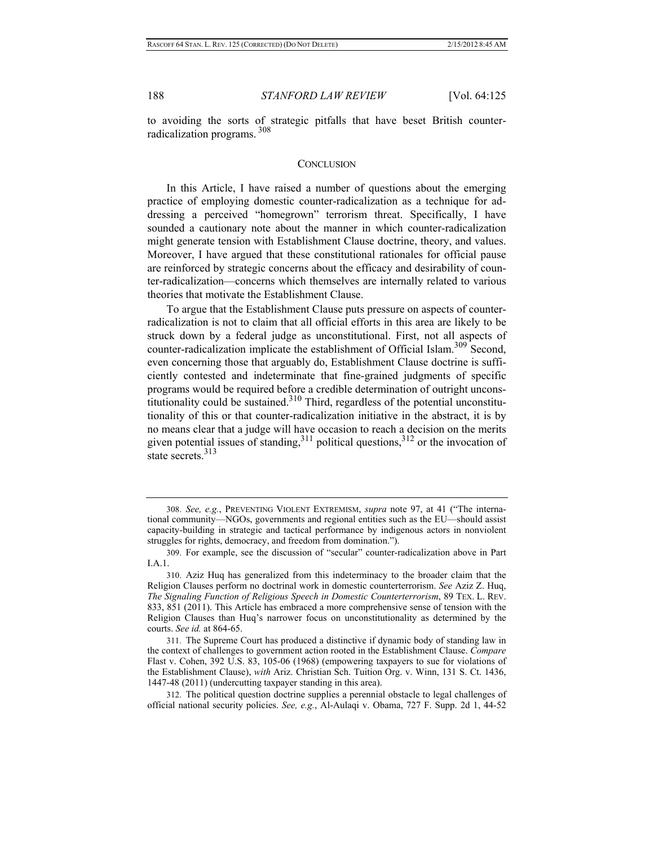to avoiding the sorts of strategic pitfalls that have beset British counterradicalization programs. <sup>308</sup>

#### **CONCLUSION**

In this Article, I have raised a number of questions about the emerging practice of employing domestic counter-radicalization as a technique for addressing a perceived "homegrown" terrorism threat. Specifically, I have sounded a cautionary note about the manner in which counter-radicalization might generate tension with Establishment Clause doctrine, theory, and values. Moreover, I have argued that these constitutional rationales for official pause are reinforced by strategic concerns about the efficacy and desirability of counter-radicalization—concerns which themselves are internally related to various theories that motivate the Establishment Clause.

To argue that the Establishment Clause puts pressure on aspects of counterradicalization is not to claim that all official efforts in this area are likely to be struck down by a federal judge as unconstitutional. First, not all aspects of counter-radicalization implicate the establishment of Official Islam.<sup>309</sup> Second, even concerning those that arguably do, Establishment Clause doctrine is sufficiently contested and indeterminate that fine-grained judgments of specific programs would be required before a credible determination of outright unconstitutionality could be sustained.<sup>310</sup> Third, regardless of the potential unconstitutionality of this or that counter-radicalization initiative in the abstract, it is by no means clear that a judge will have occasion to reach a decision on the merits given potential issues of standing,  $3^{11}$  political questions,  $3^{12}$  or the invocation of state secrets  $313$ 

311. The Supreme Court has produced a distinctive if dynamic body of standing law in the context of challenges to government action rooted in the Establishment Clause. *Compare* Flast v. Cohen, 392 U.S. 83, 105-06 (1968) (empowering taxpayers to sue for violations of the Establishment Clause), *with* Ariz. Christian Sch. Tuition Org. v. Winn, 131 S. Ct. 1436, 1447-48 (2011) (undercutting taxpayer standing in this area).

312. The political question doctrine supplies a perennial obstacle to legal challenges of official national security policies. *See, e.g.*, Al-Aulaqi v. Obama, 727 F. Supp. 2d 1, 44-52

<sup>308.</sup> *See, e.g.*, PREVENTING VIOLENT EXTREMISM, *supra* note 97, at 41 ("The international community—NGOs, governments and regional entities such as the EU—should assist capacity-building in strategic and tactical performance by indigenous actors in nonviolent struggles for rights, democracy, and freedom from domination.").

<sup>309.</sup> For example, see the discussion of "secular" counter-radicalization above in Part I.A.1.

<sup>310.</sup> Aziz Huq has generalized from this indeterminacy to the broader claim that the Religion Clauses perform no doctrinal work in domestic counterterrorism. *See* Aziz Z. Huq, *The Signaling Function of Religious Speech in Domestic Counterterrorism*, 89 TEX. L. REV. 833, 851 (2011). This Article has embraced a more comprehensive sense of tension with the Religion Clauses than Huq's narrower focus on unconstitutionality as determined by the courts. *See id.* at 864-65.